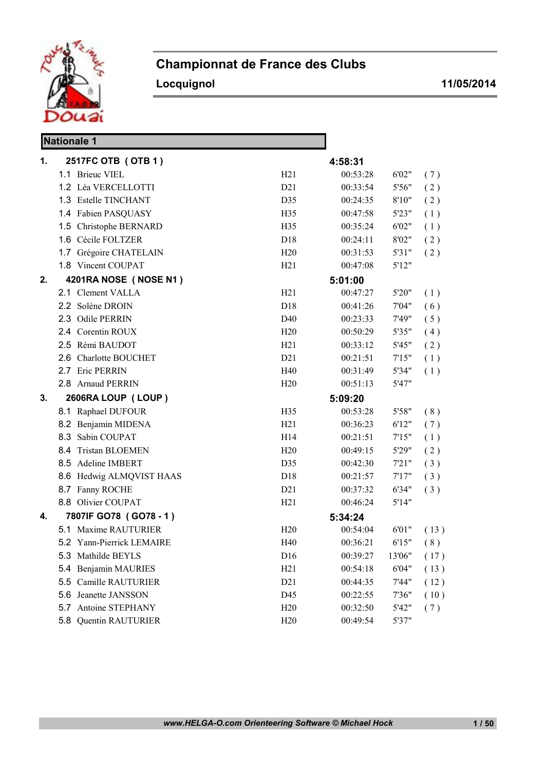

## Championnat de France des Clubs

Locquignol 11/05/2014

|    | <b>Nationale 1</b>        |                  |          |        |      |
|----|---------------------------|------------------|----------|--------|------|
| 1. | 2517FC OTB (OTB 1)        |                  | 4:58:31  |        |      |
|    | 1.1 Brieuc VIEL           | H21              | 00:53:28 | 6'02"  | (7)  |
|    | 1.2 Léa VERCELLOTTI       | D21              | 00:33:54 | 5'56"  | (2)  |
|    | 1.3 Estelle TINCHANT      | D35              | 00:24:35 | 8'10"  | (2)  |
|    | 1.4 Fabien PASQUASY       | H35              | 00:47:58 | 5'23"  | (1)  |
|    | 1.5 Christophe BERNARD    | H35              | 00:35:24 | 6'02"  | (1)  |
|    | 1.6 Cécile FOLTZER        | D <sub>18</sub>  | 00:24:11 | 8'02"  | (2)  |
|    | 1.7 Grégoire CHATELAIN    | H20              | 00:31:53 | 5'31"  | (2)  |
|    | 1.8 Vincent COUPAT        | H21              | 00:47:08 | 5'12"  |      |
| 2. | 4201RA NOSE (NOSE N1)     |                  | 5:01:00  |        |      |
|    | 2.1 Clement VALLA         | H21              | 00:47:27 | 5'20"  | (1)  |
|    | 2.2 Solène DROIN          | D18              | 00:41:26 | 7'04"  | (6)  |
|    | 2.3 Odile PERRIN          | D40              | 00:23:33 | 7'49"  | (5)  |
|    | 2.4 Corentin ROUX         | H20              | 00:50:29 | 5'35"  | (4)  |
|    | 2.5 Rémi BAUDOT           | H21              | 00:33:12 | 5'45"  | (2)  |
|    | 2.6 Charlotte BOUCHET     | D21              | 00:21:51 | 7'15"  | (1)  |
|    | 2.7 Eric PERRIN           | H40              | 00:31:49 | 5'34"  | (1)  |
|    | 2.8 Arnaud PERRIN         | H20              | 00:51:13 | 5'47"  |      |
| 3. | 2606RA LOUP (LOUP)        |                  | 5:09:20  |        |      |
|    | 8.1 Raphael DUFOUR        | H <sub>35</sub>  | 00:53:28 | 5'58"  | (8)  |
|    | 8.2 Benjamin MIDENA       | H21              | 00:36:23 | 6'12"  | (7)  |
|    | 8.3 Sabin COUPAT          | H14              | 00:21:51 | 7'15"  | (1)  |
|    | 8.4 Tristan BLOEMEN       | H20              | 00:49:15 | 5'29"  | (2)  |
|    | 8.5 Adeline IMBERT        | D35              | 00:42:30 | 7'21"  | (3)  |
|    | 8.6 Hedwig ALMQVIST HAAS  | D18              | 00:21:57 | 7'17'' | (3)  |
|    | 8.7 Fanny ROCHE           | D21              | 00:37:32 | 6'34"  | (3)  |
|    | 8.8 Olivier COUPAT        | H21              | 00:46:24 | 5'14"  |      |
| 4. | 7807IF GO78 (GO78-1)      |                  | 5:34:24  |        |      |
|    | 5.1 Maxime RAUTURIER      | H20              | 00:54:04 | 6'01"  | (13) |
|    | 5.2 Yann-Pierrick LEMAIRE | H40              | 00:36:21 | 6'15"  | (8)  |
|    | 5.3 Mathilde BEYLS        | D <sub>16</sub>  | 00:39:27 | 13'06" | (17) |
|    | 5.4 Benjamin MAURIES      | H21              | 00:54:18 | 6'04"  | (13) |
|    | Camille RAUTURIER<br>5.5  | D <sub>2</sub> 1 | 00:44:35 | 7'44"  | (12) |
|    | 5.6 Jeanette JANSSON      | D45              | 00:22:55 | 7'36"  | (10) |
|    | 5.7 Antoine STEPHANY      | H20              | 00:32:50 | 5'42"  | (7)  |
|    | 5.8 Quentin RAUTURIER     | H20              | 00:49:54 | 5'37"  |      |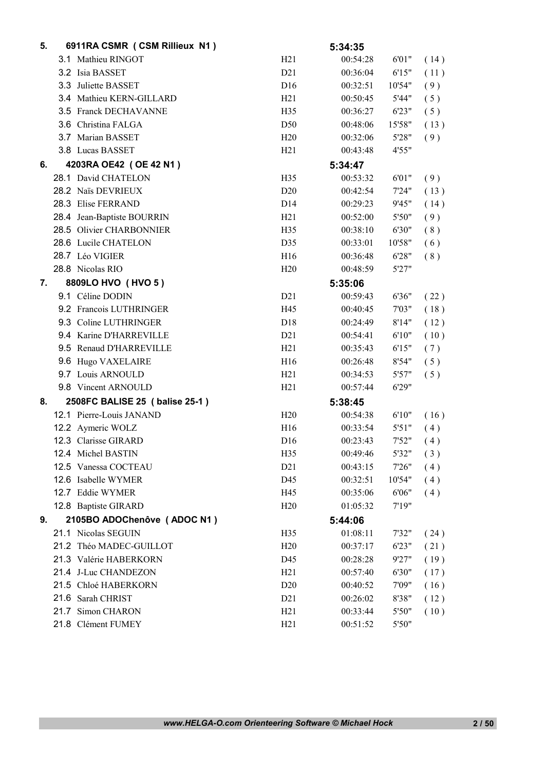| 5. | 6911RA CSMR (CSM Rillieux N1)  |                  | 5:34:35  |        |      |
|----|--------------------------------|------------------|----------|--------|------|
|    | 3.1 Mathieu RINGOT             | H21              | 00:54:28 | 6'01"  | (14) |
|    | 3.2 Isia BASSET                | D21              | 00:36:04 | 6'15"  | (11) |
|    | 3.3 Juliette BASSET            | D <sub>16</sub>  | 00:32:51 | 10'54" | (9)  |
|    | 3.4 Mathieu KERN-GILLARD       | H21              | 00:50:45 | 5'44"  | (5)  |
|    | 3.5 Franck DECHAVANNE          | H <sub>35</sub>  | 00:36:27 | 6'23"  | (5)  |
|    | 3.6 Christina FALGA            | D <sub>50</sub>  | 00:48:06 | 15'58" | (13) |
|    | 3.7 Marian BASSET              | H20              | 00:32:06 | 5'28"  | (9)  |
|    | 3.8 Lucas BASSET               | H21              | 00:43:48 | 4'55"  |      |
| 6. | 4203RA OE42 (OE 42 N1)         |                  | 5:34:47  |        |      |
|    | 28.1 David CHATELON            | H35              | 00:53:32 | 6'01"  | (9)  |
|    | 28.2 Naïs DEVRIEUX             | D20              | 00:42:54 | 7'24"  | (13) |
|    | 28.3 Elise FERRAND             | D14              | 00:29:23 | 9'45"  | (14) |
|    | 28.4 Jean-Baptiste BOURRIN     | H21              | 00:52:00 | 5'50"  | (9)  |
|    | 28.5 Olivier CHARBONNIER       | H <sub>35</sub>  | 00:38:10 | 6'30"  | (8)  |
|    | 28.6 Lucile CHATELON           | D35              | 00:33:01 | 10'58" | (6)  |
|    | 28.7 Léo VIGIER                | H16              | 00:36:48 | 6'28"  | (8)  |
|    | 28.8 Nicolas RIO               | H20              | 00:48:59 | 5'27"  |      |
| 7. | 8809LO HVO (HVO 5)             |                  | 5:35:06  |        |      |
|    | 9.1 Céline DODIN               | D21              | 00:59:43 | 6'36"  | (22) |
|    | 9.2 Francois LUTHRINGER        | H45              | 00:40:45 | 7'03"  | (18) |
|    | 9.3 Coline LUTHRINGER          | D18              | 00:24:49 | 8'14"  | (12) |
|    | 9.4 Karine D'HARREVILLE        | D21              | 00:54:41 | 6'10"  | (10) |
|    | 9.5 Renaud D'HARREVILLE        | H21              | 00:35:43 | 6'15"  | (7)  |
|    | 9.6 Hugo VAXELAIRE             | H <sub>16</sub>  | 00:26:48 | 8'54"  | (5)  |
|    | 9.7 Louis ARNOULD              | H21              | 00:34:53 | 5'57"  | (5)  |
|    | 9.8 Vincent ARNOULD            | H21              | 00:57:44 | 6'29"  |      |
| 8. | 2508FC BALISE 25 (balise 25-1) |                  | 5:38:45  |        |      |
|    | 12.1 Pierre-Louis JANAND       | H20              | 00:54:38 | 6'10"  | (16) |
|    | 12.2 Aymeric WOLZ              | H16              | 00:33:54 | 5'51"  | (4)  |
|    | 12.3 Clarisse GIRARD           | D <sub>16</sub>  | 00:23:43 | 7'52"  | (4)  |
|    | 12.4 Michel BASTIN             | H35              | 00:49:46 | 5'32"  | (3)  |
|    | 12.5 Vanessa COCTEAU           | D <sub>2</sub> 1 | 00:43:15 | 7'26"  | (4)  |
|    | 12.6 Isabelle WYMER            | D45              | 00:32:51 | 10'54" | (4)  |
|    | 12.7 Eddie WYMER               | H45              | 00:35:06 | 6'06"  | (4)  |
|    | 12.8 Baptiste GIRARD           | H20              | 01:05:32 | 7'19"  |      |
| 9. | 2105BO ADOChenôve (ADOC N1)    |                  | 5:44:06  |        |      |
|    | 21.1 Nicolas SEGUIN            | H <sub>35</sub>  | 01:08:11 | 7'32"  | (24) |
|    | 21.2 Théo MADEC-GUILLOT        | H20              | 00:37:17 | 6'23"  | (21) |
|    | 21.3 Valérie HABERKORN         | D45              | 00:28:28 | 9'27"  | (19) |
|    | 21.4 J-Luc CHANDEZON           | H21              | 00:57:40 | 6'30"  | (17) |
|    | 21.5 Chloé HABERKORN           | D20              | 00:40:52 | 7'09"  | (16) |
|    | 21.6 Sarah CHRIST              | D <sub>2</sub> 1 | 00:26:02 | 8'38"  | (12) |
|    | 21.7 Simon CHARON              | H21              | 00:33:44 | 5'50"  | (10) |
|    | 21.8 Clément FUMEY             | H21              | 00:51:52 | 5'50"  |      |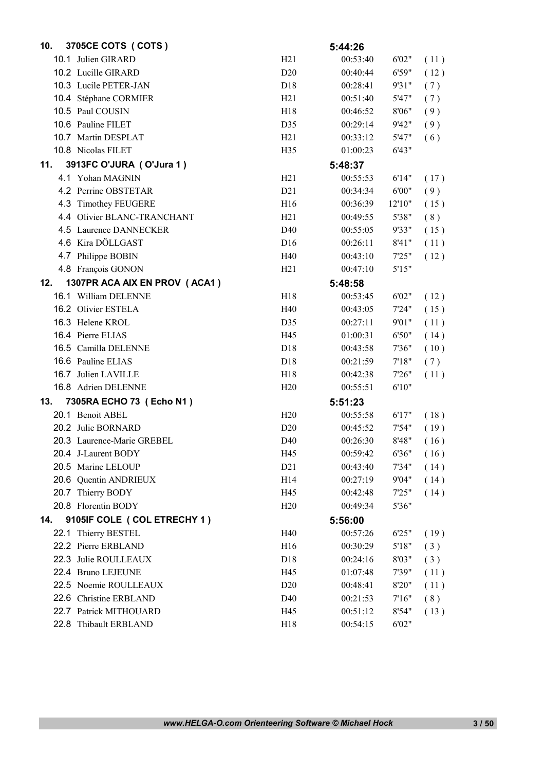| 10. | 3705CE COTS ( COTS )          |                 | 5:44:26  |        |      |
|-----|-------------------------------|-----------------|----------|--------|------|
|     | 10.1 Julien GIRARD            | H21             | 00:53:40 | 6'02"  | (11) |
|     | 10.2 Lucille GIRARD           | D <sub>20</sub> | 00:40:44 | 6'59"  | (12) |
|     | 10.3 Lucile PETER-JAN         | D18             | 00:28:41 | 9'31"  | (7)  |
|     | 10.4 Stéphane CORMIER         | H21             | 00:51:40 | 5'47"  | (7)  |
|     | 10.5 Paul COUSIN              | H <sub>18</sub> | 00:46:52 | 8'06"  | (9)  |
|     | 10.6 Pauline FILET            | D35             | 00:29:14 | 9'42"  | (9)  |
|     | 10.7 Martin DESPLAT           | H21             | 00:33:12 | 5'47"  | (6)  |
|     | 10.8 Nicolas FILET            | H <sub>35</sub> | 01:00:23 | 6'43"  |      |
| 11. | 3913FC O'JURA (O'Jura 1)      |                 | 5:48:37  |        |      |
|     | 4.1 Yohan MAGNIN              | H21             | 00:55:53 | 6'14"  | (17) |
|     | 4.2 Perrine OBSTETAR          | D21             | 00:34:34 | 6'00"  | (9)  |
|     | 4.3 Timothey FEUGERE          | H16             | 00:36:39 | 12'10" | (15) |
|     | 4.4 Olivier BLANC-TRANCHANT   | H21             | 00:49:55 | 5'38"  | (8)  |
|     | 4.5 Laurence DANNECKER        | D40             | 00:55:05 | 9'33"  | (15) |
|     | 4.6 Kira DÖLLGAST             | D <sub>16</sub> | 00:26:11 | 8'41"  | (11) |
|     | 4.7 Philippe BOBIN            | H40             | 00:43:10 | 7'25"  | (12) |
|     | 4.8 François GONON            | H21             | 00:47:10 | 5'15"  |      |
| 12. | 1307PR ACA AIX EN PROV (ACA1) |                 | 5:48:58  |        |      |
|     | 16.1 William DELENNE          | H <sub>18</sub> | 00:53:45 | 6'02"  | (12) |
|     | 16.2 Olivier ESTELA           | H40             | 00:43:05 | 7'24"  | (15) |
|     | 16.3 Helene KROL              | D35             | 00:27:11 | 9'01"  | (11) |
|     | 16.4 Pierre ELIAS             | H45             | 01:00:31 | 6'50"  | (14) |
|     | 16.5 Camilla DELENNE          | D18             | 00:43:58 | 7'36"  | (10) |
|     | 16.6 Pauline ELIAS            | D <sub>18</sub> | 00:21:59 | 7'18"  | (7)  |
|     | 16.7 Julien LAVILLE           | H <sub>18</sub> | 00:42:38 | 7'26"  | (11) |
|     | 16.8 Adrien DELENNE           | H20             | 00:55:51 | 6'10"  |      |
| 13. | 7305RA ECHO 73 (Echo N1)      |                 | 5:51:23  |        |      |
|     | 20.1 Benoit ABEL              | H20             | 00:55:58 | 6'17"  | (18) |
|     | 20.2 Julie BORNARD            | D <sub>20</sub> | 00:45:52 | 7'54"  | (19) |
|     | 20.3 Laurence-Marie GREBEL    | D <sub>40</sub> | 00:26:30 | 8'48"  | (16) |
|     | 20.4 J-Laurent BODY           | H45             | 00:59:42 | 6'36"  | (16) |
|     | 20.5 Marine LELOUP            | D21             | 00:43:40 | 7'34"  | (14) |
|     | 20.6 Quentin ANDRIEUX         | H14             | 00:27:19 | 9'04"  | (14) |
|     | 20.7 Thierry BODY             | H45             | 00:42:48 | 7'25"  | (14) |
|     | 20.8 Florentin BODY           | H20             | 00:49:34 | 5'36"  |      |
| 14. | 9105IF COLE ( COL ETRECHY 1)  |                 | 5:56:00  |        |      |
|     | 22.1 Thierry BESTEL           | H40             | 00:57:26 | 6'25"  | (19) |
|     | 22.2 Pierre ERBLAND           | H16             | 00:30:29 | 5'18"  | (3)  |
|     | 22.3 Julie ROULLEAUX          | D18             | 00:24:16 | 8'03"  | (3)  |
|     | 22.4 Bruno LEJEUNE            | H45             | 01:07:48 | 7'39"  | (11) |
|     | 22.5 Noemie ROULLEAUX         | D20             | 00:48:41 | 8'20"  | (11) |
|     | 22.6 Christine ERBLAND        | D <sub>40</sub> | 00:21:53 | 7'16'' | (8)  |
|     | 22.7 Patrick MITHOUARD        | H45             | 00:51:12 | 8'54"  | (13) |
|     | 22.8 Thibault ERBLAND         | H18             | 00:54:15 | 6'02"  |      |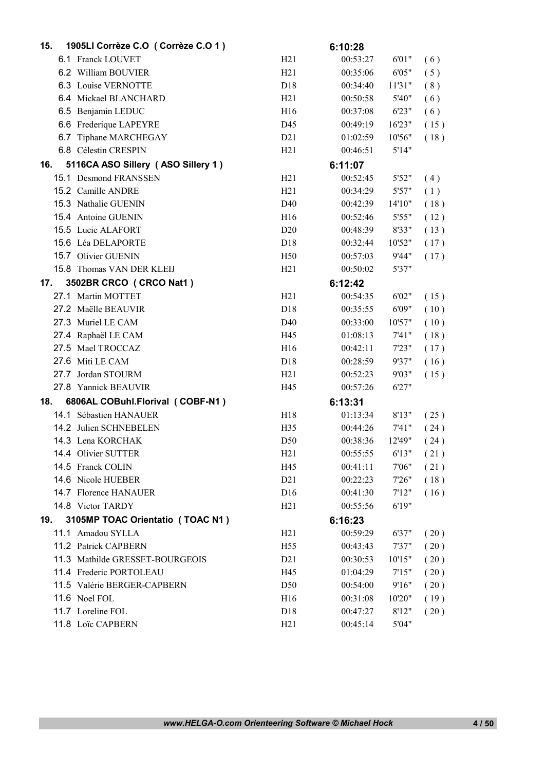| 15. | 1905LI Corrèze C.O (Corrèze C.O 1) |                  | 6:10:28  |         |      |
|-----|------------------------------------|------------------|----------|---------|------|
|     | 6.1 Franck LOUVET                  | H21              | 00:53:27 | 6'01"   | (6)  |
|     | 6.2 William BOUVIER                | H21              | 00:35:06 | 6'05"   | (5)  |
|     | 6.3 Louise VERNOTTE                | D <sub>18</sub>  | 00:34:40 | 11'31"  | (8)  |
|     | 6.4 Mickael BLANCHARD              | H21              | 00:50:58 | 5'40"   | (6)  |
|     | 6.5 Benjamin LEDUC                 | H <sub>16</sub>  | 00:37:08 | 6'23"   | (6)  |
|     | 6.6 Frederique LAPEYRE             | D45              | 00:49:19 | 16'23"  | (15) |
|     | 6.7 Tiphane MARCHEGAY              | D21              | 01:02:59 | 10'56"  | (18) |
|     | 6.8 Célestin CRESPIN               | H21              | 00:46:51 | 5'14"   |      |
| 16. | 5116CA ASO Sillery (ASO Sillery 1) |                  | 6:11:07  |         |      |
|     | 15.1 Desmond FRANSSEN              | H21              | 00:52:45 | 5'52"   | (4)  |
|     | 15.2 Camille ANDRE                 | H21              | 00:34:29 | 5'57"   | (1)  |
|     | 15.3 Nathalie GUENIN               | D40              | 00:42:39 | 14'10'' | (18) |
|     | 15.4 Antoine GUENIN                | H16              | 00:52:46 | 5'55"   | (12) |
|     | 15.5 Lucie ALAFORT                 | D <sub>20</sub>  | 00:48:39 | 8'33"   | (13) |
|     | 15.6 Léa DELAPORTE                 | D <sub>18</sub>  | 00:32:44 | 10'52"  | (17) |
|     | 15.7 Olivier GUENIN                | H <sub>50</sub>  | 00:57:03 | 9'44"   | (17) |
|     | 15.8 Thomas VAN DER KLEIJ          | H21              | 00:50:02 | 5'37"   |      |
| 17. | 3502BR CRCO (CRCO Nat1)            |                  | 6:12:42  |         |      |
|     | 27.1 Martin MOTTET                 | H21              | 00:54:35 | 6'02"   | (15) |
|     | 27.2 Maëlle BEAUVIR                | D <sub>18</sub>  | 00:35:55 | 6'09"   | (10) |
|     | 27.3 Muriel LE CAM                 | D40              | 00:33:00 | 10'57"  | (10) |
|     | 27.4 Raphaël LE CAM                | H45              | 01:08:13 | 7'41"   | (18) |
|     | 27.5 Mael TROCCAZ                  | H16              | 00:42:11 | 7'23"   | (17) |
|     | 27.6 Miti LE CAM                   | D <sub>18</sub>  | 00:28:59 | 9'37"   | (16) |
|     | 27.7 Jordan STOURM                 | H21              | 00:52:23 | 9'03"   | (15) |
|     | 27.8 Yannick BEAUVIR               | H45              | 00:57:26 | 6'27"   |      |
| 18. | 6806AL COBuhl.Florival (COBF-N1)   |                  | 6:13:31  |         |      |
|     | 14.1 Sébastien HANAUER             | H <sub>18</sub>  | 01:13:34 | 8'13"   | (25) |
|     | 14.2 Julien SCHNEBELEN             | H <sub>35</sub>  | 00:44:26 | 7'41"   | (24) |
|     | 14.3 Lena KORCHAK                  | D <sub>50</sub>  | 00:38:36 | 12'49"  | (24) |
|     | 14.4 Olivier SUTTER                | H21              | 00:55:55 | 6'13"   | (21) |
|     | 14.5 Franck COLIN                  | H45              | 00:41:11 | 7'06"   | (21) |
|     | 14.6 Nicole HUEBER                 | D21              | 00:22:23 | 7'26"   | (18) |
|     | 14.7 Florence HANAUER              | D16              | 00:41:30 | 7'12"   | (16) |
|     | 14.8 Victor TARDY                  | H21              | 00:55:56 | 6'19"   |      |
| 19. | 3105MP TOAC Orientatio (TOAC N1)   |                  | 6:16:23  |         |      |
|     | 11.1 Amadou SYLLA                  | H21              | 00:59:29 | 6'37"   | (20) |
|     | 11.2 Patrick CAPBERN               | H <sub>55</sub>  | 00:43:43 | 7'37"   | (20) |
|     | 11.3 Mathilde GRESSET-BOURGEOIS    | D <sub>2</sub> 1 | 00:30:53 | 10'15"  | (20) |
|     | 11.4 Frederic PORTOLEAU            | H45              | 01:04:29 | 7'15"   | (20) |
|     | 11.5 Valérie BERGER-CAPBERN        | D <sub>50</sub>  | 00:54:00 | 9'16"   | (20) |
|     | 11.6 Noel FOL                      | H <sub>16</sub>  | 00:31:08 | 10'20"  | (19) |
|     | 11.7 Loreline FOL                  | D18              | 00:47:27 | 8'12"   | (20) |
|     | 11.8 Loïc CAPBERN                  | H21              | 00:45:14 | 5'04"   |      |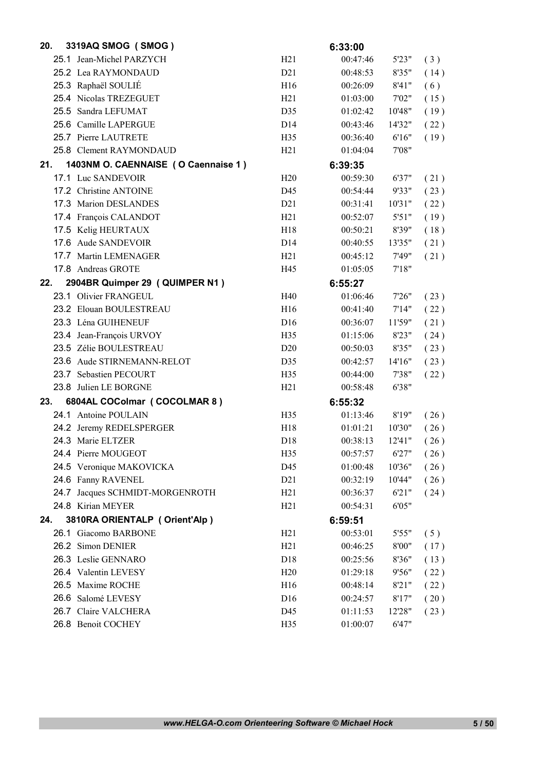| 20. | 3319AQ SMOG (SMOG)                  |                  | 6:33:00  |         |      |
|-----|-------------------------------------|------------------|----------|---------|------|
|     | 25.1 Jean-Michel PARZYCH            | H21              | 00:47:46 | 5'23"   | (3)  |
|     | 25.2 Lea RAYMONDAUD                 | D21              | 00:48:53 | 8'35"   | (14) |
|     | 25.3 Raphaël SOULIÉ                 | H <sub>16</sub>  | 00:26:09 | 8'41"   | (6)  |
|     | 25.4 Nicolas TREZEGUET              | H21              | 01:03:00 | 7'02"   | (15) |
|     | 25.5 Sandra LEFUMAT                 | D35              | 01:02:42 | 10'48"  | (19) |
|     | 25.6 Camille LAPERGUE               | D <sub>14</sub>  | 00:43:46 | 14'32"  | (22) |
|     | 25.7 Pierre LAUTRETE                | H35              | 00:36:40 | 6'16"   | (19) |
|     | 25.8 Clement RAYMONDAUD             | H21              | 01:04:04 | 7'08"   |      |
| 21. | 1403NM O. CAENNAISE (O Caennaise 1) |                  | 6:39:35  |         |      |
|     | 17.1 Luc SANDEVOIR                  | H20              | 00:59:30 | 6'37"   | (21) |
|     | 17.2 Christine ANTOINE              | D45              | 00:54:44 | 9'33"   | (23) |
|     | 17.3 Marion DESLANDES               | D21              | 00:31:41 | 10'31"  | (22) |
|     | 17.4 François CALANDOT              | H21              | 00:52:07 | 5'51"   | (19) |
|     | 17.5 Kelig HEURTAUX                 | H <sub>18</sub>  | 00:50:21 | 8'39"   | (18) |
|     | 17.6 Aude SANDEVOIR                 | D <sub>14</sub>  | 00:40:55 | 13'35"  | (21) |
|     | 17.7 Martin LEMENAGER               | H21              | 00:45:12 | 7'49"   | (21) |
|     | 17.8 Andreas GROTE                  | H45              | 01:05:05 | 7'18"   |      |
| 22. | 2904BR Quimper 29 (QUIMPER N1)      |                  | 6:55:27  |         |      |
|     | 23.1 Olivier FRANGEUL               | H40              | 01:06:46 | 7'26"   | (23) |
|     | 23.2 Elouan BOULESTREAU             | H <sub>16</sub>  | 00:41:40 | 7'14"   | (22) |
|     | 23.3 Léna GUIHENEUF                 | D <sub>16</sub>  | 00:36:07 | 11'59"  | (21) |
|     | 23.4 Jean-François URVOY            | H35              | 01:15:06 | 8'23"   | (24) |
|     | 23.5 Zélie BOULESTREAU              | D20              | 00:50:03 | 8'35"   | (23) |
|     | 23.6 Aude STIRNEMANN-RELOT          | D35              | 00:42:57 | 14'16"  | (23) |
|     | 23.7 Sebastien PECOURT              | H <sub>35</sub>  | 00:44:00 | 7'38"   | (22) |
|     | 23.8 Julien LE BORGNE               | H21              | 00:58:48 | 6'38"   |      |
| 23. | 6804AL COColmar (COCOLMAR 8)        |                  | 6:55:32  |         |      |
|     | 24.1 Antoine POULAIN                | H <sub>35</sub>  | 01:13:46 | 8'19"   | (26) |
|     | 24.2 Jeremy REDELSPERGER            | H <sub>18</sub>  | 01:01:21 | 10'30"  | (26) |
|     | 24.3 Marie ELTZER                   | D <sub>18</sub>  | 00:38:13 | 12'41'' | (26) |
|     | 24.4 Pierre MOUGEOT                 | H35              | 00:57:57 | 6'27"   | (26) |
|     | 24.5 Veronique MAKOVICKA            | D45              | 01:00:48 | 10'36"  | (26) |
|     | 24.6 Fanny RAVENEL                  | D <sub>2</sub> 1 | 00:32:19 | 10'44"  | (26) |
|     | 24.7 Jacques SCHMIDT-MORGENROTH     | H21              | 00:36:37 | 6'21"   | (24) |
|     | 24.8 Kirian MEYER                   | H <sub>21</sub>  | 00:54:31 | 6'05"   |      |
| 24. | 3810RA ORIENTALP (Orient'Alp)       |                  | 6:59:51  |         |      |
|     | 26.1 Giacomo BARBONE                | H21              | 00:53:01 | 5'55"   | (5)  |
|     | 26.2 Simon DENIER                   | H21              | 00:46:25 | 8'00"   | (17) |
|     | 26.3 Leslie GENNARO                 | D18              | 00:25:56 | 8'36"   | (13) |
|     | 26.4 Valentin LEVESY                | H20              | 01:29:18 | 9'56"   | (22) |
|     | 26.5 Maxime ROCHE                   | H16              | 00:48:14 | 8'21"   | (22) |
|     | 26.6 Salomé LEVESY                  | D16              | 00:24:57 | 8'17"   | (20) |
|     | 26.7 Claire VALCHERA                | D45              | 01:11:53 | 12'28"  | (23) |
|     | 26.8 Benoit COCHEY                  | H35              | 01:00:07 | 6'47"   |      |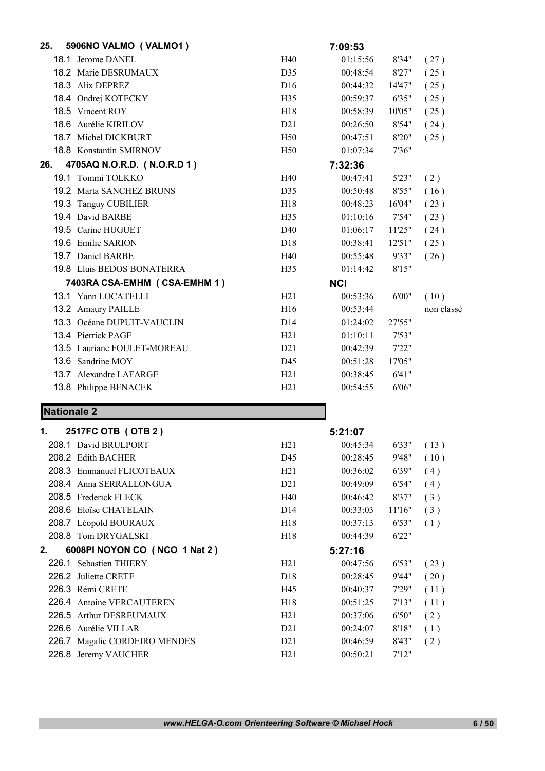| 25.                | 5906NO VALMO (VALMO1)         |                 | 7:09:53    |        |            |
|--------------------|-------------------------------|-----------------|------------|--------|------------|
|                    | 18.1 Jerome DANEL             | H40             | 01:15:56   | 8'34"  | (27)       |
|                    | 18.2 Marie DESRUMAUX          | D35             | 00:48:54   | 8'27"  | (25)       |
|                    | 18.3 Alix DEPREZ              | D16             | 00:44:32   | 14'47" | (25)       |
|                    | 18.4 Ondrej KOTECKY           | H35             | 00:59:37   | 6'35"  | (25)       |
|                    | 18.5 Vincent ROY              | H <sub>18</sub> | 00:58:39   | 10'05" | (25)       |
|                    | 18.6 Aurélie KIRILOV          | D21             | 00:26:50   | 8'54"  | (24)       |
|                    | 18.7 Michel DICKBURT          | H50             | 00:47:51   | 8'20"  | (25)       |
|                    | 18.8 Konstantin SMIRNOV       | H50             | 01:07:34   | 7'36"  |            |
| 26.                | 4705AQ N.O.R.D. (N.O.R.D 1)   |                 | 7:32:36    |        |            |
|                    | 19.1 Tommi TOLKKO             | H40             | 00:47:41   | 5'23"  | (2)        |
|                    | 19.2 Marta SANCHEZ BRUNS      | D35             | 00:50:48   | 8'55"  | (16)       |
|                    | 19.3 Tanguy CUBILIER          | H18             | 00:48:23   | 16'04" | (23)       |
|                    | 19.4 David BARBE              | H <sub>35</sub> | 01:10:16   | 7'54"  | (23)       |
|                    | 19.5 Carine HUGUET            | D40             | 01:06:17   | 11'25" | (24)       |
|                    | 19.6 Emilie SARION            | D <sub>18</sub> | 00:38:41   | 12'51" | (25)       |
|                    | 19.7 Daniel BARBE             | H40             | 00:55:48   | 9'33"  | (26)       |
|                    | 19.8 Lluis BEDOS BONATERRA    | H35             | 01:14:42   | 8'15"  |            |
|                    | 7403RA CSA-EMHM (CSA-EMHM 1)  |                 | <b>NCI</b> |        |            |
|                    | 13.1 Yann LOCATELLI           | H21             | 00:53:36   | 6'00"  | (10)       |
|                    | 13.2 Amaury PAILLE            | H16             | 00:53:44   |        | non classé |
|                    | 13.3 Océane DUPUIT-VAUCLIN    | D <sub>14</sub> | 01:24:02   | 27'55" |            |
|                    | 13.4 Pierrick PAGE            | H21             | 01:10:11   | 7'53"  |            |
|                    | 13.5 Lauriane FOULET-MOREAU   | D21             | 00:42:39   | 7'22"  |            |
|                    | 13.6 Sandrine MOY             | D45             | 00:51:28   | 17'05" |            |
|                    | 13.7 Alexandre LAFARGE        | H21             | 00:38:45   | 6'41"  |            |
|                    | 13.8 Philippe BENACEK         | H21             | 00:54:55   | 6'06"  |            |
| <b>Nationale 2</b> |                               |                 |            |        |            |
| 1.                 | 2517FC OTB (OTB 2)            |                 | 5:21:07    |        |            |
|                    | 208.1 David BRULPORT          | H21             | 00:45:34   | 6'33"  | (13)       |
|                    | 208.2 Edith BACHER            | D45             | 00:28:45   | 9'48"  | (10)       |
|                    | 208.3 Emmanuel FLICOTEAUX     | H21             | 00:36:02   | 6'39"  | (4)        |
|                    | 208.4 Anna SERRALLONGUA       | D21             | 00:49:09   | 6'54"  | (4)        |
|                    | 208.5 Frederick FLECK         | H40             | 00:46:42   | 8'37"  | (3)        |
|                    | 208.6 Eloïse CHATELAIN        | D14             | 00:33:03   | 11'16" | (3)        |
|                    | 208.7 Léopold BOURAUX         | H18             | 00:37:13   | 6'53"  | (1)        |
|                    | 208.8 Tom DRYGALSKI           | H18             | 00:44:39   | 6'22"  |            |
| 2.                 | 6008PI NOYON CO (NCO 1 Nat 2) |                 | 5:27:16    |        |            |

226.1 Sebastien THIERY H21 00:47:56 6'53" ( 23 ) 226.2 Juliette CRETE D18 00:28:45 9'44" ( 20 ) 226.3 Rémi CRETE H45 00:40:37 7'29" (11) 226.4 Antoine VERCAUTEREN H18 00:51:25 7'13" (11) 226.5 Arthur DESREUMAUX H21 00:37:06 6'50" ( 2 ) 226.6 Aurélie VILLAR D21 00:24:07 8'18" ( 1 ) 226.7 Magalie CORDEIRO MENDES D21 00:46:59 8'43" ( 2 )

226.8 Jeremy VAUCHER H21 00:50:21 7'12"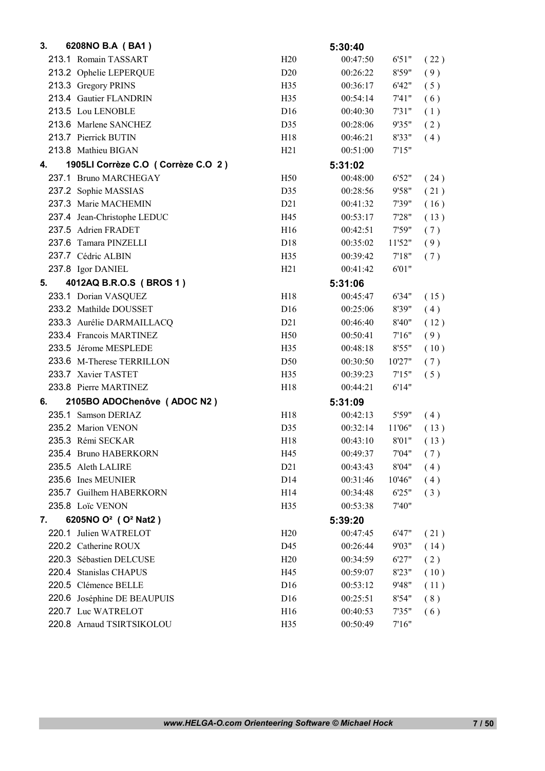| 3. | 6208NO B.A (BA1)                            |                 | 5:30:40  |        |      |
|----|---------------------------------------------|-----------------|----------|--------|------|
|    | 213.1 Romain TASSART                        | H20             | 00:47:50 | 6'51"  | (22) |
|    | 213.2 Ophelie LEPERQUE                      | D <sub>20</sub> | 00:26:22 | 8'59"  | (9)  |
|    | 213.3 Gregory PRINS                         | H <sub>35</sub> | 00:36:17 | 6'42"  | (5)  |
|    | 213.4 Gautier FLANDRIN                      | H35             | 00:54:14 | 7'41'' | (6)  |
|    | 213.5 Lou LENOBLE                           | D <sub>16</sub> | 00:40:30 | 7'31"  | (1)  |
|    | 213.6 Marlene SANCHEZ                       | D35             | 00:28:06 | 9'35"  | (2)  |
|    | 213.7 Pierrick BUTIN                        | H18             | 00:46:21 | 8'33"  | (4)  |
|    | 213.8 Mathieu BIGAN                         | H <sub>21</sub> | 00:51:00 | 7'15"  |      |
| 4. | 1905LI Corrèze C.O (Corrèze C.O 2)          |                 | 5:31:02  |        |      |
|    | 237.1 Bruno MARCHEGAY                       | H50             | 00:48:00 | 6'52"  | (24) |
|    | 237.2 Sophie MASSIAS                        | D35             | 00:28:56 | 9'58"  | (21) |
|    | 237.3 Marie MACHEMIN                        | D21             | 00:41:32 | 7'39"  | (16) |
|    | 237.4 Jean-Christophe LEDUC                 | H45             | 00:53:17 | 7'28"  | (13) |
|    | 237.5 Adrien FRADET                         | H16             | 00:42:51 | 7'59"  | (7)  |
|    | 237.6 Tamara PINZELLI                       | D <sub>18</sub> | 00:35:02 | 11'52" | (9)  |
|    | 237.7 Cédric ALBIN                          | H35             | 00:39:42 | 7'18"  | (7)  |
|    | 237.8 Igor DANIEL                           | H21             | 00:41:42 | 6'01"  |      |
| 5. | 4012AQ B.R.O.S (BROS 1)                     |                 | 5:31:06  |        |      |
|    | 233.1 Dorian VASQUEZ                        | H <sub>18</sub> | 00:45:47 | 6'34"  | (15) |
|    | 233.2 Mathilde DOUSSET                      | D <sub>16</sub> | 00:25:06 | 8'39"  | (4)  |
|    | 233.3 Aurélie DARMAILLACQ                   | D21             | 00:46:40 | 8'40'' | (12) |
|    | 233.4 Francois MARTINEZ                     | H <sub>50</sub> | 00:50:41 | 7'16"  | (9)  |
|    | 233.5 Jérome MESPLEDE                       | H35             | 00:48:18 | 8'55"  | (10) |
|    | 233.6 M-Therese TERRILLON                   | D <sub>50</sub> | 00:30:50 | 10'27" | (7)  |
|    | 233.7 Xavier TASTET                         | H35             | 00:39:23 | 7'15"  | (5)  |
|    | 233.8 Pierre MARTINEZ                       | H18             | 00:44:21 | 6'14"  |      |
| 6. | 2105BO ADOChenôve (ADOC N2)                 |                 | 5:31:09  |        |      |
|    | 235.1 Samson DERIAZ                         | H18             | 00:42:13 | 5'59"  | (4)  |
|    | 235.2 Marion VENON                          | D35             | 00:32:14 | 11'06" | (13) |
|    | 235.3 Rémi SECKAR                           | H <sub>18</sub> | 00:43:10 | 8'01"  | (13) |
|    | 235.4 Bruno HABERKORN                       | H45             | 00:49:37 | 7'04"  | (7)  |
|    | 235.5 Aleth LALIRE                          | D21             | 00:43:43 | 8'04"  | (4)  |
|    | 235.6 Ines MEUNIER                          | D <sub>14</sub> | 00:31:46 | 10'46" | (4)  |
|    | 235.7 Guilhem HABERKORN                     | H14             | 00:34:48 | 6'25"  | (3)  |
|    | 235.8 Loïc VENON                            | H35             | 00:53:38 | 7'40"  |      |
| 7. | 6205NO O <sup>2</sup> (O <sup>2</sup> Nat2) |                 | 5:39:20  |        |      |
|    | 220.1 Julien WATRELOT                       | H20             | 00:47:45 | 6'47"  | (21) |
|    | 220.2 Catherine ROUX                        | D45             | 00:26:44 | 9'03"  | (14) |
|    | 220.3 Sébastien DELCUSE                     | H20             | 00:34:59 | 6'27"  | (2)  |
|    | 220.4 Stanislas CHAPUS                      | H45             | 00:59:07 | 8'23"  | (10) |
|    | 220.5 Clémence BELLE                        | D16             | 00:53:12 | 9'48"  | (11) |
|    | 220.6 Joséphine DE BEAUPUIS                 | D16             | 00:25:51 | 8'54"  | (8)  |
|    | 220.7 Luc WATRELOT                          | H <sub>16</sub> | 00:40:53 | 7'35"  | (6)  |
|    | 220.8 Arnaud TSIRTSIKOLOU                   | H35             | 00:50:49 | 7'16'' |      |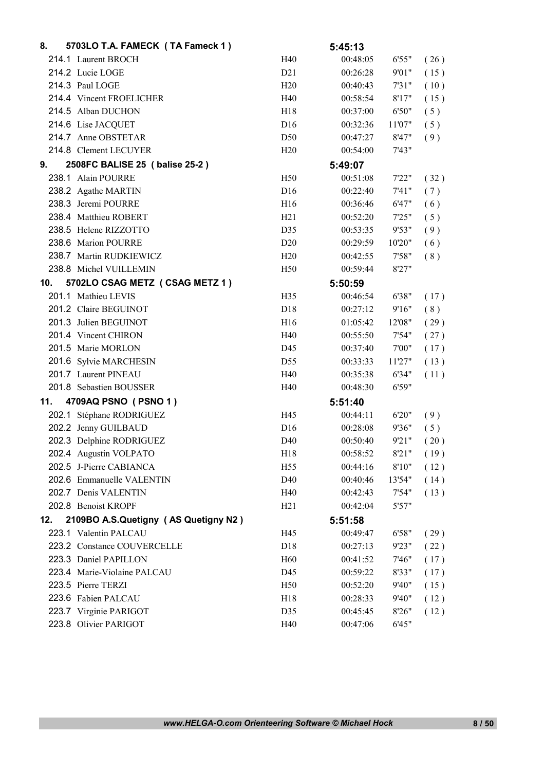| 8.  | 5703LO T.A. FAMECK (TA Fameck 1)     |                 | 5:45:13  |        |      |
|-----|--------------------------------------|-----------------|----------|--------|------|
|     | 214.1 Laurent BROCH                  | H40             | 00:48:05 | 6'55"  | (26) |
|     | 214.2 Lucie LOGE                     | D21             | 00:26:28 | 9'01"  | (15) |
|     | 214.3 Paul LOGE                      | H20             | 00:40:43 | 7'31"  | (10) |
|     | 214.4 Vincent FROELICHER             | H40             | 00:58:54 | 8'17"  | (15) |
|     | 214.5 Alban DUCHON                   | H18             | 00:37:00 | 6'50"  | (5)  |
|     | 214.6 Lise JACQUET                   | D <sub>16</sub> | 00:32:36 | 11'07" | (5)  |
|     | 214.7 Anne OBSTETAR                  | D <sub>50</sub> | 00:47:27 | 8'47"  | (9)  |
|     | 214.8 Clement LECUYER                | H20             | 00:54:00 | 7'43"  |      |
| 9.  | 2508FC BALISE 25 ( balise 25-2 )     |                 | 5:49:07  |        |      |
|     | 238.1 Alain POURRE                   | H50             | 00:51:08 | 7'22"  | (32) |
|     | 238.2 Agathe MARTIN                  | D <sub>16</sub> | 00:22:40 | 7'41"  | (7)  |
|     | 238.3 Jeremi POURRE                  | H16             | 00:36:46 | 6'47"  | (6)  |
|     | 238.4 Matthieu ROBERT                | H21             | 00:52:20 | 7'25"  | (5)  |
|     | 238.5 Helene RIZZOTTO                | D35             | 00:53:35 | 9'53"  | (9)  |
|     | 238.6 Marion POURRE                  | D20             | 00:29:59 | 10'20" | (6)  |
|     | 238.7 Martin RUDKIEWICZ              | H20             | 00:42:55 | 7'58"  | (8)  |
|     | 238.8 Michel VUILLEMIN               | H <sub>50</sub> | 00:59:44 | 8'27"  |      |
| 10. | 5702LO CSAG METZ (CSAG METZ 1)       |                 | 5:50:59  |        |      |
|     | 201.1 Mathieu LEVIS                  | H35             | 00:46:54 | 6'38"  | (17) |
|     | 201.2 Claire BEGUINOT                | D <sub>18</sub> | 00:27:12 | 9'16"  | (8)  |
|     | 201.3 Julien BEGUINOT                | H16             | 01:05:42 | 12'08" | (29) |
|     | 201.4 Vincent CHIRON                 | H40             | 00:55:50 | 7'54"  | (27) |
|     | 201.5 Marie MORLON                   | D45             | 00:37:40 | 7'00"  | (17) |
|     | 201.6 Sylvie MARCHESIN               | D <sub>55</sub> | 00:33:33 | 11'27" | (13) |
|     | 201.7 Laurent PINEAU                 | H40             | 00:35:38 | 6'34"  | (11) |
|     | 201.8 Sebastien BOUSSER              | H40             | 00:48:30 | 6'59"  |      |
| 11. | 4709AQ PSNO (PSNO 1)                 |                 | 5:51:40  |        |      |
|     | 202.1 Stéphane RODRIGUEZ             | H45             | 00:44:11 | 6'20"  | (9)  |
|     | 202.2 Jenny GUILBAUD                 | D <sub>16</sub> | 00:28:08 | 9'36"  | (5)  |
|     | 202.3 Delphine RODRIGUEZ             | D <sub>40</sub> | 00:50:40 | 9'21"  | (20) |
|     | 202.4 Augustin VOLPATO               | H18             | 00:58:52 | 8'21"  | (19) |
|     | 202.5 J-Pierre CABIANCA              | H <sub>55</sub> | 00:44:16 | 8'10"  | (12) |
|     | 202.6 Emmanuelle VALENTIN            | D40             | 00:40:46 | 13'54" | (14) |
|     | 202.7 Denis VALENTIN                 | H40             | 00:42:43 | 7'54"  | (13) |
|     | 202.8 Benoist KROPF                  | H21             | 00:42:04 | 5'57"  |      |
| 12. | 2109BO A.S.Quetigny (AS Quetigny N2) |                 | 5:51:58  |        |      |
|     | 223.1 Valentin PALCAU                | H45             | 00:49:47 | 6'58"  | (29) |
|     | 223.2 Constance COUVERCELLE          | D18             | 00:27:13 | 9'23"  | (22) |
|     | 223.3 Daniel PAPILLON                | H <sub>60</sub> | 00:41:52 | 7'46"  | (17) |
|     | 223.4 Marie-Violaine PALCAU          | D45             | 00:59:22 | 8'33"  | (17) |
|     | 223.5 Pierre TERZI                   | H <sub>50</sub> | 00:52:20 | 9'40"  | (15) |
|     | 223.6 Fabien PALCAU                  | H18             | 00:28:33 | 9'40"  | (12) |
|     | 223.7 Virginie PARIGOT               | D35             | 00:45:45 | 8'26"  | (12) |
|     | 223.8 Olivier PARIGOT                | H40             | 00:47:06 | 6'45"  |      |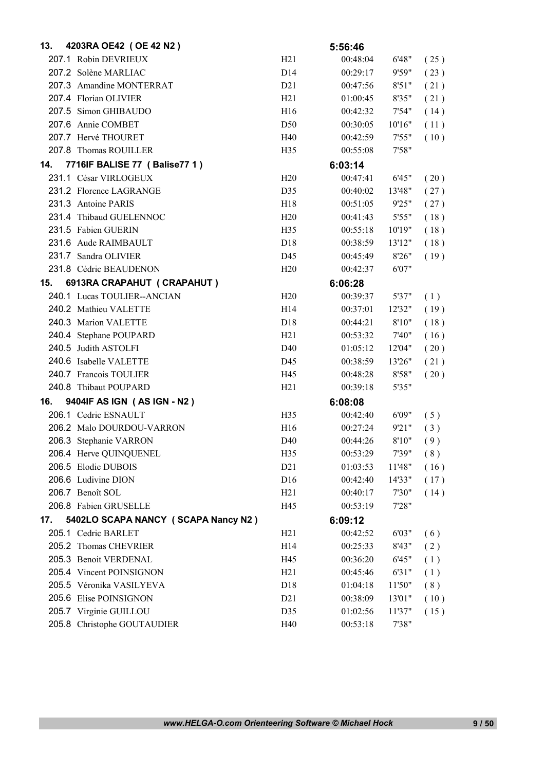| 13. | 4203RA OE42 (OE 42 N2)              |                  | 5:56:46  |        |      |
|-----|-------------------------------------|------------------|----------|--------|------|
|     | 207.1 Robin DEVRIEUX                | H21              | 00:48:04 | 6'48"  | (25) |
|     | 207.2 Solène MARLIAC                | D <sub>14</sub>  | 00:29:17 | 9'59"  | (23) |
|     | 207.3 Amandine MONTERRAT            | D21              | 00:47:56 | 8'51"  | (21) |
|     | 207.4 Florian OLIVIER               | H21              | 01:00:45 | 8'35"  | (21) |
|     | 207.5 Simon GHIBAUDO                | H16              | 00:42:32 | 7'54"  | (14) |
|     | 207.6 Annie COMBET                  | D <sub>50</sub>  | 00:30:05 | 10'16" | (11) |
|     | 207.7 Hervé THOURET                 | H40              | 00:42:59 | 7'55"  | (10) |
|     | 207.8 Thomas ROUILLER               | H <sub>35</sub>  | 00:55:08 | 7'58"  |      |
| 14. | 7716IF BALISE 77 (Balise77 1)       |                  | 6:03:14  |        |      |
|     | 231.1 César VIRLOGEUX               | H20              | 00:47:41 | 6'45"  | (20) |
|     | 231.2 Florence LAGRANGE             | D35              | 00:40:02 | 13'48" | (27) |
|     | 231.3 Antoine PARIS                 | H18              | 00:51:05 | 9'25"  | (27) |
|     | 231.4 Thibaud GUELENNOC             | H20              | 00:41:43 | 5'55"  | (18) |
|     | 231.5 Fabien GUERIN                 | H <sub>35</sub>  | 00:55:18 | 10'19" | (18) |
|     | 231.6 Aude RAIMBAULT                | D <sub>18</sub>  | 00:38:59 | 13'12" | (18) |
|     | 231.7 Sandra OLIVIER                | D45              | 00:45:49 | 8'26"  | (19) |
|     | 231.8 Cédric BEAUDENON              | H20              | 00:42:37 | 6'07"  |      |
| 15. | 6913RA CRAPAHUT (CRAPAHUT)          |                  | 6:06:28  |        |      |
|     | 240.1 Lucas TOULIER--ANCIAN         | H20              | 00:39:37 | 5'37"  | (1)  |
|     | 240.2 Mathieu VALETTE               | H <sub>14</sub>  | 00:37:01 | 12'32" | (19) |
|     | 240.3 Marion VALETTE                | D <sub>18</sub>  | 00:44:21 | 8'10"  | (18) |
|     | 240.4 Stephane POUPARD              | H21              | 00:53:32 | 7'40"  | (16) |
|     | 240.5 Judith ASTOLFI                | D40              | 01:05:12 | 12'04" | (20) |
|     | 240.6 Isabelle VALETTE              | D45              | 00:38:59 | 13'26" | (21) |
|     | 240.7 Francois TOULIER              | H45              | 00:48:28 | 8'58"  | (20) |
|     | 240.8 Thibaut POUPARD               | H21              | 00:39:18 | 5'35"  |      |
| 16. | 9404IF AS IGN (AS IGN - N2)         |                  | 6:08:08  |        |      |
|     | 206.1 Cedric ESNAULT                | H <sub>35</sub>  | 00:42:40 | 6'09"  | (5)  |
|     | 206.2 Malo DOURDOU-VARRON           | H <sub>16</sub>  | 00:27:24 | 9'21"  | (3)  |
|     | 206.3 Stephanie VARRON              | D <sub>40</sub>  | 00:44:26 | 8'10"  | (9)  |
|     | 206.4 Herve QUINQUENEL              | H35              | 00:53:29 | 7'39"  | (8)  |
|     | 206.5 Elodie DUBOIS                 | D21              | 01:03:53 | 11'48" | (16) |
|     | 206.6 Ludivine DION                 | D16              | 00:42:40 | 14'33" | (17) |
|     | 206.7 Benoît SOL                    | H21              | 00:40:17 | 7'30"  | (14) |
|     | 206.8 Fabien GRUSELLE               | H45              | 00:53:19 | 7'28"  |      |
| 17. | 5402LO SCAPA NANCY (SCAPA Nancy N2) |                  | 6:09:12  |        |      |
|     | 205.1 Cedric BARLET                 | H21              | 00:42:52 | 6'03"  | (6)  |
|     | 205.2 Thomas CHEVRIER               | H14              | 00:25:33 | 8'43"  | (2)  |
|     | 205.3 Benoit VERDENAL               | H45              | 00:36:20 | 6'45"  | (1)  |
|     | 205.4 Vincent POINSIGNON            | H21              | 00:45:46 | 6'31"  | (1)  |
|     | 205.5 Véronika VASILYEVA            | D <sub>18</sub>  | 01:04:18 | 11'50" | (8)  |
|     | 205.6 Elise POINSIGNON              | D <sub>2</sub> 1 | 00:38:09 | 13'01" | (10) |
|     | 205.7 Virginie GUILLOU              | D35              | 01:02:56 | 11'37" | (15) |
|     | 205.8 Christophe GOUTAUDIER         | H40              | 00:53:18 | 7'38"  |      |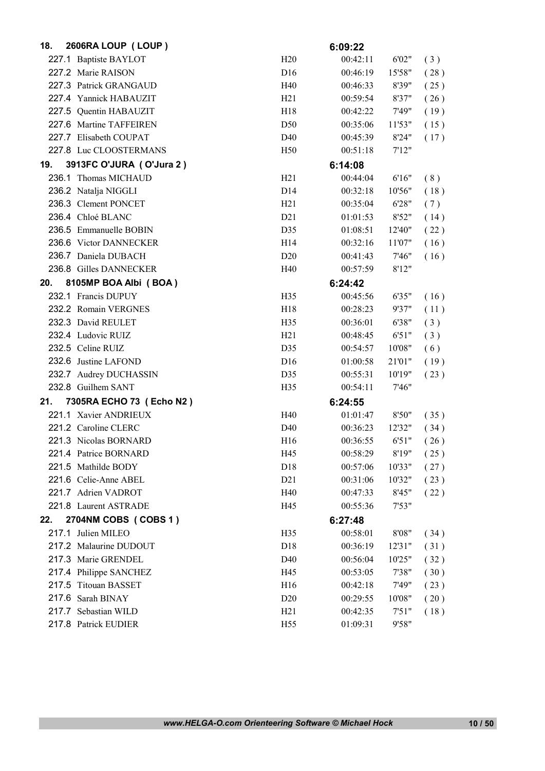| 18. | 2606RA LOUP (LOUP)       |                 | 6:09:22  |        |      |
|-----|--------------------------|-----------------|----------|--------|------|
|     | 227.1 Baptiste BAYLOT    | H20             | 00:42:11 | 6'02"  | (3)  |
|     | 227.2 Marie RAISON       | D <sub>16</sub> | 00:46:19 | 15'58" | (28) |
|     | 227.3 Patrick GRANGAUD   | H40             | 00:46:33 | 8'39"  | (25) |
|     | 227.4 Yannick HABAUZIT   | H21             | 00:59:54 | 8'37"  | (26) |
|     | 227.5 Quentin HABAUZIT   | H18             | 00:42:22 | 7'49"  | (19) |
|     | 227.6 Martine TAFFEIREN  | D <sub>50</sub> | 00:35:06 | 11'53" | (15) |
|     | 227.7 Elisabeth COUPAT   | D40             | 00:45:39 | 8'24"  | (17) |
|     | 227.8 Luc CLOOSTERMANS   | H <sub>50</sub> | 00:51:18 | 7'12"  |      |
| 19. | 3913FC O'JURA (O'Jura 2) |                 | 6:14:08  |        |      |
|     | 236.1 Thomas MICHAUD     | H21             | 00:44:04 | 6'16"  | (8)  |
|     | 236.2 Natalja NIGGLI     | D <sub>14</sub> | 00:32:18 | 10'56" | (18) |
|     | 236.3 Clement PONCET     | H21             | 00:35:04 | 6'28"  | (7)  |
|     | 236.4 Chloé BLANC        | D21             | 01:01:53 | 8'52"  | (14) |
|     | 236.5 Emmanuelle BOBIN   | D35             | 01:08:51 | 12'40" | (22) |
|     | 236.6 Victor DANNECKER   | H <sub>14</sub> | 00:32:16 | 11'07" | (16) |
|     | 236.7 Daniela DUBACH     | D20             | 00:41:43 | 7'46"  | (16) |
|     | 236.8 Gilles DANNECKER   | H40             | 00:57:59 | 8'12"  |      |
| 20. | 8105MP BOA Albi (BOA)    |                 | 6:24:42  |        |      |
|     | 232.1 Francis DUPUY      | H <sub>35</sub> | 00:45:56 | 6'35"  | (16) |
|     | 232.2 Romain VERGNES     | H18             | 00:28:23 | 9'37"  | (11) |
|     | 232.3 David REULET       | H <sub>35</sub> | 00:36:01 | 6'38"  | (3)  |
|     | 232.4 Ludovic RUIZ       | H21             | 00:48:45 | 6'51"  | (3)  |
|     | 232.5 Celine RUIZ        | D35             | 00:54:57 | 10'08" | (6)  |
|     | 232.6 Justine LAFOND     | D <sub>16</sub> | 01:00:58 | 21'01" | (19) |
|     | 232.7 Audrey DUCHASSIN   | D35             | 00:55:31 | 10'19" | (23) |
|     | 232.8 Guilhem SANT       | H <sub>35</sub> | 00:54:11 | 7'46"  |      |
| 21. | 7305RA ECHO 73 (Echo N2) |                 | 6:24:55  |        |      |
|     | 221.1 Xavier ANDRIEUX    | H40             | 01:01:47 | 8'50"  | (35) |
|     | 221.2 Caroline CLERC     | D40             | 00:36:23 | 12'32" | (34) |
|     | 221.3 Nicolas BORNARD    | H <sub>16</sub> | 00:36:55 | 6'51"  | (26) |
|     | 221.4 Patrice BORNARD    | H45             | 00:58:29 | 8'19"  | (25) |
|     | 221.5 Mathilde BODY      | D <sub>18</sub> | 00:57:06 | 10'33" | (27) |
|     | 221.6 Celie-Anne ABEL    | D21             | 00:31:06 | 10'32" | (23) |
|     | 221.7 Adrien VADROT      | H40             | 00:47:33 | 8'45"  | (22) |
|     | 221.8 Laurent ASTRADE    | H45             | 00:55:36 | 7'53"  |      |
| 22. | 2704NM COBS (COBS 1)     |                 | 6:27:48  |        |      |
|     | 217.1 Julien MILEO       | H35             | 00:58:01 | 8'08"  | (34) |
|     | 217.2 Malaurine DUDOUT   | D <sub>18</sub> | 00:36:19 | 12'31" | (31) |
|     | 217.3 Marie GRENDEL      | D40             | 00:56:04 | 10'25" | (32) |
|     | 217.4 Philippe SANCHEZ   | H45             | 00:53:05 | 7'38"  | (30) |
|     | 217.5 Titouan BASSET     | H <sub>16</sub> | 00:42:18 | 7'49"  | (23) |
|     | 217.6 Sarah BINAY        | D <sub>20</sub> | 00:29:55 | 10'08" | (20) |
|     | 217.7 Sebastian WILD     | H21             | 00:42:35 | 7'51"  | (18) |
|     | 217.8 Patrick EUDIER     | H <sub>55</sub> | 01:09:31 | 9'58"  |      |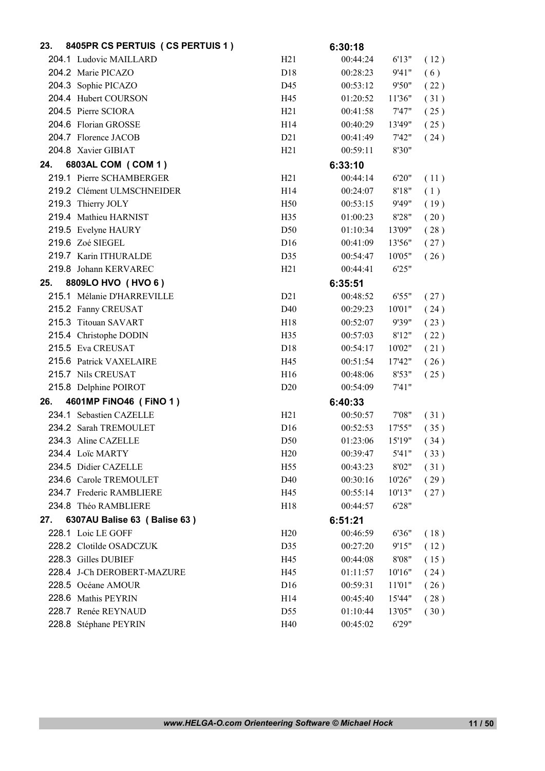| 23. | 8405PR CS PERTUIS (CS PERTUIS 1) |                 | 6:30:18  |        |      |
|-----|----------------------------------|-----------------|----------|--------|------|
|     | 204.1 Ludovic MAILLARD           | H <sub>21</sub> | 00:44:24 | 6'13"  | (12) |
|     | 204.2 Marie PICAZO               | D <sub>18</sub> | 00:28:23 | 9'41"  | (6)  |
|     | 204.3 Sophie PICAZO              | D45             | 00:53:12 | 9'50"  | (22) |
|     | 204.4 Hubert COURSON             | H45             | 01:20:52 | 11'36" | (31) |
|     | 204.5 Pierre SCIORA              | H21             | 00:41:58 | 7'47"  | (25) |
|     | 204.6 Florian GROSSE             | H14             | 00:40:29 | 13'49" | (25) |
|     | 204.7 Florence JACOB             | D21             | 00:41:49 | 7'42"  | (24) |
|     | 204.8 Xavier GIBIAT              | H <sub>21</sub> | 00:59:11 | 8'30"  |      |
| 24. | 6803AL COM (COM 1)               |                 | 6:33:10  |        |      |
|     | 219.1 Pierre SCHAMBERGER         | H21             | 00:44:14 | 6'20"  | (11) |
|     | 219.2 Clément ULMSCHNEIDER       | H14             | 00:24:07 | 8'18"  | (1)  |
|     | 219.3 Thierry JOLY               | H <sub>50</sub> | 00:53:15 | 9'49"  | (19) |
|     | 219.4 Mathieu HARNIST            | H35             | 01:00:23 | 8'28"  | (20) |
|     | 219.5 Evelyne HAURY              | D <sub>50</sub> | 01:10:34 | 13'09" | (28) |
|     | 219.6 Zoé SIEGEL                 | D <sub>16</sub> | 00:41:09 | 13'56" | (27) |
|     | 219.7 Karin ITHURALDE            | D35             | 00:54:47 | 10'05" | (26) |
|     | 219.8 Johann KERVAREC            | H21             | 00:44:41 | 6'25"  |      |
| 25. | 8809LO HVO (HVO 6)               |                 | 6:35:51  |        |      |
|     | 215.1 Mélanie D'HARREVILLE       | D21             | 00:48:52 | 6'55"  | (27) |
|     | 215.2 Fanny CREUSAT              | D40             | 00:29:23 | 10'01" | (24) |
|     | 215.3 Titouan SAVART             | H18             | 00:52:07 | 9'39"  | (23) |
|     | 215.4 Christophe DODIN           | H35             | 00:57:03 | 8'12"  | (22) |
|     | 215.5 Eva CREUSAT                | D18             | 00:54:17 | 10'02" | (21) |
|     | 215.6 Patrick VAXELAIRE          | H45             | 00:51:54 | 17'42" | (26) |
|     | 215.7 Nils CREUSAT               | H16             | 00:48:06 | 8'53"  | (25) |
|     | 215.8 Delphine POIROT            | D20             | 00:54:09 | 7'41'' |      |
| 26. | 4601MP FINO46 (FINO 1)           |                 | 6:40:33  |        |      |
|     | 234.1 Sebastien CAZELLE          | H21             | 00:50:57 | 7'08"  | (31) |
|     | 234.2 Sarah TREMOULET            | D <sub>16</sub> | 00:52:53 | 17'55" | (35) |
|     | 234.3 Aline CAZELLE              | D <sub>50</sub> | 01:23:06 | 15'19" | (34) |
|     | 234.4 Loïc MARTY                 | H20             | 00:39:47 | 5'41"  | (33) |
|     | 234.5 Didier CAZELLE             | H <sub>55</sub> | 00:43:23 | 8'02"  | (31) |
|     | 234.6 Carole TREMOULET           | D40             | 00:30:16 | 10'26" | (29) |
|     | 234.7 Frederic RAMBLIERE         | H45             | 00:55:14 | 10'13" | (27) |
|     | 234.8 Théo RAMBLIERE             | H <sub>18</sub> | 00:44:57 | 6'28"  |      |
| 27. | 6307AU Balise 63 (Balise 63)     |                 | 6:51:21  |        |      |
|     | 228.1 Loic LE GOFF               | H20             | 00:46:59 | 6'36"  | (18) |
|     | 228.2 Clotilde OSADCZUK          | D35             | 00:27:20 | 9'15"  | (12) |
|     | 228.3 Gilles DUBIEF              | H45             | 00:44:08 | 8'08"  | (15) |
|     | 228.4 J-Ch DEROBERT-MAZURE       | H45             | 01:11:57 | 10'16" | (24) |
|     | 228.5 Océane AMOUR               | D <sub>16</sub> | 00:59:31 | 11'01" | (26) |
|     | 228.6 Mathis PEYRIN              | H14             | 00:45:40 | 15'44" | (28) |
|     | 228.7 Renée REYNAUD              | D55             | 01:10:44 | 13'05" | (30) |
|     | 228.8 Stéphane PEYRIN            | H40             | 00:45:02 | 6'29"  |      |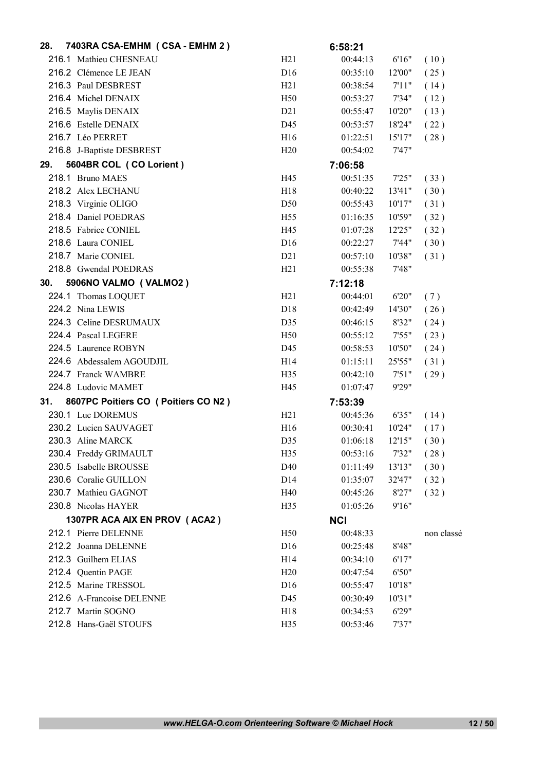| 28. | 7403RA CSA-EMHM (CSA - EMHM 2)        |                 | 6:58:21    |        |            |
|-----|---------------------------------------|-----------------|------------|--------|------------|
|     | 216.1 Mathieu CHESNEAU                | H21             | 00:44:13   | 6'16"  | (10)       |
|     | 216.2 Clémence LE JEAN                | D16             | 00:35:10   | 12'00" | (25)       |
|     | 216.3 Paul DESBREST                   | H21             | 00:38:54   | 7'11"  | (14)       |
|     | 216.4 Michel DENAIX                   | H50             | 00:53:27   | 7'34"  | (12)       |
|     | 216.5 Maylis DENAIX                   | D21             | 00:55:47   | 10'20" | (13)       |
|     | 216.6 Estelle DENAIX                  | D45             | 00:53:57   | 18'24" | (22)       |
|     | 216.7 Léo PERRET                      | H16             | 01:22:51   | 15'17" | (28)       |
|     | 216.8 J-Baptiste DESBREST             | H20             | 00:54:02   | 7'47"  |            |
| 29. | 5604BR COL (CO Lorient)               |                 | 7:06:58    |        |            |
|     | 218.1 Bruno MAES                      | H45             | 00:51:35   | 7'25"  | (33)       |
|     | 218.2 Alex LECHANU                    | H18             | 00:40:22   | 13'41" | (30)       |
|     | 218.3 Virginie OLIGO                  | D <sub>50</sub> | 00:55:43   | 10'17" | (31)       |
|     | 218.4 Daniel POEDRAS                  | H <sub>55</sub> | 01:16:35   | 10'59" | (32)       |
|     | 218.5 Fabrice CONIEL                  | H45             | 01:07:28   | 12'25" | (32)       |
|     | 218.6 Laura CONIEL                    | D <sub>16</sub> | 00:22:27   | 7'44"  | (30)       |
|     | 218.7 Marie CONIEL                    | D21             | 00:57:10   | 10'38" | (31)       |
|     | 218.8 Gwendal POEDRAS                 | H21             | 00:55:38   | 7'48"  |            |
| 30. | 5906NO VALMO (VALMO2)                 |                 | 7:12:18    |        |            |
|     | 224.1 Thomas LOQUET                   | H21             | 00:44:01   | 6'20"  | (7)        |
|     | 224.2 Nina LEWIS                      | D18             | 00:42:49   | 14'30" | (26)       |
|     | 224.3 Celine DESRUMAUX                | D35             | 00:46:15   | 8'32"  | (24)       |
|     | 224.4 Pascal LEGERE                   | H <sub>50</sub> | 00:55:12   | 7'55"  | (23)       |
|     | 224.5 Laurence ROBYN                  | D45             | 00:58:53   | 10'50" | (24)       |
|     | 224.6 Abdessalem AGOUDJIL             | H14             | 01:15:11   | 25'55" | (31)       |
|     | 224.7 Franck WAMBRE                   | H35             | 00:42:10   | 7'51"  | (29)       |
|     | 224.8 Ludovic MAMET                   | H45             | 01:07:47   | 9'29"  |            |
| 31. | 8607PC Poitiers CO ( Poitiers CO N2 ) |                 | 7:53:39    |        |            |
|     | 230.1 Luc DOREMUS                     | H21             | 00:45:36   | 6'35"  | (14)       |
|     | 230.2 Lucien SAUVAGET                 | H16             | 00:30:41   | 10'24" | (17)       |
|     | 230.3 Aline MARCK                     | D35             | 01:06:18   | 12'15" | (30)       |
|     | 230.4 Freddy GRIMAULT                 | H35             | 00:53:16   | 7'32"  | (28)       |
|     | 230.5 Isabelle BROUSSE                | D40             | 01:11:49   | 13'13" | (30)       |
|     | 230.6 Coralie GUILLON                 | D <sub>14</sub> | 01:35:07   | 32'47" | (32)       |
|     | 230.7 Mathieu GAGNOT                  | H40             | 00:45:26   | 8'27"  | (32)       |
|     | 230.8 Nicolas HAYER                   | H35             | 01:05:26   | 9'16"  |            |
|     | 1307PR ACA AIX EN PROV (ACA2)         |                 | <b>NCI</b> |        |            |
|     | 212.1 Pierre DELENNE                  | H <sub>50</sub> | 00:48:33   |        | non classé |
|     | 212.2 Joanna DELENNE                  | D16             | 00:25:48   | 8'48"  |            |
|     | 212.3 Guilhem ELIAS                   | H14             | 00:34:10   | 6'17"  |            |
|     | 212.4 Quentin PAGE                    | H20             | 00:47:54   | 6'50"  |            |
|     | 212.5 Marine TRESSOL                  | D16             | 00:55:47   | 10'18" |            |
|     | 212.6 A-Francoise DELENNE             | D45             | 00:30:49   | 10'31" |            |
|     | 212.7 Martin SOGNO                    | H18             | 00:34:53   | 6'29"  |            |
|     | 212.8 Hans-Gaël STOUFS                | H35             | 00:53:46   | 7'37"  |            |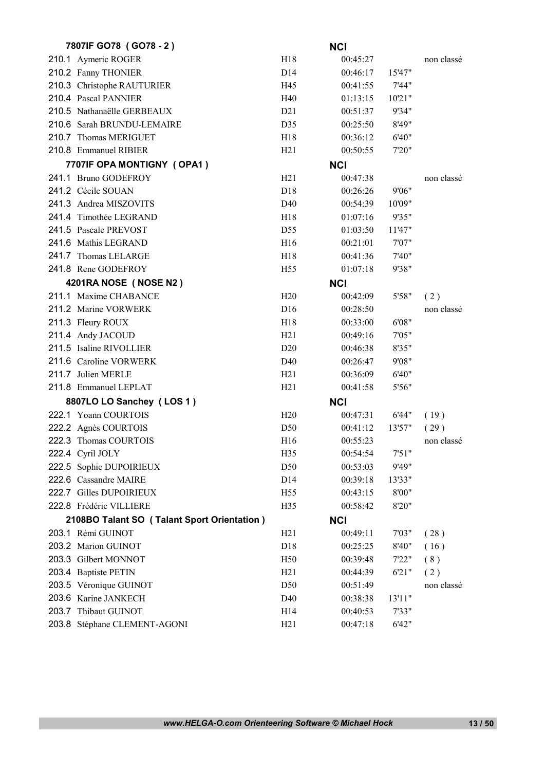| 7807IF GO78 (GO78 - 2)                      |                 | <b>NCI</b> |        |            |
|---------------------------------------------|-----------------|------------|--------|------------|
| 210.1 Aymeric ROGER                         | H18             | 00:45:27   |        | non classé |
| 210.2 Fanny THONIER                         | D14             | 00:46:17   | 15'47" |            |
| 210.3 Christophe RAUTURIER                  | H45             | 00:41:55   | 7'44"  |            |
| 210.4 Pascal PANNIER                        | H40             | 01:13:15   | 10'21" |            |
| 210.5 Nathanaëlle GERBEAUX                  | D21             | 00:51:37   | 9'34"  |            |
| 210.6 Sarah BRUNDU-LEMAIRE                  | D35             | 00:25:50   | 8'49"  |            |
| 210.7 Thomas MERIGUET                       | H18             | 00:36:12   | 6'40"  |            |
| 210.8 Emmanuel RIBIER                       | H21             | 00:50:55   | 7'20"  |            |
| 7707IF OPA MONTIGNY (OPA1)                  |                 | <b>NCI</b> |        |            |
| 241.1 Bruno GODEFROY                        | H21             | 00:47:38   |        | non classé |
| 241.2 Cécile SOUAN                          | D <sub>18</sub> | 00:26:26   | 9'06"  |            |
| 241.3 Andrea MISZOVITS                      | D40             | 00:54:39   | 10'09" |            |
| 241.4 Timothée LEGRAND                      | H <sub>18</sub> | 01:07:16   | 9'35"  |            |
| 241.5 Pascale PREVOST                       | D <sub>55</sub> | 01:03:50   | 11'47" |            |
| 241.6 Mathis LEGRAND                        | H16             | 00:21:01   | 7'07"  |            |
| 241.7 Thomas LELARGE                        | H <sub>18</sub> | 00:41:36   | 7'40"  |            |
| 241.8 Rene GODEFROY                         | H <sub>55</sub> | 01:07:18   | 9'38"  |            |
| 4201RA NOSE (NOSE N2)                       |                 | <b>NCI</b> |        |            |
| 211.1 Maxime CHABANCE                       | H20             | 00:42:09   | 5'58"  | (2)        |
| 211.2 Marine VORWERK                        | D16             | 00:28:50   |        | non classé |
| 211.3 Fleury ROUX                           | H <sub>18</sub> | 00:33:00   | 6'08"  |            |
| 211.4 Andy JACOUD                           | H21             | 00:49:16   | 7'05"  |            |
| 211.5 Isaline RIVOLLIER                     | D20             | 00:46:38   | 8'35"  |            |
| 211.6 Caroline VORWERK                      | D <sub>40</sub> | 00:26:47   | 9'08"  |            |
| 211.7 Julien MERLE                          | H21             | 00:36:09   | 6'40"  |            |
| 211.8 Emmanuel LEPLAT                       | H21             | 00:41:58   | 5'56"  |            |
| 8807LO LO Sanchey (LOS 1)                   |                 | <b>NCI</b> |        |            |
| 222.1 Yoann COURTOIS                        | H20             | 00:47:31   | 6'44"  | (19)       |
| 222.2 Agnès COURTOIS                        | D <sub>50</sub> | 00:41:12   | 13'57" | (29)       |
| 222.3 Thomas COURTOIS                       | H16             | 00:55:23   |        | non classé |
| 222.4 Cyril JOLY                            | H35             | 00:54:54   | 7'51"  |            |
| 222.5 Sophie DUPOIRIEUX                     | D <sub>50</sub> | 00:53:03   | 9'49"  |            |
| 222.6 Cassandre MAIRE                       | D14             | 00:39:18   | 13'33" |            |
| 222.7 Gilles DUPOIRIEUX                     | H <sub>55</sub> | 00:43:15   | 8'00"  |            |
| 222.8 Frédéric VILLIERE                     | H35             | 00:58:42   | 8'20"  |            |
| 2108BO Talant SO (Talant Sport Orientation) |                 | <b>NCI</b> |        |            |
| 203.1 Rémi GUINOT                           | H21             | 00:49:11   | 7'03"  | (28)       |
| 203.2 Marion GUINOT                         | D18             | 00:25:25   | 8'40"  | (16)       |
| 203.3 Gilbert MONNOT                        | H <sub>50</sub> | 00:39:48   | 7'22"  | (8)        |
| 203.4 Baptiste PETIN                        | H <sub>21</sub> | 00:44:39   | 6'21"  | (2)        |
| 203.5 Véronique GUINOT                      | D50             | 00:51:49   |        | non classé |
| 203.6 Karine JANKECH                        | D40             | 00:38:38   | 13'11" |            |
| 203.7 Thibaut GUINOT                        | H14             | 00:40:53   | 7'33"  |            |
| 203.8 Stéphane CLEMENT-AGONI                | H21             | 00:47:18   | 6'42"  |            |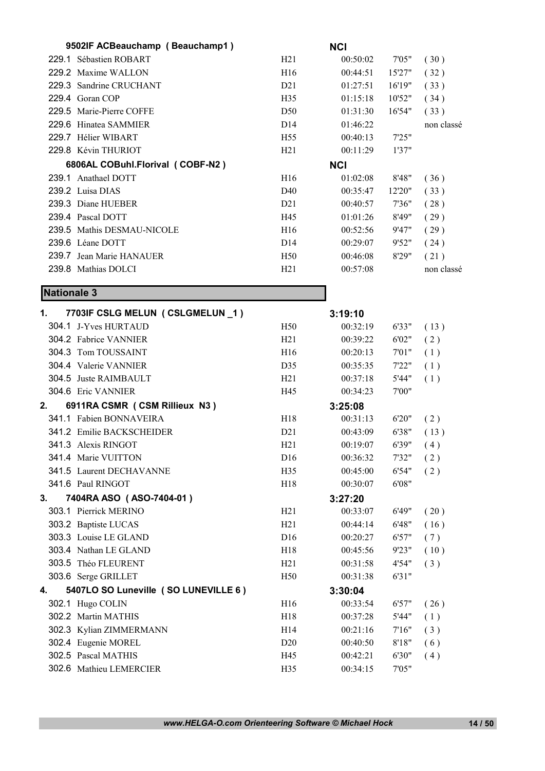|                    | 9502IF ACBeauchamp (Beauchamp1)      |                        | <b>NCI</b> |        |            |
|--------------------|--------------------------------------|------------------------|------------|--------|------------|
|                    | 229.1 Sébastien ROBART               | H21                    | 00:50:02   | 7'05"  | (30)       |
|                    | 229.2 Maxime WALLON                  | H16                    | 00:44:51   | 15'27" | (32)       |
|                    | 229.3 Sandrine CRUCHANT              | D21                    | 01:27:51   | 16'19" | (33)       |
|                    | 229.4 Goran COP                      | H <sub>35</sub>        | 01:15:18   | 10'52" | (34)       |
|                    | 229.5 Marie-Pierre COFFE             | D <sub>50</sub>        | 01:31:30   | 16'54" | (33)       |
|                    | 229.6 Hinatea SAMMIER                | D <sub>14</sub>        | 01:46:22   |        | non classé |
|                    | 229.7 Hélier WIBART                  | H <sub>55</sub>        | 00:40:13   | 7'25"  |            |
|                    | 229.8 Kévin THURIOT                  | H21                    | 00:11:29   | 1'37"  |            |
|                    | 6806AL COBuhl.Florival (COBF-N2)     |                        | <b>NCI</b> |        |            |
|                    | 239.1 Anathael DOTT                  | H <sub>16</sub>        | 01:02:08   | 8'48"  | (36)       |
|                    | 239.2 Luisa DIAS                     | D40                    | 00:35:47   | 12'20" | (33)       |
|                    | 239.3 Diane HUEBER                   | D <sub>2</sub> 1       | 00:40:57   | 7'36"  | (28)       |
|                    | 239.4 Pascal DOTT                    | H45                    | 01:01:26   | 8'49"  | (29)       |
|                    | 239.5 Mathis DESMAU-NICOLE           | H <sub>16</sub>        | 00:52:56   | 9'47"  | (29)       |
|                    | 239.6 Léane DOTT                     | D <sub>14</sub>        | 00:29:07   | 9'52"  | (24)       |
|                    | 239.7 Jean Marie HANAUER             | H <sub>50</sub>        | 00:46:08   | 8'29"  | (21)       |
|                    | 239.8 Mathias DOLCI                  | H21                    | 00:57:08   |        | non classé |
|                    |                                      |                        |            |        |            |
| <b>Nationale 3</b> |                                      |                        |            |        |            |
| 1.                 | 7703IF CSLG MELUN (CSLGMELUN _1)     |                        | 3:19:10    |        |            |
|                    | 304.1 J-Yves HURTAUD                 | H <sub>50</sub>        | 00:32:19   | 6'33"  | (13)       |
|                    | 304.2 Fabrice VANNIER                | H21                    | 00:39:22   | 6'02"  | (2)        |
|                    | 304.3 Tom TOUSSAINT                  | H16                    | 00:20:13   | 7'01"  | (1)        |
|                    | 304.4 Valerie VANNIER                | D35                    | 00:35:35   | 7'22"  | (1)        |
|                    | 304.5 Juste RAIMBAULT                | H21                    | 00:37:18   | 5'44"  | (1)        |
|                    | 304.6 Eric VANNIER                   | H45                    | 00:34:23   | 7'00"  |            |
| 2.                 | 6911RA CSMR (CSM Rillieux N3)        |                        | 3:25:08    |        |            |
|                    | 341.1 Fabien BONNAVEIRA              | H <sub>18</sub>        | 00:31:13   | 6'20"  | (2)        |
|                    | 341.2 Emilie BACKSCHEIDER            | D21                    | 00:43:09   | 6'38"  | (13)       |
|                    | 341.3 Alexis RINGOT                  | H21                    | 00:19:07   | 6'39"  | (4)        |
|                    | 341.4 Marie VUITTON                  | D <sub>16</sub>        | 00:36:32   | 7'32"  | (2)        |
|                    | 341.5 Laurent DECHAVANNE             | H35                    | 00:45:00   | 6'54"  | (2)        |
|                    | 341.6 Paul RINGOT                    | H18                    | 00:30:07   | 6'08"  |            |
| 3.                 | 7404RA ASO (ASO-7404-01)             |                        | 3:27:20    |        |            |
|                    | 303.1 Pierrick MERINO                | H21                    | 00:33:07   | 6'49"  | (20)       |
|                    | 303.2 Baptiste LUCAS                 | H21                    | 00:44:14   | 6'48"  | (16)       |
|                    | 303.3 Louise LE GLAND                | D <sub>16</sub>        | 00:20:27   | 6'57"  | (7)        |
|                    | 303.4 Nathan LE GLAND                | H18                    | 00:45:56   | 9'23"  | (10)       |
|                    | 303.5 Théo FLEURENT                  | H21                    | 00:31:58   | 4'54"  | (3)        |
|                    | 303.6 Serge GRILLET                  | H <sub>50</sub>        | 00:31:38   | 6'31"  |            |
| 4.                 | 5407LO SO Luneville (SO LUNEVILLE 6) |                        | 3:30:04    |        |            |
|                    | 302.1 Hugo COLIN                     | H16                    |            |        |            |
|                    | 302.2 Martin MATHIS                  | H18                    | 00:33:54   | 6'57"  | (26)       |
|                    |                                      |                        | 00:37:28   | 5'44"  | (1)        |
|                    | 302.3 Kylian ZIMMERMANN              | H14<br>D <sub>20</sub> | 00:21:16   | 7'16'' | (3)        |
|                    | 302.4 Eugenie MOREL                  |                        | 00:40:50   | 8'18"  | (6)        |
|                    | 302.5 Pascal MATHIS                  | H45                    | 00:42:21   | 6'30"  | (4)        |
|                    | 302.6 Mathieu LEMERCIER              | H35                    | 00:34:15   | 7'05"  |            |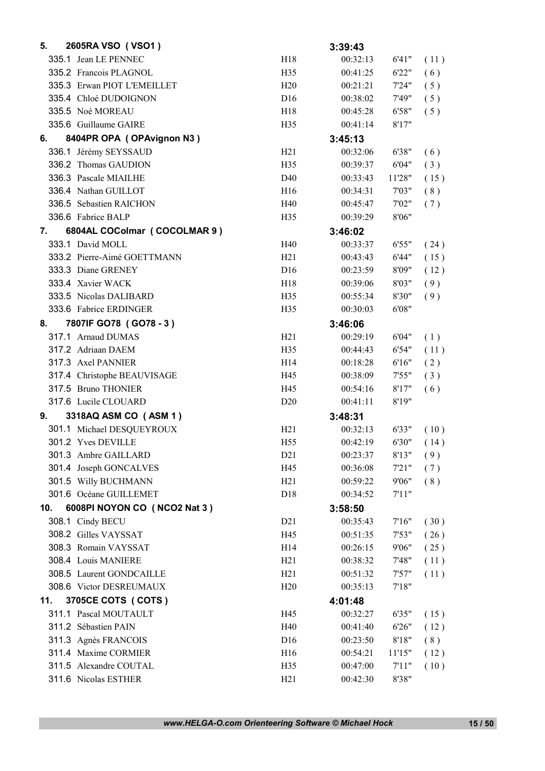| 5.  | 2605RA VSO (VSO1)            |                 | 3:39:43  |        |      |
|-----|------------------------------|-----------------|----------|--------|------|
|     | 335.1 Jean LE PENNEC         | H18             | 00:32:13 | 6'41"  | (11) |
|     | 335.2 Francois PLAGNOL       | H <sub>35</sub> | 00:41:25 | 6'22"  | (6)  |
|     | 335.3 Erwan PIOT L'EMEILLET  | H20             | 00:21:21 | 7'24"  | (5)  |
|     | 335.4 Chloé DUDOIGNON        | D <sub>16</sub> | 00:38:02 | 7'49"  | (5)  |
|     | 335.5 Noé MOREAU             | H18             | 00:45:28 | 6'58"  | (5)  |
|     | 335.6 Guillaume GAIRE        | H35             | 00:41:14 | 8'17"  |      |
| 6.  | 8404PR OPA (OPAvignon N3)    |                 | 3:45:13  |        |      |
|     | 336.1 Jérémy SEYSSAUD        | H21             | 00:32:06 | 6'38"  | (6)  |
|     | 336.2 Thomas GAUDION         | H <sub>35</sub> | 00:39:37 | 6'04"  | (3)  |
|     | 336.3 Pascale MIAILHE        | D40             | 00:33:43 | 11'28" | (15) |
|     | 336.4 Nathan GUILLOT         | H <sub>16</sub> | 00:34:31 | 7'03"  | (8)  |
|     | 336.5 Sebastien RAICHON      | H40             | 00:45:47 | 7'02"  | (7)  |
|     | 336.6 Fabrice BALP           | H <sub>35</sub> | 00:39:29 | 8'06"  |      |
| 7.  | 6804AL COColmar (COCOLMAR 9) |                 | 3:46:02  |        |      |
|     | 333.1 David MOLL             | H40             | 00:33:37 | 6'55"  | (24) |
|     | 333.2 Pierre-Aimé GOETTMANN  | H21             | 00:43:43 | 6'44"  | (15) |
|     | 333.3 Diane GRENEY           | D <sub>16</sub> | 00:23:59 | 8'09"  | (12) |
|     | 333.4 Xavier WACK            | H18             | 00:39:06 | 8'03"  | (9)  |
|     | 333.5 Nicolas DALIBARD       | H <sub>35</sub> | 00:55:34 | 8'30"  | (9)  |
|     | 333.6 Fabrice ERDINGER       | H <sub>35</sub> | 00:30:03 | 6'08"  |      |
| 8.  | 7807IF GO78 (GO78 - 3)       |                 | 3:46:06  |        |      |
|     | 317.1 Arnaud DUMAS           | H21             | 00:29:19 | 6'04"  | (1)  |
|     | 317.2 Adriaan DAEM           | H <sub>35</sub> | 00:44:43 | 6'54"  | (11) |
|     | 317.3 Axel PANNIER           | H <sub>14</sub> | 00:18:28 | 6'16"  | (2)  |
|     | 317.4 Christophe BEAUVISAGE  | H45             | 00:38:09 | 7'55"  | (3)  |
|     | 317.5 Bruno THONIER          | H45             | 00:54:16 | 8'17"  | (6)  |
|     | 317.6 Lucile CLOUARD         | D <sub>20</sub> | 00:41:11 | 8'19"  |      |
| 9.  | 3318AQ ASM CO (ASM 1)        |                 | 3:48:31  |        |      |
|     | 301.1 Michael DESQUEYROUX    | H21             | 00:32:13 | 6'33"  | (10) |
|     | 301.2 Yves DEVILLE           | H <sub>55</sub> | 00:42:19 | 6'30"  | (14) |
|     | 301.3 Ambre GAILLARD         | D21             | 00:23:37 | 8'13"  | (9)  |
|     | 301.4 Joseph GONCALVES       | H45             | 00:36:08 | 7'21"  | (7)  |
|     | 301.5 Willy BUCHMANN         | H21             | 00:59:22 | 9'06"  | (8)  |
|     | 301.6 Océane GUILLEMET       | D18             | 00:34:52 | 7'11"  |      |
| 10. | 6008PI NOYON CO (NCO2 Nat 3) |                 | 3:58:50  |        |      |
|     | 308.1 Cindy BECU             | D21             | 00:35:43 | 7'16'' | (30) |
|     | 308.2 Gilles VAYSSAT         | H45             | 00:51:35 | 7'53"  | (26) |
|     | 308.3 Romain VAYSSAT         | H <sub>14</sub> | 00:26:15 | 9'06"  | (25) |
|     | 308.4 Louis MANIERE          | H21             | 00:38:32 | 7'48"  | (11) |
|     | 308.5 Laurent GONDCAILLE     | H21             | 00:51:32 | 7'57"  | (11) |
|     | 308.6 Victor DESREUMAUX      | H20             | 00:35:13 | 7'18"  |      |
| 11. | 3705CE COTS ( COTS )         |                 | 4:01:48  |        |      |
|     | 311.1 Pascal MOUTAULT        | H45             | 00:32:27 | 6'35"  | (15) |
|     | 311.2 Sébastien PAIN         | H40             | 00:41:40 | 6'26"  | (12) |
|     | 311.3 Agnès FRANCOIS         | D <sub>16</sub> | 00:23:50 | 8'18"  | (8)  |
|     | 311.4 Maxime CORMIER         | H16             | 00:54:21 | 11'15" | (12) |
|     | 311.5 Alexandre COUTAL       | H <sub>35</sub> | 00:47:00 | 7'11'' | (10) |
|     | 311.6 Nicolas ESTHER         | H21             | 00:42:30 | 8'38"  |      |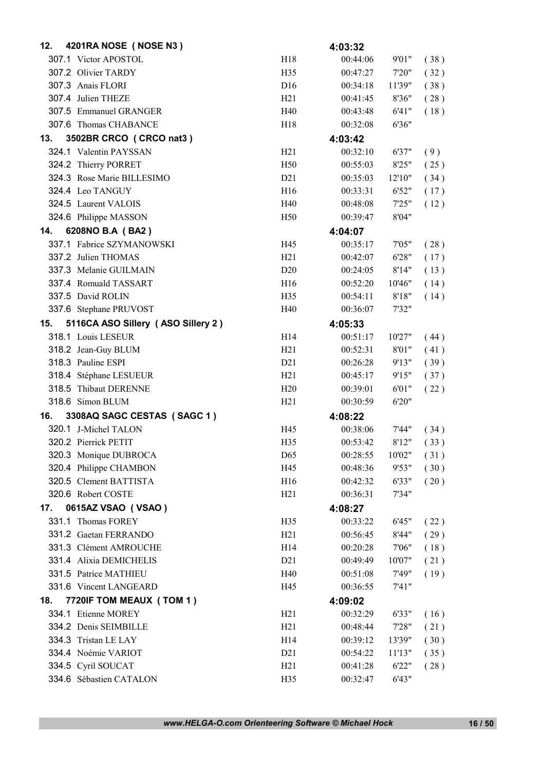| 12. | 4201RA NOSE (NOSE N3)              |                  | 4:03:32  |        |      |
|-----|------------------------------------|------------------|----------|--------|------|
|     | 307.1 Victor APOSTOL               | H18              | 00:44:06 | 9'01"  | (38) |
|     | 307.2 Olivier TARDY                | H35              | 00:47:27 | 7'20"  | (32) |
|     | 307.3 Anais FLORI                  | D <sub>16</sub>  | 00:34:18 | 11'39" | (38) |
|     | 307.4 Julien THEZE                 | H21              | 00:41:45 | 8'36"  | (28) |
|     | 307.5 Emmanuel GRANGER             | H40              | 00:43:48 | 6'41"  | (18) |
|     | 307.6 Thomas CHABANCE              | H <sub>18</sub>  | 00:32:08 | 6'36"  |      |
| 13. | 3502BR CRCO (CRCO nat3)            |                  | 4:03:42  |        |      |
|     | 324.1 Valentin PAYSSAN             | H21              | 00:32:10 | 6'37"  | (9)  |
|     | 324.2 Thierry PORRET               | H <sub>50</sub>  | 00:55:03 | 8'25"  | (25) |
|     | 324.3 Rose Marie BILLESIMO         | D21              | 00:35:03 | 12'10" | (34) |
|     | 324.4 Leo TANGUY                   | H16              | 00:33:31 | 6'52"  | (17) |
|     | 324.5 Laurent VALOIS               | H40              | 00:48:08 | 7'25"  | (12) |
|     | 324.6 Philippe MASSON              | H <sub>50</sub>  | 00:39:47 | 8'04"  |      |
| 14. | 6208NO B.A (BA2)                   |                  | 4:04:07  |        |      |
|     | 337.1 Fabrice SZYMANOWSKI          | H45              | 00:35:17 | 7'05"  | (28) |
|     | 337.2 Julien THOMAS                | H21              | 00:42:07 | 6'28"  | (17) |
|     | 337.3 Melanie GUILMAIN             | D <sub>20</sub>  | 00:24:05 | 8'14"  | (13) |
|     | 337.4 Romuald TASSART              | H <sub>16</sub>  | 00:52:20 | 10'46" | (14) |
|     | 337.5 David ROLIN                  | H <sub>35</sub>  | 00:54:11 | 8'18"  | (14) |
|     | 337.6 Stephane PRUVOST             | H40              | 00:36:07 | 7'32"  |      |
| 15. | 5116CA ASO Sillery (ASO Sillery 2) |                  | 4:05:33  |        |      |
|     | 318.1 Louis LESEUR                 | H <sub>14</sub>  | 00:51:17 | 10'27" | (44) |
|     | 318.2 Jean-Guy BLUM                | H21              | 00:52:31 | 8'01"  | (41) |
|     | 318.3 Pauline ESPI                 | D21              | 00:26:28 | 9'13"  | (39) |
|     | 318.4 Stéphane LESUEUR             | H21              | 00:45:17 | 9'15"  | (37) |
|     | 318.5 Thibaut DERENNE              | H20              | 00:39:01 | 6'01"  | (22) |
|     | 318.6 Simon BLUM                   | H21              | 00:30:59 | 6'20"  |      |
| 16. | 3308AQ SAGC CESTAS (SAGC 1)        |                  | 4:08:22  |        |      |
|     | 320.1 J-Michel TALON               | H45              | 00:38:06 | 7'44"  | (34) |
|     | 320.2 Pierrick PETIT               | H <sub>35</sub>  | 00:53:42 | 8'12"  | (33) |
|     | 320.3 Monique DUBROCA              | D65              | 00:28:55 | 10'02" | (31) |
|     | 320.4 Philippe CHAMBON             | H45              | 00:48:36 | 9'53"  | (30) |
|     | 320.5 Clement BATTISTA             | H16              | 00:42:32 | 6'33"  | (20) |
|     | 320.6 Robert COSTE                 | H21              | 00:36:31 | 7'34"  |      |
| 17. | 0615AZ VSAO (VSAO)                 |                  | 4:08:27  |        |      |
|     | 331.1 Thomas FOREY                 | H35              | 00:33:22 | 6'45"  | (22) |
|     | 331.2 Gaetan FERRANDO              | H21              | 00:56:45 | 8'44"  | (29) |
|     | 331.3 Clément AMROUCHE             | H <sub>14</sub>  | 00:20:28 | 7'06"  | (18) |
|     | 331.4 Alixia DEMICHELIS            | D <sub>2</sub> 1 | 00:49:49 | 10'07" | (21) |
|     | 331.5 Patrice MATHIEU              | H40              | 00:51:08 | 7'49"  | (19) |
|     | 331.6 Vincent LANGEARD             | H45              | 00:36:55 | 7'41"  |      |
| 18. | 7720IF TOM MEAUX (TOM 1)           |                  | 4:09:02  |        |      |
|     | 334.1 Etienne MOREY                | H21              | 00:32:29 | 6'33"  | (16) |
|     | 334.2 Denis SEIMBILLE              | H21              | 00:48:44 | 7'28"  | (21) |
|     | 334.3 Tristan LE LAY               | H14              | 00:39:12 | 13'39" | (30) |
|     | 334.4 Noémie VARIOT                | D21              | 00:54:22 | 11'13" | (35) |
|     | 334.5 Cyril SOUCAT                 | H21              | 00:41:28 | 6'22"  | (28) |
|     | 334.6 Sébastien CATALON            | H35              | 00:32:47 | 6'43"  |      |
|     |                                    |                  |          |        |      |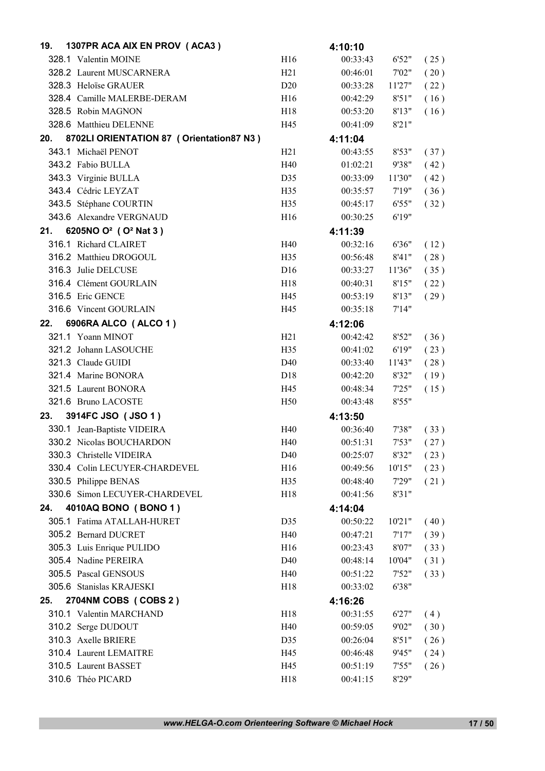| 19. | 1307PR ACA AIX EN PROV (ACA3)                |                 | 4:10:10  |        |      |
|-----|----------------------------------------------|-----------------|----------|--------|------|
|     | 328.1 Valentin MOINE                         | H16             | 00:33:43 | 6'52"  | (25) |
|     | 328.2 Laurent MUSCARNERA                     | H21             | 00:46:01 | 7'02"  | (20) |
|     | 328.3 Heloïse GRAUER                         | D <sub>20</sub> | 00:33:28 | 11'27" | (22) |
|     | 328.4 Camille MALERBE-DERAM                  | H16             | 00:42:29 | 8'51"  | (16) |
|     | 328.5 Robin MAGNON                           | H18             | 00:53:20 | 8'13"  | (16) |
|     | 328.6 Matthieu DELENNE                       | H45             | 00:41:09 | 8'21"  |      |
| 20. | 8702LI ORIENTATION 87 ( Orientation 87 N3 )  |                 | 4:11:04  |        |      |
|     | 343.1 Michaël PENOT                          | H21             | 00:43:55 | 8'53"  | (37) |
|     | 343.2 Fabio BULLA                            | H40             | 01:02:21 | 9'38"  | (42) |
|     | 343.3 Virginie BULLA                         | D35             | 00:33:09 | 11'30" | (42) |
|     | 343.4 Cédric LEYZAT                          | H35             | 00:35:57 | 7'19'' | (36) |
|     | 343.5 Stéphane COURTIN                       | H35             | 00:45:17 | 6'55"  | (32) |
|     | 343.6 Alexandre VERGNAUD                     | H16             | 00:30:25 | 6'19"  |      |
| 21. | 6205NO O <sup>2</sup> (O <sup>2</sup> Nat 3) |                 | 4:11:39  |        |      |
|     | 316.1 Richard CLAIRET                        | H40             | 00:32:16 | 6'36"  | (12) |
|     | 316.2 Matthieu DROGOUL                       | H <sub>35</sub> | 00:56:48 | 8'41'' | (28) |
|     | 316.3 Julie DELCUSE                          | D16             | 00:33:27 | 11'36" | (35) |
|     | 316.4 Clément GOURLAIN                       | H18             | 00:40:31 | 8'15"  | (22) |
|     | 316.5 Eric GENCE                             | H45             | 00:53:19 | 8'13"  | (29) |
|     | 316.6 Vincent GOURLAIN                       | H45             | 00:35:18 | 7'14"  |      |
| 22. | 6906RA ALCO (ALCO 1)                         |                 |          |        |      |
|     | 321.1 Yoann MINOT                            | H21             | 4:12:06  |        |      |
|     |                                              |                 | 00:42:42 | 8'52"  | (36) |
|     | 321.2 Johann LASOUCHE                        | H <sub>35</sub> | 00:41:02 | 6'19"  | (23) |
|     | 321.3 Claude GUIDI                           | D40             | 00:33:40 | 11'43" | (28) |
|     | 321.4 Marine BONORA                          | D <sub>18</sub> | 00:42:20 | 8'32"  | (19) |
|     | 321.5 Laurent BONORA                         | H45             | 00:48:34 | 7'25"  | (15) |
|     | 321.6 Bruno LACOSTE                          | H <sub>50</sub> | 00:43:48 | 8'55"  |      |
| 23. | 3914FC JSO (JSO 1)                           |                 | 4:13:50  |        |      |
|     | 330.1 Jean-Baptiste VIDEIRA                  | H40             | 00:36:40 | 7'38"  | (33) |
|     | 330.2 Nicolas BOUCHARDON                     | H40             | 00:51:31 | 7'53"  | (27) |
|     | 330.3 Christelle VIDEIRA                     | D40             | 00:25:07 | 8'32"  | (23) |
|     | 330.4 Colin LECUYER-CHARDEVEL                | H16             | 00:49:56 | 10'15" | (23) |
|     | 330.5 Philippe BENAS                         | H35             | 00:48:40 | 7'29"  | (21) |
|     | 330.6 Simon LECUYER-CHARDEVEL                | H18             | 00:41:56 | 8'31"  |      |
| 24. | 4010AQ BONO (BONO 1)                         |                 | 4:14:04  |        |      |
|     | 305.1 Fatima ATALLAH-HURET                   | D35             | 00:50:22 | 10'21" | (40) |
|     | 305.2 Bernard DUCRET                         | H40             | 00:47:21 | 7'17'' | (39) |
|     | 305.3 Luis Enrique PULIDO                    | H16             | 00:23:43 | 8'07"  | (33) |
|     | 305.4 Nadine PEREIRA                         | D40             | 00:48:14 | 10'04" | (31) |
|     | 305.5 Pascal GENSOUS                         | H40             | 00:51:22 | 7'52"  | (33) |
|     | 305.6 Stanislas KRAJESKI                     | H18             | 00:33:02 | 6'38"  |      |
| 25. | 2704NM COBS (COBS 2)                         |                 | 4:16:26  |        |      |
|     | 310.1 Valentin MARCHAND                      | H18             | 00:31:55 | 6'27"  | (4)  |
|     | 310.2 Serge DUDOUT                           | H40             | 00:59:05 | 9'02"  | (30) |
|     | 310.3 Axelle BRIERE                          | D35             | 00:26:04 | 8'51"  | (26) |
|     | 310.4 Laurent LEMAITRE                       | H45             | 00:46:48 | 9'45"  | (24) |
|     | 310.5 Laurent BASSET                         | H45             | 00:51:19 | 7'55"  | (26) |
|     | 310.6 Théo PICARD                            | H18             | 00:41:15 | 8'29"  |      |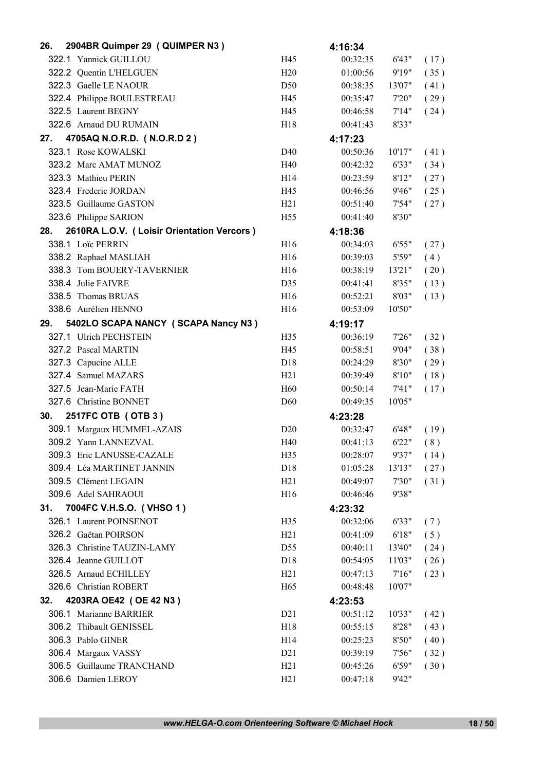| 26. | 2904BR Quimper 29 (QUIMPER N3)             |                 | 4:16:34  |        |      |
|-----|--------------------------------------------|-----------------|----------|--------|------|
|     | 322.1 Yannick GUILLOU                      | H45             | 00:32:35 | 6'43"  | (17) |
|     | 322.2 Quentin L'HELGUEN                    | H20             | 01:00:56 | 9'19"  | (35) |
|     | 322.3 Gaelle LE NAOUR                      | D <sub>50</sub> | 00:38:35 | 13'07" | (41) |
|     | 322.4 Philippe BOULESTREAU                 | H45             | 00:35:47 | 7'20"  | (29) |
|     | 322.5 Laurent BEGNY                        | H45             | 00:46:58 | 7'14"  | (24) |
|     | 322.6 Arnaud DU RUMAIN                     | H <sub>18</sub> | 00:41:43 | 8'33"  |      |
| 27. | 4705AQ N.O.R.D. (N.O.R.D 2)                |                 | 4:17:23  |        |      |
|     | 323.1 Rose KOWALSKI                        | D40             | 00:50:36 | 10'17" | (41) |
|     | 323.2 Marc AMAT MUNOZ                      | H40             | 00:42:32 | 6'33"  | (34) |
|     | 323.3 Mathieu PERIN                        | H14             | 00:23:59 | 8'12"  | (27) |
|     | 323.4 Frederic JORDAN                      | H45             | 00:46:56 | 9'46"  | (25) |
|     | 323.5 Guillaume GASTON                     | H21             | 00:51:40 | 7'54"  | (27) |
|     | 323.6 Philippe SARION                      | H <sub>55</sub> | 00:41:40 | 8'30"  |      |
| 28. | 2610RA L.O.V. (Loisir Orientation Vercors) |                 | 4:18:36  |        |      |
|     | 338.1 Loïc PERRIN                          | H <sub>16</sub> | 00:34:03 | 6'55"  | (27) |
|     | 338.2 Raphael MASLIAH                      | H16             | 00:39:03 | 5'59"  | (4)  |
|     | 338.3 Tom BOUERY-TAVERNIER                 | H16             | 00:38:19 | 13'21" | (20) |
|     | 338.4 Julie FAIVRE                         | D35             | 00:41:41 | 8'35"  | (13) |
|     | 338.5 Thomas BRUAS                         | H16             | 00:52:21 | 8'03"  | (13) |
|     | 338.6 Aurélien HENNO                       | H <sub>16</sub> | 00:53:09 | 10'50" |      |
| 29. | 5402LO SCAPA NANCY (SCAPA Nancy N3)        |                 | 4:19:17  |        |      |
|     | 327.1 Ulrich PECHSTEIN                     | H35             | 00:36:19 | 7'26'' | (32) |
|     | 327.2 Pascal MARTIN                        | H45             | 00:58:51 | 9'04"  | (38) |
|     | 327.3 Capucine ALLE                        | D18             | 00:24:29 | 8'30"  | (29) |
|     | 327.4 Samuel MAZARS                        | H21             | 00:39:49 | 8'10"  | (18) |
|     | 327.5 Jean-Marie FATH                      | H <sub>60</sub> | 00:50:14 | 7'41'' | (17) |
|     | 327.6 Christine BONNET                     | D <sub>60</sub> | 00:49:35 | 10'05" |      |
| 30. | 2517FC OTB (OTB 3)                         |                 | 4:23:28  |        |      |
|     | 309.1 Margaux HUMMEL-AZAIS                 | D20             | 00:32:47 | 6'48"  | (19) |
|     | 309.2 Yann LANNEZVAL                       | H40             | 00:41:13 | 6'22"  | (8)  |
|     | 309.3 Eric LANUSSE-CAZALE                  | H35             | 00:28:07 | 9'37"  | (14) |
|     | 309.4 Léa MARTINET JANNIN                  | D18             | 01:05:28 | 13'13" | (27) |
|     | 309.5 Clément LEGAIN                       | H21             | 00:49:07 | 7'30"  | (31) |
|     | 309.6 Adel SAHRAOUI                        | H16             | 00:46:46 | 9'38"  |      |
| 31. | 7004FC V.H.S.O. (VHSO 1)                   |                 | 4:23:32  |        |      |
|     | 326.1 Laurent POINSENOT                    | H <sub>35</sub> | 00:32:06 | 6'33"  |      |
|     | 326.2 Gaëtan POIRSON                       | H21             | 00:41:09 | 6'18"  | (7)  |
|     | 326.3 Christine TAUZIN-LAMY                | D <sub>55</sub> | 00:40:11 | 13'40" | (5)  |
|     | 326.4 Jeanne GUILLOT                       | D18             | 00:54:05 | 11'03" | (24) |
|     | 326.5 Arnaud ECHILLEY                      | H21             | 00:47:13 | 7'16'' | (26) |
|     | 326.6 Christian ROBERT                     |                 |          |        | (23) |
|     |                                            | H <sub>65</sub> | 00:48:48 | 10'07" |      |
| 32. | 4203RA OE42 (OE 42 N3)                     |                 | 4:23:53  |        |      |
|     | 306.1 Marianne BARRIER                     | D21             | 00:51:12 | 10'33" | (42) |
|     | 306.2 Thibault GENISSEL                    | H18             | 00:55:15 | 8'28"  | (43) |
|     | 306.3 Pablo GINER                          | H14             | 00:25:23 | 8'50"  | (40) |
|     | 306.4 Margaux VASSY                        | D21             | 00:39:19 | 7'56"  | (32) |
|     | 306.5 Guillaume TRANCHAND                  | H21             | 00:45:26 | 6'59"  | (30) |
|     | 306.6 Damien LEROY                         | H21             | 00:47:18 | 9'42"  |      |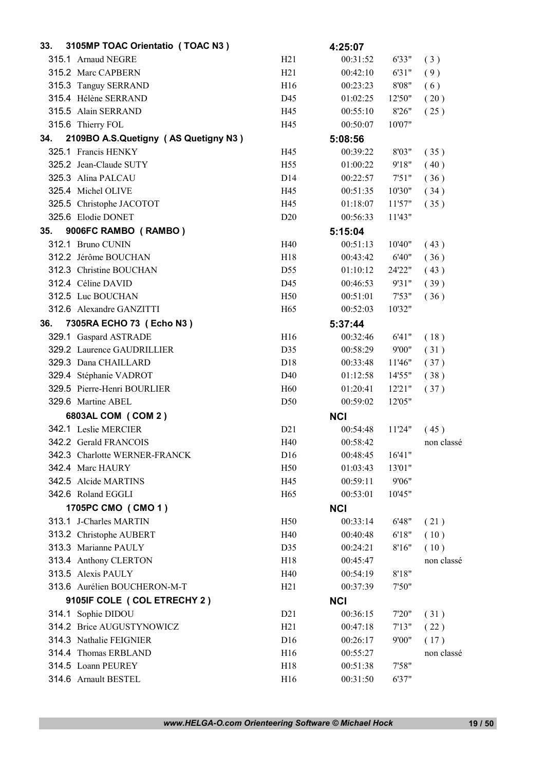| 33. | 3105MP TOAC Orientatio (TOAC N3)           |                  | 4:25:07    |        |            |
|-----|--------------------------------------------|------------------|------------|--------|------------|
|     | 315.1 Arnaud NEGRE                         | H21              | 00:31:52   | 6'33"  | (3)        |
|     | 315.2 Marc CAPBERN                         | H21              | 00:42:10   | 6'31"  | (9)        |
|     | 315.3 Tanguy SERRAND                       | H <sub>16</sub>  | 00:23:23   | 8'08"  | (6)        |
|     | 315.4 Hélène SERRAND                       | D45              | 01:02:25   | 12'50" | (20)       |
|     | 315.5 Alain SERRAND                        | H45              | 00:55:10   | 8'26"  | (25)       |
|     | 315.6 Thierry FOL                          | H45              | 00:50:07   | 10'07" |            |
| 34. | 2109BO A.S.Quetigny (AS Quetigny N3)       |                  | 5:08:56    |        |            |
|     | 325.1 Francis HENKY                        | H45              | 00:39:22   | 8'03"  | (35)       |
|     | 325.2 Jean-Claude SUTY                     | H <sub>55</sub>  | 01:00:22   | 9'18"  | (40)       |
|     | 325.3 Alina PALCAU                         | D <sub>14</sub>  | 00:22:57   | 7'51"  | (36)       |
|     | 325.4 Michel OLIVE                         | H45              | 00:51:35   | 10'30" | (34)       |
|     | 325.5 Christophe JACOTOT                   | H45              | 01:18:07   | 11'57" | (35)       |
|     | 325.6 Elodie DONET                         | D <sub>20</sub>  | 00:56:33   | 11'43" |            |
| 35. | 9006FC RAMBO (RAMBO)                       |                  | 5:15:04    |        |            |
|     | 312.1 Bruno CUNIN                          | H40              | 00:51:13   | 10'40" | (43)       |
|     | 312.2 Jérôme BOUCHAN                       | H18              | 00:43:42   | 6'40"  | (36)       |
|     | 312.3 Christine BOUCHAN                    | D55              | 01:10:12   | 24'22" | (43)       |
|     | 312.4 Céline DAVID                         | D45              | 00:46:53   | 9'31"  | (39)       |
|     | 312.5 Luc BOUCHAN                          | H <sub>50</sub>  | 00:51:01   | 7'53"  | (36)       |
|     | 312.6 Alexandre GANZITTI                   | H <sub>65</sub>  | 00:52:03   | 10'32" |            |
| 36. | 7305RA ECHO 73 (Echo N3)                   |                  | 5:37:44    |        |            |
|     | 329.1 Gaspard ASTRADE                      | H16              | 00:32:46   | 6'41"  | (18)       |
|     | 329.2 Laurence GAUDRILLIER                 | D35              | 00:58:29   | 9'00"  | (31)       |
|     | 329.3 Dana CHAILLARD                       | D18              | 00:33:48   | 11'46" | (37)       |
|     | 329.4 Stéphanie VADROT                     | D40              | 01:12:58   | 14'55" | (38)       |
|     | 329.5 Pierre-Henri BOURLIER                | H <sub>60</sub>  | 01:20:41   | 12'21" | (37)       |
|     | 329.6 Martine ABEL                         | D <sub>50</sub>  | 00:59:02   | 12'05" |            |
|     | 6803AL COM (COM 2)                         |                  | <b>NCI</b> |        |            |
|     | 342.1 Leslie MERCIER                       | D21              | 00:54:48   | 11'24" | (45)       |
|     | 342.2 Gerald FRANCOIS                      | H40              | 00:58:42   |        | non classé |
|     | 342.3 Charlotte WERNER-FRANCK              | D <sub>16</sub>  | 00:48:45   | 16'41" |            |
|     | 342.4 Marc HAURY                           | H <sub>50</sub>  | 01:03:43   | 13'01" |            |
|     | 342.5 Alcide MARTINS                       | H45              | 00:59:11   | 9'06"  |            |
|     | 342.6 Roland EGGLI                         | H65              | 00:53:01   | 10'45" |            |
|     | 1705PC CMO (CMO 1)                         |                  | <b>NCI</b> |        |            |
|     | 313.1 J-Charles MARTIN                     | H <sub>50</sub>  | 00:33:14   | 6'48"  | (21)       |
|     | 313.2 Christophe AUBERT                    | H40              | 00:40:48   | 6'18"  | (10)       |
|     | 313.3 Marianne PAULY                       | D35              | 00:24:21   | 8'16"  | (10)       |
|     | 313.4 Anthony CLERTON                      | H18              | 00:45:47   |        | non classé |
|     | 313.5 Alexis PAULY                         | H40              | 00:54:19   | 8'18"  |            |
|     | 313.6 Aurélien BOUCHERON-M-T               | H21              | 00:37:39   | 7'50"  |            |
|     | 9105IF COLE ( COL ETRECHY 2 )              |                  |            |        |            |
|     |                                            |                  | <b>NCI</b> |        |            |
|     | 314.1 Sophie DIDOU                         | D <sub>2</sub> 1 | 00:36:15   | 7'20"  | (31)       |
|     | 314.2 Brice AUGUSTYNOWICZ                  | H21              | 00:47:18   | 7'13'' | (22)       |
|     | 314.3 Nathalie FEIGNIER                    | D <sub>16</sub>  | 00:26:17   | 9'00"  | (17)       |
|     | 314.4 Thomas ERBLAND<br>314.5 Loann PEUREY | H16              | 00:55:27   |        | non classé |
|     |                                            | H18              | 00:51:38   | 7'58"  |            |
|     | 314.6 Arnault BESTEL                       | H16              | 00:31:50   | 6'37"  |            |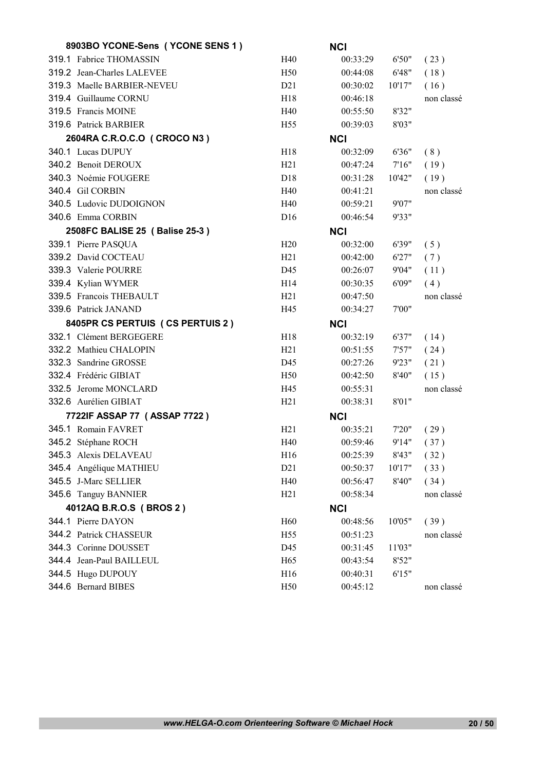| 8903BO YCONE-Sens (YCONE SENS 1) |                  | <b>NCI</b> |        |            |
|----------------------------------|------------------|------------|--------|------------|
| 319.1 Fabrice THOMASSIN          | H40              | 00:33:29   | 6'50"  | (23)       |
| 319.2 Jean-Charles LALEVEE       | H <sub>50</sub>  | 00:44:08   | 6'48"  | (18)       |
| 319.3 Maelle BARBIER-NEVEU       | D21              | 00:30:02   | 10'17" | (16)       |
| 319.4 Guillaume CORNU            | H18              | 00:46:18   |        | non classé |
| 319.5 Francis MOINE              | H40              | 00:55:50   | 8'32"  |            |
| 319.6 Patrick BARBIER            | H <sub>55</sub>  | 00:39:03   | 8'03"  |            |
| 2604RA C.R.O.C.O ( CROCO N3 )    |                  | <b>NCI</b> |        |            |
| 340.1 Lucas DUPUY                | H <sub>18</sub>  | 00:32:09   | 6'36"  | (8)        |
| 340.2 Benoit DEROUX              | H21              | 00:47:24   | 7'16'' | (19)       |
| 340.3 Noémie FOUGERE             | D <sub>18</sub>  | 00:31:28   | 10'42" | (19)       |
| 340.4 Gil CORBIN                 | H40              | 00:41:21   |        | non classé |
| 340.5 Ludovic DUDOIGNON          | H40              | 00:59:21   | 9'07"  |            |
| 340.6 Emma CORBIN                | D <sub>16</sub>  | 00:46:54   | 9'33"  |            |
| 2508FC BALISE 25 ( Balise 25-3 ) |                  | <b>NCI</b> |        |            |
| 339.1 Pierre PASQUA              | H20              | 00:32:00   | 6'39"  | (5)        |
| 339.2 David COCTEAU              | H21              | 00:42:00   | 6'27"  | (7)        |
| 339.3 Valerie POURRE             | D45              | 00:26:07   | 9'04"  | (11)       |
| 339.4 Kylian WYMER               | H <sub>14</sub>  | 00:30:35   | 6'09"  | (4)        |
| 339.5 Francois THEBAULT          | H21              | 00:47:50   |        | non classé |
| 339.6 Patrick JANAND             | H45              | 00:34:27   | 7'00"  |            |
|                                  |                  |            |        |            |
| 8405PR CS PERTUIS (CS PERTUIS 2) |                  | <b>NCI</b> |        |            |
| 332.1 Clément BERGEGERE          | H <sub>18</sub>  | 00:32:19   | 6'37"  | (14)       |
| 332.2 Mathieu CHALOPIN           | H21              | 00:51:55   | 7'57"  | (24)       |
| 332.3 Sandrine GROSSE            | D45              | 00:27:26   | 9'23"  | (21)       |
| 332.4 Frédéric GIBIAT            | H <sub>50</sub>  | 00:42:50   | 8'40"  | (15)       |
| 332.5 Jerome MONCLARD            | H45              | 00:55:31   |        | non classé |
| 332.6 Aurélien GIBIAT            | H21              | 00:38:31   | 8'01"  |            |
| 7722IF ASSAP 77 ( ASSAP 7722 )   |                  | <b>NCI</b> |        |            |
| 345.1 Romain FAVRET              | H <sub>21</sub>  | 00:35:21   | 7'20'' | (29)       |
| 345.2 Stéphane ROCH              | H40              | 00:59:46   | 9'14"  | (37)       |
| 345.3 Alexis DELAVEAU            | H16              | 00:25:39   | 8'43"  | (32)       |
| 345.4 Angélique MATHIEU          | D <sub>2</sub> 1 | 00:50:37   | 10'17" | (33)       |
| 345.5 J-Marc SELLIER             | H40              | 00:56:47   | 8'40"  | (34)       |
| 345.6 Tanguy BANNIER             | H21              | 00:58:34   |        | non classé |
| 4012AQ B.R.O.S (BROS 2)          |                  | <b>NCI</b> |        |            |
| 344.1 Pierre DAYON               | H <sub>60</sub>  | 00:48:56   | 10'05" | (39)       |
| 344.2 Patrick CHASSEUR           | H <sub>55</sub>  | 00:51:23   |        | non classé |
| 344.3 Corinne DOUSSET            | D45              | 00:31:45   | 11'03" |            |
| 344.4 Jean-Paul BAILLEUL         | H65              | 00:43:54   | 8'52"  |            |
| 344.5 Hugo DUPOUY                | H16              | 00:40:31   | 6'15"  |            |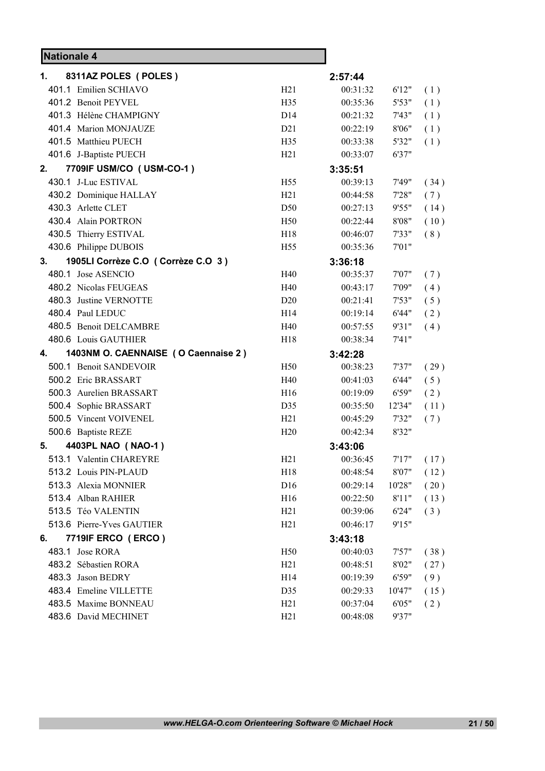| <b>Nationale 4</b> |                                     |                 |          |        |      |
|--------------------|-------------------------------------|-----------------|----------|--------|------|
| 1.                 | 8311AZ POLES (POLES)                |                 | 2:57:44  |        |      |
|                    | 401.1 Emilien SCHIAVO               | H21             | 00:31:32 | 6'12"  | (1)  |
|                    | 401.2 Benoit PEYVEL                 | H <sub>35</sub> | 00:35:36 | 5'53"  | (1)  |
|                    | 401.3 Hélène CHAMPIGNY              | D <sub>14</sub> | 00:21:32 | 7'43"  | (1)  |
|                    | 401.4 Marion MONJAUZE               | D21             | 00:22:19 | 8'06"  | (1)  |
|                    | 401.5 Matthieu PUECH                | H35             | 00:33:38 | 5'32"  | (1)  |
|                    | 401.6 J-Baptiste PUECH              | H21             | 00:33:07 | 6'37"  |      |
| 2.                 | 7709IF USM/CO (USM-CO-1)            |                 | 3:35:51  |        |      |
|                    | 430.1 J-Luc ESTIVAL                 | H <sub>55</sub> | 00:39:13 | 7'49"  | (34) |
|                    | 430.2 Dominique HALLAY              | H21             | 00:44:58 | 7'28"  | (7)  |
|                    | 430.3 Arlette CLET                  | D <sub>50</sub> | 00:27:13 | 9'55"  | (14) |
|                    | 430.4 Alain PORTRON                 | H <sub>50</sub> | 00:22:44 | 8'08"  | (10) |
|                    | 430.5 Thierry ESTIVAL               | H <sub>18</sub> | 00:46:07 | 7'33"  | (8)  |
|                    | 430.6 Philippe DUBOIS               | H <sub>55</sub> | 00:35:36 | 7'01"  |      |
| 3.                 | 1905LI Corrèze C.O (Corrèze C.O 3)  |                 | 3:36:18  |        |      |
|                    | 480.1 Jose ASENCIO                  | H40             | 00:35:37 | 7'07"  | (7)  |
|                    | 480.2 Nicolas FEUGEAS               | H40             | 00:43:17 | 7'09"  | (4)  |
|                    | 480.3 Justine VERNOTTE              | D20             | 00:21:41 | 7'53"  | (5)  |
|                    | 480.4 Paul LEDUC                    | H14             | 00:19:14 | 6'44"  | (2)  |
|                    | 480.5 Benoit DELCAMBRE              | H40             | 00:57:55 | 9'31"  | (4)  |
|                    | 480.6 Louis GAUTHIER                | H <sub>18</sub> | 00:38:34 | 7'41'' |      |
| 4.                 | 1403NM O. CAENNAISE (O Caennaise 2) |                 | 3:42:28  |        |      |
|                    | 500.1 Benoit SANDEVOIR              | H <sub>50</sub> | 00:38:23 | 7'37"  | (29) |
|                    | 500.2 Eric BRASSART                 | H40             | 00:41:03 | 6'44"  | (5)  |
|                    | 500.3 Aurelien BRASSART             | H <sub>16</sub> | 00:19:09 | 6'59"  | (2)  |
|                    | 500.4 Sophie BRASSART               | D35             | 00:35:50 | 12'34" | (11) |
|                    | 500.5 Vincent VOIVENEL              | H21             | 00:45:29 | 7'32"  | (7)  |
|                    | 500.6 Baptiste REZE                 | H20             | 00:42:34 | 8'32"  |      |
| 5.                 | 4403PL NAO (NAO-1)                  |                 | 3:43:06  |        |      |
|                    | 513.1 Valentin CHAREYRE             | H21             | 00:36:45 | 7'17'' | (17) |
|                    | 513.2 Louis PIN-PLAUD               | H18             | 00:48:54 | 8'07"  | (12) |
|                    | 513.3 Alexia MONNIER                | D16             | 00:29:14 | 10'28" | (20) |
|                    | 513.4 Alban RAHIER                  | H16             | 00:22:50 | 8'11"  | (13) |
|                    | 513.5 Téo VALENTIN                  | H21             | 00:39:06 | 6'24"  | (3)  |
|                    | 513.6 Pierre-Yves GAUTIER           | H21             | 00:46:17 | 9'15"  |      |
| 6.                 | 7719IF ERCO (ERCO)                  |                 | 3:43:18  |        |      |
|                    | 483.1 Jose RORA                     | H <sub>50</sub> | 00:40:03 | 7'57"  | (38) |
|                    | 483.2 Sébastien RORA                | H21             | 00:48:51 | 8'02"  | (27) |
|                    | 483.3 Jason BEDRY                   | H14             | 00:19:39 | 6'59"  | (9)  |
|                    | 483.4 Emeline VILLETTE              | D35             | 00:29:33 | 10'47" | (15) |
|                    | 483.5 Maxime BONNEAU                | H21             | 00:37:04 | 6'05"  | (2)  |
|                    | 483.6 David MECHINET                | H21             | 00:48:08 | 9'37"  |      |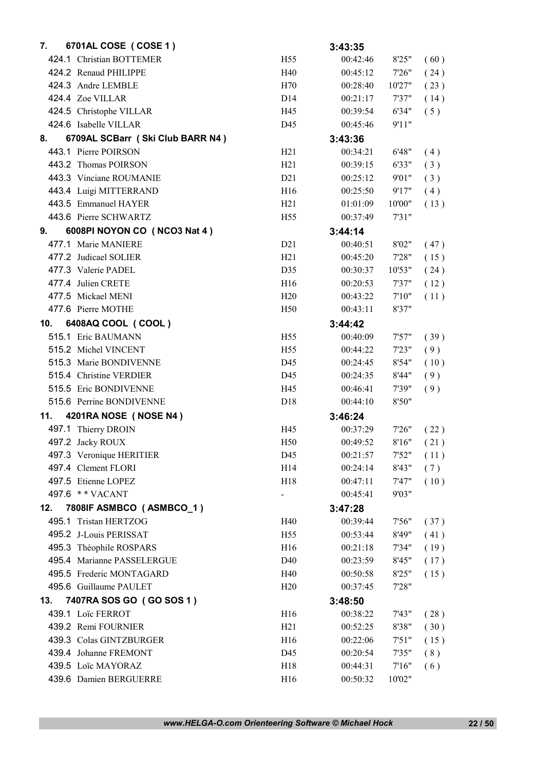| 7.  | 6701AL COSE ( COSE 1 )           |                 | 3:43:35              |                |            |
|-----|----------------------------------|-----------------|----------------------|----------------|------------|
|     | 424.1 Christian BOTTEMER         | H <sub>55</sub> | 00:42:46             | 8'25"          | (60)       |
|     | 424.2 Renaud PHILIPPE            | H40             | 00:45:12             | 7'26"          | (24)       |
|     | 424.3 Andre LEMBLE               | H70             | 00:28:40             | 10'27"         | (23)       |
|     | 424.4 Zoe VILLAR                 | D <sub>14</sub> | 00:21:17             | 7'37"          | (14)       |
|     | 424.5 Christophe VILLAR          | H45             | 00:39:54             | 6'34"          | (5)        |
|     | 424.6 Isabelle VILLAR            | D45             | 00:45:46             | 9'11"          |            |
| 8.  | 6709AL SCBarr (Ski Club BARR N4) |                 | 3:43:36              |                |            |
|     | 443.1 Pierre POIRSON             | H21             | 00:34:21             | 6'48"          | (4)        |
|     | 443.2 Thomas POIRSON             | H21             | 00:39:15             | 6'33"          | (3)        |
|     | 443.3 Vinciane ROUMANIE          | D21             | 00:25:12             | 9'01"          | (3)        |
|     | 443.4 Luigi MITTERRAND           | H <sub>16</sub> | 00:25:50             | 9'17"          | (4)        |
|     | 443.5 Emmanuel HAYER             | H21             | 01:01:09             | 10'00"         | (13)       |
|     | 443.6 Pierre SCHWARTZ            | H <sub>55</sub> | 00:37:49             | 7'31"          |            |
| 9.  | 6008PI NOYON CO (NCO3 Nat 4)     |                 | 3:44:14              |                |            |
|     | 477.1 Marie MANIERE              | D21             | 00:40:51             | 8'02"          | (47)       |
|     | 477.2 Judicael SOLIER            | H21             | 00:45:20             | 7'28"          | (15)       |
|     | 477.3 Valerie PADEL              | D35             | 00:30:37             | 10'53"         | (24)       |
|     | 477.4 Julien CRETE               | H16             | 00:20:53             | 7'37"          | (12)       |
|     | 477.5 Mickael MENI               | H20             | 00:43:22             | 7'10''         | (11)       |
|     | 477.6 Pierre MOTHE               | H <sub>50</sub> | 00:43:11             | 8'37"          |            |
| 10. | 6408AQ COOL (COOL)               |                 | 3:44:42              |                |            |
|     | 515.1 Eric BAUMANN               | H <sub>55</sub> | 00:40:09             | 7'57"          | (39)       |
|     | 515.2 Michel VINCENT             | H <sub>55</sub> | 00:44:22             | 7'23"          | (9)        |
|     | 515.3 Marie BONDIVENNE           | D45             | 00:24:45             | 8'54"          | (10)       |
|     | 515.4 Christine VERDIER          | D45             | 00:24:35             | 8'44"          | (9)        |
|     | 515.5 Eric BONDIVENNE            | H45             | 00:46:41             | 7'39"          | (9)        |
|     | 515.6 Perrine BONDIVENNE         | D <sub>18</sub> | 00:44:10             | 8'50"          |            |
| 11. | 4201RA NOSE (NOSE N4)            |                 | 3:46:24              |                |            |
|     | 497.1 Thierry DROIN              | H45             | 00:37:29             | 7'26"          | (22)       |
|     | 497.2 Jacky ROUX                 | H <sub>50</sub> | 00:49:52             | 8'16"          | (21)       |
|     | 497.3 Veronique HERITIER         | D45             | 00:21:57             | 7'52"          | (11)       |
|     | 497.4 Clement FLORI              | H <sub>14</sub> | 00:24:14             | 8'43"          | (7)        |
|     | 497.5 Etienne LOPEZ              | H18             | 00:47:11             | 7'47"          | (10)       |
|     | 497.6 ** VACANT                  | $\blacksquare$  | 00:45:41             | 9'03"          |            |
| 12. | 7808IF ASMBCO (ASMBCO_1)         |                 | 3:47:28              |                |            |
|     | 495.1 Tristan HERTZOG            | H40             | 00:39:44             | 7'56"          | (37)       |
|     | 495.2 J-Louis PERISSAT           | H <sub>55</sub> | 00:53:44             | 8'49"          | (41)       |
|     | 495.3 Théophile ROSPARS          | H <sub>16</sub> | 00:21:18             | 7'34"          | (19)       |
|     | 495.4 Marianne PASSELERGUE       | D40             | 00:23:59             | 8'45"          | (17)       |
|     | 495.5 Frederic MONTAGARD         | H40             | 00:50:58             | 8'25"          | (15)       |
|     | 495.6 Guillaume PAULET           | H20             | 00:37:45             | 7'28"          |            |
| 13. | 7407RA SOS GO (GO SOS 1)         |                 | 3:48:50              |                |            |
|     | 439.1 Loïc FERROT                | H16             | 00:38:22             | 7'43"          |            |
|     | 439.2 Remi FOURNIER              | H21             |                      |                | (28)       |
|     | 439.3 Colas GINTZBURGER          | H16             | 00:52:25<br>00:22:06 | 8'38"          | (30)       |
|     | 439.4 Johanne FREMONT            | D45             | 00:20:54             | 7'51"<br>7'35" | (15)       |
|     | 439.5 Loïc MAYORAZ               | H18             | 00:44:31             | 7'16''         | (8)<br>(6) |
|     | 439.6 Damien BERGUERRE           | H16             | 00:50:32             | 10'02"         |            |
|     |                                  |                 |                      |                |            |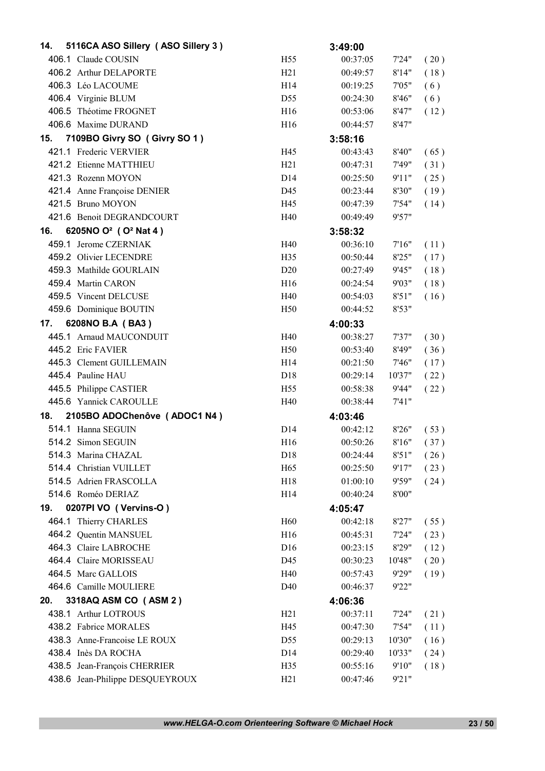| 14. | 5116CA ASO Sillery (ASO Sillery 3)           |                                    | 3:49:00              |                  |              |
|-----|----------------------------------------------|------------------------------------|----------------------|------------------|--------------|
|     | 406.1 Claude COUSIN                          | H <sub>55</sub>                    | 00:37:05             | 7'24"            | (20)         |
|     | 406.2 Arthur DELAPORTE                       | H21                                | 00:49:57             | 8'14"            | (18)         |
|     | 406.3 Léo LACOUME                            | H <sub>14</sub>                    | 00:19:25             | 7'05"            | (6)          |
|     | 406.4 Virginie BLUM                          | D <sub>55</sub>                    | 00:24:30             | 8'46"            | (6)          |
|     | 406.5 Théotime FROGNET                       | H <sub>16</sub>                    | 00:53:06             | 8'47"            | (12)         |
|     | 406.6 Maxime DURAND                          | H <sub>16</sub>                    | 00:44:57             | 8'47"            |              |
| 15. | 7109BO Givry SO (Givry SO 1)                 |                                    | 3:58:16              |                  |              |
|     | 421.1 Frederic VERVIER                       | H45                                | 00:43:43             | 8'40"            | (65)         |
|     | 421.2 Etienne MATTHIEU                       | H21                                | 00:47:31             | 7'49"            | (31)         |
|     | 421.3 Rozenn MOYON                           | D <sub>14</sub>                    | 00:25:50             | 9'11"            | (25)         |
|     | 421.4 Anne Françoise DENIER                  | D45                                | 00:23:44             | 8'30"            | (19)         |
|     | 421.5 Bruno MOYON                            | H45                                | 00:47:39             | 7'54"            | (14)         |
|     | 421.6 Benoit DEGRANDCOURT                    | H40                                | 00:49:49             | 9'57"            |              |
| 16. | 6205NO O <sup>2</sup> (O <sup>2</sup> Nat 4) |                                    | 3:58:32              |                  |              |
|     | 459.1 Jerome CZERNIAK                        | H40                                | 00:36:10             | 7'16''           | (11)         |
|     | 459.2 Olivier LECENDRE                       | H <sub>35</sub>                    | 00:50:44             | 8'25"            | (17)         |
|     | 459.3 Mathilde GOURLAIN                      | D <sub>20</sub>                    | 00:27:49             | 9'45"            | (18)         |
|     | 459.4 Martin CARON                           | H16                                | 00:24:54             | 9'03"            | (18)         |
|     | 459.5 Vincent DELCUSE                        | H40                                | 00:54:03             | 8'51"            | (16)         |
|     | 459.6 Dominique BOUTIN                       | H <sub>50</sub>                    | 00:44:52             | 8'53"            |              |
| 17. | 6208NO B.A (BA3)                             |                                    | 4:00:33              |                  |              |
|     | 445.1 Arnaud MAUCONDUIT                      | H40                                | 00:38:27             | 7'37"            | (30)         |
|     | 445.2 Eric FAVIER                            | H <sub>50</sub>                    | 00:53:40             | 8'49"            | (36)         |
|     | 445.3 Clement GUILLEMAIN                     | H14                                | 00:21:50             | 7'46"            | (17)         |
|     | 445.4 Pauline HAU                            | D18                                | 00:29:14             | 10'37"           | (22)         |
|     | 445.5 Philippe CASTIER                       | H <sub>55</sub>                    | 00:58:38             | 9'44"            | (22)         |
|     | 445.6 Yannick CAROULLE                       | H40                                | 00:38:44             | 7'41"            |              |
| 18. | 2105BO ADOChenôve (ADOC1 N4)                 |                                    | 4:03:46              |                  |              |
|     | 514.1 Hanna SEGUIN                           | D <sub>14</sub>                    | 00:42:12             | 8'26"            | (53)         |
|     | 514.2 Simon SEGUIN                           | H16                                | 00:50:26             | 8'16"            | (37)         |
|     | 514.3 Marina CHAZAL                          | D18                                | 00:24:44             | 8'51"            | (26)         |
|     | 514.4 Christian VUILLET                      | H65                                | 00:25:50             | 9'17"            | (23)         |
|     | 514.5 Adrien FRASCOLLA                       | H18                                | 01:00:10             | 9'59"            | (24)         |
|     | 514.6 Roméo DERIAZ                           | H14                                | 00:40:24             | 8'00"            |              |
| 19. | 0207PI VO (Vervins-O)                        |                                    | 4:05:47              |                  |              |
|     | 464.1 Thierry CHARLES                        | H <sub>60</sub>                    | 00:42:18             | 8'27"            | (55)         |
|     | 464.2 Quentin MANSUEL                        | H16                                | 00:45:31             | 7'24"            | (23)         |
|     | 464.3 Claire LABROCHE                        | D16                                | 00:23:15             | 8'29"            | (12)         |
|     | 464.4 Claire MORISSEAU                       | D45                                | 00:30:23             | 10'48"           | (20)         |
|     | 464.5 Marc GALLOIS                           | H40                                | 00:57:43             | 9'29"            | (19)         |
|     | 464.6 Camille MOULIERE                       | D <sub>40</sub>                    | 00:46:37             | 9'22"            |              |
| 20. | 3318AQ ASM CO (ASM 2)                        |                                    | 4:06:36              |                  |              |
|     | 438.1 Arthur LOTROUS                         | H21                                | 00:37:11             | 7'24"            |              |
|     | 438.2 Fabrice MORALES                        | H45                                |                      |                  | (21)         |
|     | 438.3 Anne-Francoise LE ROUX                 |                                    | 00:47:30             | 7'54"            | (11)         |
|     | 438.4 Inès DA ROCHA                          | D <sub>55</sub><br>D <sub>14</sub> | 00:29:13<br>00:29:40 | 10'30"<br>10'33" | (16)         |
|     | 438.5 Jean-François CHERRIER                 | H35                                | 00:55:16             | 9'10"            | (24)<br>(18) |
|     | 438.6 Jean-Philippe DESQUEYROUX              | H21                                | 00:47:46             | 9'21"            |              |
|     |                                              |                                    |                      |                  |              |

*www.HELGA-O.com Orienteering Software © Michael Hock* 23 / 50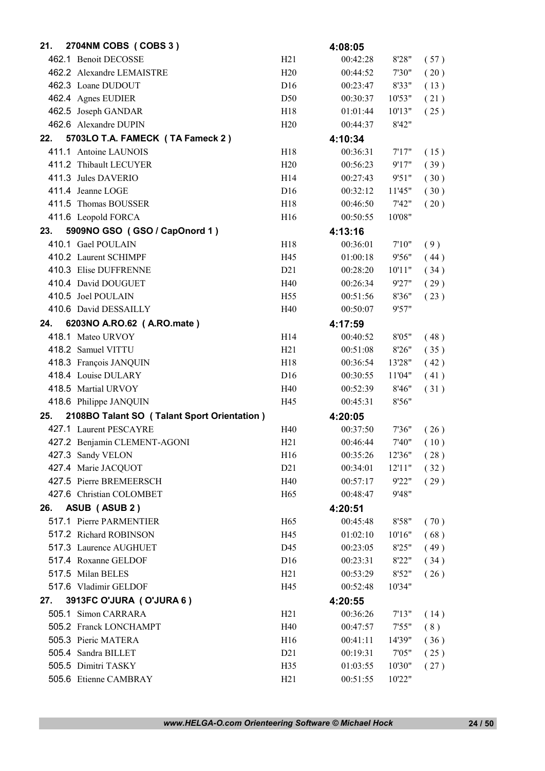| 21. | 2704NM COBS (COBS 3)                        |                 | 4:08:05  |        |      |
|-----|---------------------------------------------|-----------------|----------|--------|------|
|     | 462.1 Benoit DECOSSE                        | H21             | 00:42:28 | 8'28"  | (57) |
|     | 462.2 Alexandre LEMAISTRE                   | H20             | 00:44:52 | 7'30"  | (20) |
|     | 462.3 Loane DUDOUT                          | D <sub>16</sub> | 00:23:47 | 8'33"  | (13) |
|     | 462.4 Agnes EUDIER                          | D50             | 00:30:37 | 10'53" | (21) |
|     | 462.5 Joseph GANDAR                         | H18             | 01:01:44 | 10'13" | (25) |
|     | 462.6 Alexandre DUPIN                       | H20             | 00:44:37 | 8'42"  |      |
| 22. | 5703LO T.A. FAMECK (TA Fameck 2)            |                 | 4:10:34  |        |      |
|     | 411.1 Antoine LAUNOIS                       | H <sub>18</sub> | 00:36:31 | 7'17'' | (15) |
|     | 411.2 Thibault LECUYER                      | H20             | 00:56:23 | 9'17"  | (39) |
|     | 411.3 Jules DAVERIO                         | H14             | 00:27:43 | 9'51"  | (30) |
|     | 411.4 Jeanne LOGE                           | D <sub>16</sub> | 00:32:12 | 11'45" | (30) |
|     | 411.5 Thomas BOUSSER                        | H18             | 00:46:50 | 7'42"  | (20) |
|     | 411.6 Leopold FORCA                         | H <sub>16</sub> | 00:50:55 | 10'08" |      |
| 23. | 5909NO GSO (GSO / CapOnord 1)               |                 | 4:13:16  |        |      |
|     | 410.1 Gael POULAIN                          | H18             | 00:36:01 | 7'10'' | (9)  |
|     | 410.2 Laurent SCHIMPF                       | H45             | 01:00:18 | 9'56"  | (44) |
|     | 410.3 Elise DUFFRENNE                       | D21             | 00:28:20 | 10'11" | (34) |
|     | 410.4 David DOUGUET                         | H40             | 00:26:34 | 9'27"  | (29) |
|     | 410.5 Joel POULAIN                          | H <sub>55</sub> | 00:51:56 | 8'36"  | (23) |
|     | 410.6 David DESSAILLY                       | H40             | 00:50:07 | 9'57"  |      |
| 24. | 6203NO A.RO.62 (A.RO.mate)                  |                 | 4:17:59  |        |      |
|     | 418.1 Mateo URVOY                           | H14             | 00:40:52 | 8'05"  | (48) |
|     | 418.2 Samuel VITTU                          | H21             | 00:51:08 | 8'26"  | (35) |
|     | 418.3 François JANQUIN                      | H18             | 00:36:54 | 13'28" | (42) |
|     | 418.4 Louise DULARY                         | D <sub>16</sub> | 00:30:55 | 11'04" | (41) |
|     | 418.5 Martial URVOY                         | H40             | 00:52:39 | 8'46"  | (31) |
|     | 418.6 Philippe JANQUIN                      | H45             | 00:45:31 | 8'56"  |      |
| 25. | 2108BO Talant SO (Talant Sport Orientation) |                 | 4:20:05  |        |      |
|     | 427.1 Laurent PESCAYRE                      | H40             | 00:37:50 | 7'36"  | (26) |
|     | 427.2 Benjamin CLEMENT-AGONI                | H <sub>21</sub> | 00:46:44 | 7'40"  | (10) |
|     | 427.3 Sandy VELON                           | H16             | 00:35:26 | 12'36" | (28) |
|     | 427.4 Marie JACQUOT                         | D21             | 00:34:01 | 12'11" | (32) |
|     | 427.5 Pierre BREMEERSCH                     | H40             | 00:57:17 | 9'22"  | (29) |
|     | 427.6 Christian COLOMBET                    | H65             | 00:48:47 | 9'48"  |      |
| 26. | ASUB (ASUB 2)                               |                 | 4:20:51  |        |      |
|     | 517.1 Pierre PARMENTIER                     | H <sub>65</sub> | 00:45:48 | 8'58"  | (70) |
|     | 517.2 Richard ROBINSON                      | H45             | 01:02:10 | 10'16" | (68) |
|     | 517.3 Laurence AUGHUET                      | D45             | 00:23:05 | 8'25"  | (49) |
|     | 517.4 Roxanne GELDOF                        | D16             | 00:23:31 | 8'22"  | (34) |
|     | 517.5 Milan BELES                           | H21             | 00:53:29 | 8'52"  | (26) |
|     | 517.6 Vladimir GELDOF                       | H45             | 00:52:48 | 10'34" |      |
| 27. | 3913FC O'JURA (O'JURA 6)                    |                 | 4:20:55  |        |      |
|     | 505.1 Simon CARRARA                         | H21             | 00:36:26 | 7'13'' | (14) |
|     | 505.2 Franck LONCHAMPT                      | H40             | 00:47:57 | 7'55"  | (8)  |
|     | 505.3 Pieric MATERA                         | H <sub>16</sub> | 00:41:11 | 14'39" | (36) |
|     | 505.4 Sandra BILLET                         | D21             | 00:19:31 | 7'05"  | (25) |
|     | 505.5 Dimitri TASKY                         | H <sub>35</sub> | 01:03:55 | 10'30" | (27) |
|     | 505.6 Etienne CAMBRAY                       | H21             | 00:51:55 | 10'22" |      |
|     |                                             |                 |          |        |      |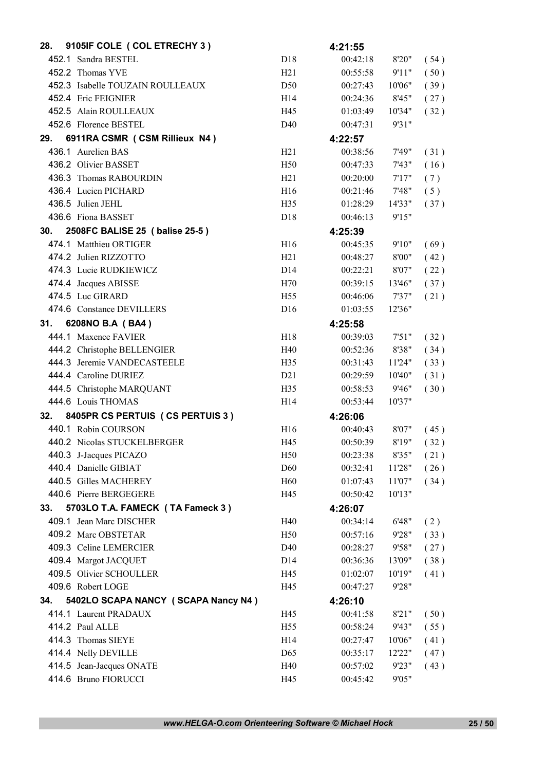| 28. | 9105IF COLE ( COL ETRECHY 3 )       |                                    | 4:21:55              |                 |              |
|-----|-------------------------------------|------------------------------------|----------------------|-----------------|--------------|
|     | 452.1 Sandra BESTEL                 | D18                                | 00:42:18             | 8'20"           | (54)         |
|     | 452.2 Thomas YVE                    | H21                                | 00:55:58             | 9'11"           | (50)         |
|     | 452.3 Isabelle TOUZAIN ROULLEAUX    | D <sub>50</sub>                    | 00:27:43             | 10'06"          | (39)         |
|     | 452.4 Eric FEIGNIER                 | H14                                | 00:24:36             | 8'45"           | (27)         |
|     | 452.5 Alain ROULLEAUX               | H45                                | 01:03:49             | 10'34"          | (32)         |
|     | 452.6 Florence BESTEL               | D40                                | 00:47:31             | 9'31"           |              |
| 29. | 6911RA CSMR (CSM Rillieux N4)       |                                    | 4:22:57              |                 |              |
|     | 436.1 Aurelien BAS                  | H21                                | 00:38:56             | 7'49"           | (31)         |
|     | 436.2 Olivier BASSET                | H50                                | 00:47:33             | 7'43"           | (16)         |
|     | 436.3 Thomas RABOURDIN              | H21                                | 00:20:00             | 7'17"           | (7)          |
|     | 436.4 Lucien PICHARD                | H16                                | 00:21:46             | 7'48"           | (5)          |
|     | 436.5 Julien JEHL                   | H35                                | 01:28:29             | 14'33"          | (37)         |
|     | 436.6 Fiona BASSET                  | D <sub>18</sub>                    | 00:46:13             | 9'15"           |              |
| 30. | 2508FC BALISE 25 ( balise 25-5)     |                                    | 4:25:39              |                 |              |
|     | 474.1 Matthieu ORTIGER              | H16                                | 00:45:35             | 9'10"           | (69)         |
|     | 474.2 Julien RIZZOTTO               | H21                                | 00:48:27             | 8'00"           | (42)         |
|     | 474.3 Lucie RUDKIEWICZ              | D14                                | 00:22:21             | 8'07"           | (22)         |
|     | 474.4 Jacques ABISSE                | H70                                | 00:39:15             | 13'46"          | (37)         |
|     | 474.5 Luc GIRARD                    | H <sub>55</sub>                    | 00:46:06             | 7'37"           | (21)         |
|     | 474.6 Constance DEVILLERS           | D <sub>16</sub>                    | 01:03:55             | 12'36"          |              |
| 31. | 6208NO B.A (BA4)                    |                                    | 4:25:58              |                 |              |
|     | 444.1 Maxence FAVIER                | H18                                | 00:39:03             | 7'51"           | (32)         |
|     | 444.2 Christophe BELLENGIER         | H40                                | 00:52:36             | 8'38"           | (34)         |
|     | 444.3 Jeremie VANDECASTEELE         | H35                                | 00:31:43             | 11'24"          | (33)         |
|     | 444.4 Caroline DURIEZ               | D21                                | 00:29:59             | 10'40''         | (31)         |
|     | 444.5 Christophe MARQUANT           | H35                                | 00:58:53             | 9'46"           | (30)         |
|     | 444.6 Louis THOMAS                  | H14                                | 00:53:44             | 10'37"          |              |
| 32. | 8405PR CS PERTUIS (CS PERTUIS 3)    |                                    | 4:26:06              |                 |              |
|     | 440.1 Robin COURSON                 | H16                                | 00:40:43             | 8'07"           | (45)         |
|     | 440.2 Nicolas STUCKELBERGER         | H45                                | 00:50:39             | 8'19"           | (32)         |
|     | 440.3 J-Jacques PICAZO              | H50                                | 00:23:38             | 8'35"           | (21)         |
|     | 440.4 Danielle GIBIAT               | D <sub>60</sub>                    | 00:32:41             | 11'28"          | (26)         |
|     | 440.5 Gilles MACHEREY               | H <sub>60</sub>                    | 01:07:43             | 11'07"          | (34)         |
|     | 440.6 Pierre BERGEGERE              | H45                                | 00:50:42             | 10'13"          |              |
| 33. | 5703LO T.A. FAMECK (TA Fameck 3)    |                                    | 4:26:07              |                 |              |
|     | 409.1 Jean Marc DISCHER             | H40                                | 00:34:14             | 6'48"           | (2)          |
|     | 409.2 Marc OBSTETAR                 | H <sub>50</sub>                    | 00:57:16             | 9'28"           | (33)         |
|     | 409.3 Celine LEMERCIER              | D40                                | 00:28:27             | 9'58"           | (27)         |
|     | 409.4 Margot JACQUET                | D14                                | 00:36:36             | 13'09"          | (38)         |
|     | 409.5 Olivier SCHOULLER             | H45                                | 01:02:07             | 10'19"          | (41)         |
|     | 409.6 Robert LOGE                   | H45                                | 00:47:27             | 9'28"           |              |
| 34. | 5402LO SCAPA NANCY (SCAPA Nancy N4) |                                    | 4:26:10              |                 |              |
|     | 414.1 Laurent PRADAUX               | H45                                | 00:41:58             | 8'21"           | (50)         |
|     | 414.2 Paul ALLE                     |                                    |                      |                 |              |
|     | 414.3 Thomas SIEYE                  | H <sub>55</sub><br>H <sub>14</sub> | 00:58:24             | 9'43"<br>10'06" | (55)         |
|     | 414.4 Nelly DEVILLE                 | D <sub>65</sub>                    | 00:27:47<br>00:35:17 | 12'22"          | (41)         |
|     | 414.5 Jean-Jacques ONATE            | H40                                | 00:57:02             | 9'23"           | (47)<br>(43) |
|     | 414.6 Bruno FIORUCCI                | H45                                | 00:45:42             | 9'05"           |              |
|     |                                     |                                    |                      |                 |              |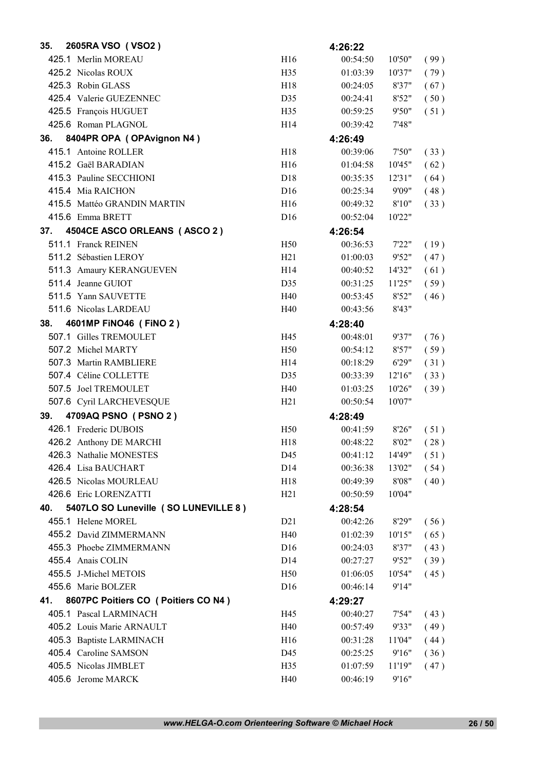| 35. | 2605RA VSO (VSO2)                     |                 | 4:26:22  |        |      |
|-----|---------------------------------------|-----------------|----------|--------|------|
|     | 425.1 Merlin MOREAU                   | H16             | 00:54:50 | 10'50" | (99) |
|     | 425.2 Nicolas ROUX                    | H35             | 01:03:39 | 10'37" | (79) |
|     | 425.3 Robin GLASS                     | H18             | 00:24:05 | 8'37"  | (67) |
|     | 425.4 Valerie GUEZENNEC               | D35             | 00:24:41 | 8'52"  | (50) |
|     | 425.5 François HUGUET                 | H35             | 00:59:25 | 9'50"  | (51) |
|     | 425.6 Roman PLAGNOL                   | H <sub>14</sub> | 00:39:42 | 7'48"  |      |
| 36. | 8404PR OPA (OPAvignon N4)             |                 | 4:26:49  |        |      |
|     | 415.1 Antoine ROLLER                  | H18             | 00:39:06 | 7'50"  | (33) |
|     | 415.2 Gaël BARADIAN                   | H <sub>16</sub> | 01:04:58 | 10'45" | (62) |
|     | 415.3 Pauline SECCHIONI               | D18             | 00:35:35 | 12'31" | (64) |
|     | 415.4 Mia RAICHON                     | D <sub>16</sub> | 00:25:34 | 9'09"  | (48) |
|     | 415.5 Mattéo GRANDIN MARTIN           | H <sub>16</sub> | 00:49:32 | 8'10"  | (33) |
|     | 415.6 Emma BRETT                      | D <sub>16</sub> | 00:52:04 | 10'22" |      |
| 37. | 4504CE ASCO ORLEANS (ASCO 2)          |                 | 4:26:54  |        |      |
|     | 511.1 Franck REINEN                   | H <sub>50</sub> | 00:36:53 | 7'22"  | (19) |
|     | 511.2 Sébastien LEROY                 | H21             | 01:00:03 | 9'52"  | (47) |
|     | 511.3 Amaury KERANGUEVEN              | H <sub>14</sub> | 00:40:52 | 14'32" | (61) |
|     | 511.4 Jeanne GUIOT                    | D35             | 00:31:25 | 11'25" | (59) |
|     | 511.5 Yann SAUVETTE                   | H40             | 00:53:45 | 8'52"  | (46) |
|     | 511.6 Nicolas LARDEAU                 | H40             | 00:43:56 | 8'43"  |      |
| 38. | 4601MP FINO46 (FINO 2)                |                 | 4:28:40  |        |      |
|     | 507.1 Gilles TREMOULET                | H45             | 00:48:01 | 9'37"  | (76) |
|     | 507.2 Michel MARTY                    | H <sub>50</sub> | 00:54:12 | 8'57"  | (59) |
|     | 507.3 Martin RAMBLIERE                | H <sub>14</sub> | 00:18:29 | 6'29"  | (31) |
|     | 507.4 Céline COLLETTE                 | D35             | 00:33:39 | 12'16" | (33) |
|     | 507.5 Joel TREMOULET                  | H40             | 01:03:25 | 10'26" | (39) |
|     | 507.6 Cyril LARCHEVESQUE              | H21             | 00:50:54 | 10'07" |      |
| 39. | 4709AQ PSNO (PSNO 2)                  |                 | 4:28:49  |        |      |
|     | 426.1 Frederic DUBOIS                 | H <sub>50</sub> | 00:41:59 | 8'26"  | (51) |
|     | 426.2 Anthony DE MARCHI               | H <sub>18</sub> | 00:48:22 | 8'02"  | (28) |
|     | 426.3 Nathalie MONESTES               | D45             | 00:41:12 | 14'49" | (51) |
|     | 426.4 Lisa BAUCHART                   | D <sub>14</sub> | 00:36:38 | 13'02" | (54) |
|     | 426.5 Nicolas MOURLEAU                | H18             | 00:49:39 | 8'08"  | (40) |
|     | 426.6 Eric LORENZATTI                 | H21             | 00:50:59 | 10'04" |      |
| 40. | 5407LO SO Luneville (SO LUNEVILLE 8)  |                 | 4:28:54  |        |      |
|     | 455.1 Helene MOREL                    | D21             | 00:42:26 | 8'29"  | (56) |
|     | 455.2 David ZIMMERMANN                | H40             | 01:02:39 | 10'15" | (65) |
|     | 455.3 Phoebe ZIMMERMANN               | D16             | 00:24:03 | 8'37"  | (43) |
|     | 455.4 Anais COLIN                     | D14             | 00:27:27 | 9'52"  | (39) |
|     | 455.5 J-Michel METOIS                 | H <sub>50</sub> | 01:06:05 | 10'54" | (45) |
|     | 455.6 Marie BOLZER                    | D <sub>16</sub> | 00:46:14 | 9'14"  |      |
| 41. | 8607PC Poitiers CO ( Poitiers CO N4 ) |                 | 4:29:27  |        |      |
|     | 405.1 Pascal LARMINACH                | H45             | 00:40:27 | 7'54"  | (43) |
|     | 405.2 Louis Marie ARNAULT             | H40             | 00:57:49 | 9'33"  | (49) |
|     | 405.3 Baptiste LARMINACH              | H16             | 00:31:28 | 11'04" | (44) |
|     | 405.4 Caroline SAMSON                 | D45             | 00:25:25 | 9'16"  | (36) |
|     | 405.5 Nicolas JIMBLET                 | H <sub>35</sub> | 01:07:59 | 11'19" | (47) |
|     | 405.6 Jerome MARCK                    | H40             | 00:46:19 | 9'16"  |      |

*www.HELGA-O.com Orienteering Software © Michael Hock* 26 / 50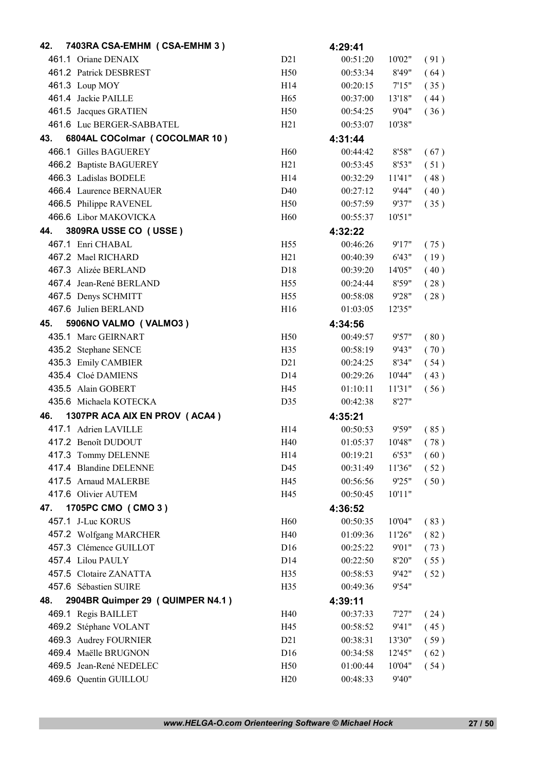| 42. | 7403RA CSA-EMHM (CSA-EMHM 3)     |                 | 4:29:41  |        |      |
|-----|----------------------------------|-----------------|----------|--------|------|
|     | 461.1 Oriane DENAIX              | D21             | 00:51:20 | 10'02" | (91) |
|     | 461.2 Patrick DESBREST           | H <sub>50</sub> | 00:53:34 | 8'49"  | (64) |
|     | 461.3 Loup MOY                   | H <sub>14</sub> | 00:20:15 | 7'15"  | (35) |
|     | 461.4 Jackie PAILLE              | H <sub>65</sub> | 00:37:00 | 13'18" | (44) |
|     | 461.5 Jacques GRATIEN            | H <sub>50</sub> | 00:54:25 | 9'04"  | (36) |
|     | 461.6 Luc BERGER-SABBATEL        | H <sub>21</sub> | 00:53:07 | 10'38" |      |
| 43. | 6804AL COColmar (COCOLMAR 10)    |                 | 4:31:44  |        |      |
|     | 466.1 Gilles BAGUEREY            | H <sub>60</sub> | 00:44:42 | 8'58"  | (67) |
|     | 466.2 Baptiste BAGUEREY          | H21             | 00:53:45 | 8'53"  | (51) |
|     | 466.3 Ladislas BODELE            | H <sub>14</sub> | 00:32:29 | 11'41" | (48) |
|     | 466.4 Laurence BERNAUER          | D40             | 00:27:12 | 9'44"  | (40) |
|     | 466.5 Philippe RAVENEL           | H <sub>50</sub> | 00:57:59 | 9'37"  | (35) |
|     | 466.6 Libor MAKOVICKA            | H <sub>60</sub> | 00:55:37 | 10'51" |      |
| 44. | 3809RA USSE CO (USSE)            |                 | 4:32:22  |        |      |
|     | 467.1 Enri CHABAL                | H <sub>55</sub> | 00:46:26 | 9'17"  | (75) |
|     | 467.2 Mael RICHARD               | H21             | 00:40:39 | 6'43"  | (19) |
|     | 467.3 Alizée BERLAND             | D18             | 00:39:20 | 14'05" | (40) |
|     | 467.4 Jean-René BERLAND          | H <sub>55</sub> | 00:24:44 | 8'59"  | (28) |
|     | 467.5 Denys SCHMITT              | H <sub>55</sub> | 00:58:08 | 9'28"  | (28) |
|     | 467.6 Julien BERLAND             | H <sub>16</sub> | 01:03:05 | 12'35" |      |
| 45. | 5906NO VALMO (VALMO3)            |                 | 4:34:56  |        |      |
|     | 435.1 Marc GEIRNART              | H <sub>50</sub> | 00:49:57 | 9'57"  | (80) |
|     | 435.2 Stephane SENCE             | H35             | 00:58:19 | 9'43"  | (70) |
|     | 435.3 Emily CAMBIER              | D21             | 00:24:25 | 8'34"  | (54) |
|     | 435.4 Cloé DAMIENS               | D <sub>14</sub> | 00:29:26 | 10'44" | (43) |
|     | 435.5 Alain GOBERT               | H45             | 01:10:11 | 11'31" | (56) |
|     | 435.6 Michaela KOTECKA           | D35             | 00:42:38 | 8'27"  |      |
| 46. | 1307PR ACA AIX EN PROV (ACA4)    |                 | 4:35:21  |        |      |
|     | 417.1 Adrien LAVILLE             | H <sub>14</sub> | 00:50:53 | 9'59"  | (85) |
|     | 417.2 Benoît DUDOUT              | H40             | 01:05:37 | 10'48" | (78) |
|     | 417.3 Tommy DELENNE              | H14             | 00:19:21 | 6'53"  | (60) |
|     | 417.4 Blandine DELENNE           | D45             | 00:31:49 | 11'36" | (52) |
|     | 417.5 Arnaud MALERBE             | H45             | 00:56:56 | 9'25"  | (50) |
|     | 417.6 Olivier AUTEM              | H45             | 00:50:45 | 10'11" |      |
| 47. | 1705PC CMO (CMO 3)               |                 | 4:36:52  |        |      |
|     | 457.1 J-Luc KORUS                | H <sub>60</sub> | 00:50:35 | 10'04" | (83) |
|     | 457.2 Wolfgang MARCHER           | H40             | 01:09:36 | 11'26" | (82) |
|     | 457.3 Clémence GUILLOT           | D <sub>16</sub> | 00:25:22 | 9'01"  | (73) |
|     | 457.4 Lilou PAULY                | D <sub>14</sub> | 00:22:50 | 8'20"  | (55) |
|     | 457.5 Clotaire ZANATTA           | H <sub>35</sub> | 00:58:53 | 9'42"  | (52) |
|     | 457.6 Sébastien SUIRE            | H35             | 00:49:36 | 9'54"  |      |
| 48. | 2904BR Quimper 29 (QUIMPER N4.1) |                 | 4:39:11  |        |      |
|     | 469.1 Regis BAILLET              | H40             | 00:37:33 | 7'27"  | (24) |
|     | 469.2 Stéphane VOLANT            | H45             | 00:58:52 | 9'41"  | (45) |
|     | 469.3 Audrey FOURNIER            | D21             | 00:38:31 | 13'30" | (59) |
|     | 469.4 Maëlle BRUGNON             | D <sub>16</sub> | 00:34:58 | 12'45" | (62) |
|     | 469.5 Jean-René NEDELEC          | H <sub>50</sub> | 01:00:44 | 10'04" | (54) |
|     | 469.6 Quentin GUILLOU            | H20             | 00:48:33 | 9'40"  |      |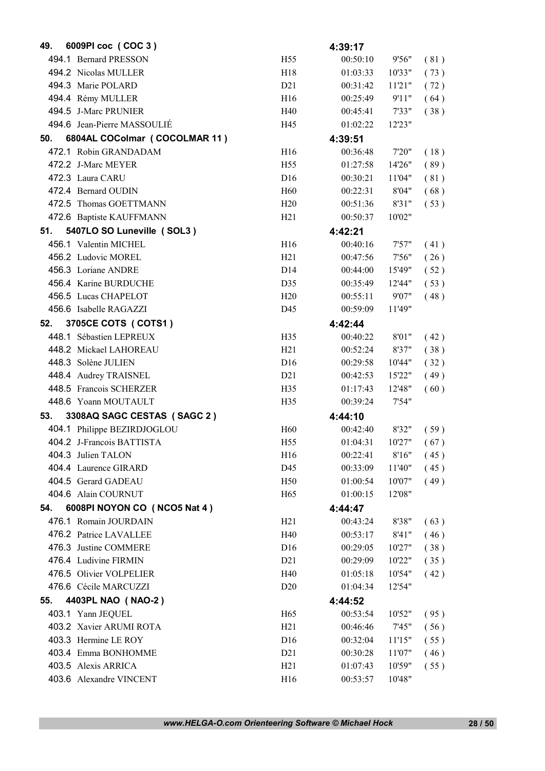| 49. | 6009PI coc (COC 3)            |                 | 4:39:17  |        |      |
|-----|-------------------------------|-----------------|----------|--------|------|
|     | 494.1 Bernard PRESSON         | H <sub>55</sub> | 00:50:10 | 9'56"  | (81) |
|     | 494.2 Nicolas MULLER          | H18             | 01:03:33 | 10'33" | (73) |
|     | 494.3 Marie POLARD            | D21             | 00:31:42 | 11'21" | (72) |
|     | 494.4 Rémy MULLER             | H16             | 00:25:49 | 9'11"  | (64) |
|     | 494.5 J-Marc PRUNIER          | H40             | 00:45:41 | 7'33"  | (38) |
|     | 494.6 Jean-Pierre MASSOULIÉ   | H45             | 01:02:22 | 12'23" |      |
| 50. | 6804AL COColmar (COCOLMAR 11) |                 | 4:39:51  |        |      |
|     | 472.1 Robin GRANDADAM         | H16             | 00:36:48 | 7'20"  | (18) |
|     | 472.2 J-Marc MEYER            | H <sub>55</sub> | 01:27:58 | 14'26" | (89) |
|     | 472.3 Laura CARU              | D <sub>16</sub> | 00:30:21 | 11'04" | (81) |
|     | 472.4 Bernard OUDIN           | H <sub>60</sub> | 00:22:31 | 8'04"  | (68) |
|     | 472.5 Thomas GOETTMANN        | H20             | 00:51:36 | 8'31"  | (53) |
|     | 472.6 Baptiste KAUFFMANN      | H21             | 00:50:37 | 10'02" |      |
| 51. | 5407LO SO Luneville (SOL3)    |                 | 4:42:21  |        |      |
|     | 456.1 Valentin MICHEL         | H16             | 00:40:16 | 7'57"  | (41) |
|     | 456.2 Ludovic MOREL           | H21             | 00:47:56 | 7'56"  | (26) |
|     | 456.3 Loriane ANDRE           | D <sub>14</sub> | 00:44:00 | 15'49" | (52) |
|     | 456.4 Karine BURDUCHE         | D35             | 00:35:49 | 12'44" | (53) |
|     | 456.5 Lucas CHAPELOT          | H20             | 00:55:11 | 9'07"  | (48) |
|     | 456.6 Isabelle RAGAZZI        | D45             | 00:59:09 | 11'49" |      |
| 52. | 3705CE COTS ( COTS1 )         |                 | 4:42:44  |        |      |
|     | 448.1 Sébastien LEPREUX       | H <sub>35</sub> | 00:40:22 | 8'01"  | (42) |
|     | 448.2 Mickael LAHOREAU        | H21             | 00:52:24 | 8'37"  | (38) |
|     | 448.3 Solène JULIEN           | D <sub>16</sub> | 00:29:58 | 10'44" | (32) |
|     | 448.4 Audrey TRAISNEL         | D21             | 00:42:53 | 15'22" | (49) |
|     | 448.5 Francois SCHERZER       | H35             | 01:17:43 | 12'48" | (60) |
|     | 448.6 Yoann MOUTAULT          | H <sub>35</sub> | 00:39:24 | 7'54"  |      |
| 53. | 3308AQ SAGC CESTAS (SAGC 2)   |                 | 4:44:10  |        |      |
|     | 404.1 Philippe BEZIRDJOGLOU   | H <sub>60</sub> | 00:42:40 | 8'32"  | (59) |
|     | 404.2 J-Francois BATTISTA     | H <sub>55</sub> | 01:04:31 | 10'27" | (67) |
|     | 404.3 Julien TALON            | H16             | 00:22:41 | 8'16"  | (45) |
|     | 404.4 Laurence GIRARD         | D45             | 00:33:09 | 11'40" | (45) |
|     | 404.5 Gerard GADEAU           | H <sub>50</sub> | 01:00:54 | 10'07" | (49) |
|     | 404.6 Alain COURNUT           | H <sub>65</sub> | 01:00:15 | 12'08" |      |
| 54. | 6008PI NOYON CO (NCO5 Nat 4)  |                 | 4:44:47  |        |      |
|     | 476.1 Romain JOURDAIN         | H21             | 00:43:24 | 8'38"  | (63) |
|     | 476.2 Patrice LAVALLEE        | H40             | 00:53:17 | 8'41"  | (46) |
|     | 476.3 Justine COMMERE         | D <sub>16</sub> | 00:29:05 | 10'27" | (38) |
|     | 476.4 Ludivine FIRMIN         | D21             | 00:29:09 | 10'22" | (35) |
|     | 476.5 Olivier VOLPELIER       | H40             | 01:05:18 | 10'54" | (42) |
|     | 476.6 Cécile MARCUZZI         | D <sub>20</sub> | 01:04:34 | 12'54" |      |
| 55. | 4403PL NAO (NAO-2)            |                 | 4:44:52  |        |      |
|     | 403.1 Yann JEQUEL             | H <sub>65</sub> | 00:53:54 | 10'52" | (95) |
|     | 403.2 Xavier ARUMI ROTA       | H21             | 00:46:46 | 7'45"  | (56) |
|     | 403.3 Hermine LE ROY          | D16             | 00:32:04 | 11'15" | (55) |
|     | 403.4 Emma BONHOMME           | D21             | 00:30:28 | 11'07" | (46) |
|     | 403.5 Alexis ARRICA           | H21             | 01:07:43 | 10'59" | (55) |
|     | 403.6 Alexandre VINCENT       | H16             | 00:53:57 | 10'48" |      |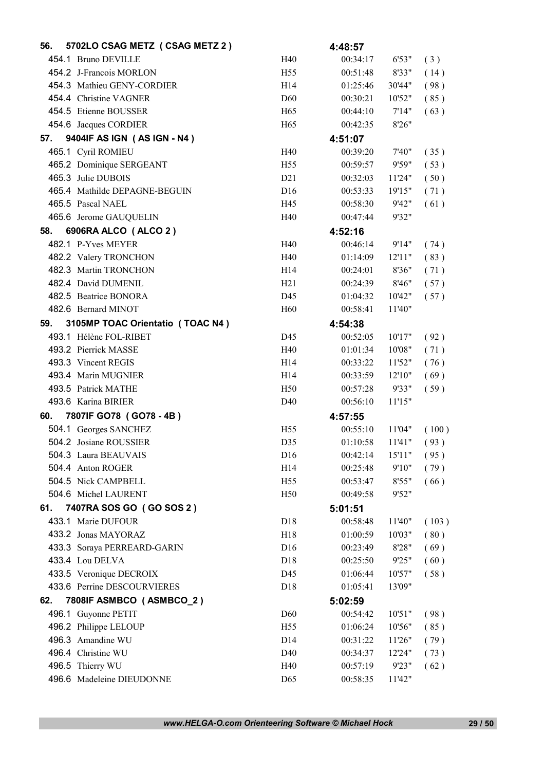| 56. | 5702LO CSAG METZ (CSAG METZ 2)   |                 | 4:48:57  |        |       |
|-----|----------------------------------|-----------------|----------|--------|-------|
|     | 454.1 Bruno DEVILLE              | H40             | 00:34:17 | 6'53"  | (3)   |
|     | 454.2 J-Francois MORLON          | H <sub>55</sub> | 00:51:48 | 8'33"  | (14)  |
|     | 454.3 Mathieu GENY-CORDIER       | H <sub>14</sub> | 01:25:46 | 30'44" | (98)  |
|     | 454.4 Christine VAGNER           | <b>D60</b>      | 00:30:21 | 10'52" | (85)  |
|     | 454.5 Etienne BOUSSER            | H <sub>65</sub> | 00:44:10 | 7'14"  | (63)  |
|     | 454.6 Jacques CORDIER            | H <sub>65</sub> | 00:42:35 | 8'26"  |       |
| 57. | 9404IF AS IGN (AS IGN - N4)      |                 | 4:51:07  |        |       |
|     | 465.1 Cyril ROMIEU               | H40             | 00:39:20 | 7'40"  | (35)  |
|     | 465.2 Dominique SERGEANT         | H <sub>55</sub> | 00:59:57 | 9'59"  | (53)  |
|     | 465.3 Julie DUBOIS               | D21             | 00:32:03 | 11'24" | (50)  |
|     | 465.4 Mathilde DEPAGNE-BEGUIN    | D <sub>16</sub> | 00:53:33 | 19'15" | (71)  |
|     | 465.5 Pascal NAEL                | H45             | 00:58:30 | 9'42"  | (61)  |
|     | 465.6 Jerome GAUQUELIN           | H40             | 00:47:44 | 9'32"  |       |
| 58. | 6906RA ALCO (ALCO 2)             |                 | 4:52:16  |        |       |
|     | 482.1 P-Yves MEYER               | H40             | 00:46:14 | 9'14"  | (74)  |
|     | 482.2 Valery TRONCHON            | H40             | 01:14:09 | 12'11" | (83)  |
|     | 482.3 Martin TRONCHON            | H14             | 00:24:01 | 8'36"  | (71)  |
|     | 482.4 David DUMENIL              | H21             | 00:24:39 | 8'46"  | (57)  |
|     | 482.5 Beatrice BONORA            | D45             | 01:04:32 | 10'42" | (57)  |
|     | 482.6 Bernard MINOT              | H <sub>60</sub> | 00:58:41 | 11'40" |       |
| 59. | 3105MP TOAC Orientatio (TOAC N4) |                 | 4:54:38  |        |       |
|     | 493.1 Hélène FOL-RIBET           | D45             | 00:52:05 | 10'17" | (92)  |
|     | 493.2 Pierrick MASSE             | H40             | 01:01:34 | 10'08" | (71)  |
|     | 493.3 Vincent REGIS              | H14             | 00:33:22 | 11'52" | (76)  |
|     | 493.4 Marin MUGNIER              | H14             | 00:33:59 | 12'10" | (69)  |
|     | 493.5 Patrick MATHE              | H <sub>50</sub> | 00:57:28 | 9'33"  | (59)  |
|     | 493.6 Karina BIRIER              | D40             | 00:56:10 | 11'15" |       |
| 60. | 7807IF GO78 (GO78 - 4B)          |                 | 4:57:55  |        |       |
|     | 504.1 Georges SANCHEZ            | H <sub>55</sub> | 00:55:10 | 11'04" | (100) |
|     | 504.2 Josiane ROUSSIER           | D35             | 01:10:58 | 11'41" | (93)  |
|     | 504.3 Laura BEAUVAIS             | D16             | 00:42:14 | 15'11" | (95)  |
|     | 504.4 Anton ROGER                | H14             | 00:25:48 | 9'10"  | (79)  |
|     | 504.5 Nick CAMPBELL              | H <sub>55</sub> | 00:53:47 | 8'55"  | (66)  |
|     | 504.6 Michel LAURENT             | H <sub>50</sub> | 00:49:58 | 9'52"  |       |
| 61. | 7407RA SOS GO (GO SOS 2)         |                 | 5:01:51  |        |       |
|     | 433.1 Marie DUFOUR               | D18             | 00:58:48 | 11'40" | (103) |
|     | 433.2 Jonas MAYORAZ              | H18             | 01:00:59 | 10'03" | (80)  |
|     | 433.3 Soraya PERREARD-GARIN      | D16             | 00:23:49 | 8'28"  | (69)  |
|     | 433.4 Lou DELVA                  | D18             | 00:25:50 | 9'25"  | (60)  |
|     | 433.5 Veronique DECROIX          | D45             | 01:06:44 | 10'57" | (58)  |
|     | 433.6 Perrine DESCOURVIERES      | D <sub>18</sub> | 01:05:41 | 13'09" |       |
| 62. | 7808IF ASMBCO (ASMBCO_2)         |                 | 5:02:59  |        |       |
|     | 496.1 Guyonne PETIT              | D <sub>60</sub> | 00:54:42 | 10'51" | (98)  |
|     | 496.2 Philippe LELOUP            | H <sub>55</sub> | 01:06:24 | 10'56" | (85)  |
|     | 496.3 Amandine WU                | D14             | 00:31:22 | 11'26" | (79)  |
|     | 496.4 Christine WU               | D40             | 00:34:37 | 12'24" | (73)  |
|     | 496.5 Thierry WU                 | H40             | 00:57:19 | 9'23"  | (62)  |
|     | 496.6 Madeleine DIEUDONNE        | D <sub>65</sub> | 00:58:35 | 11'42" |       |
|     |                                  |                 |          |        |       |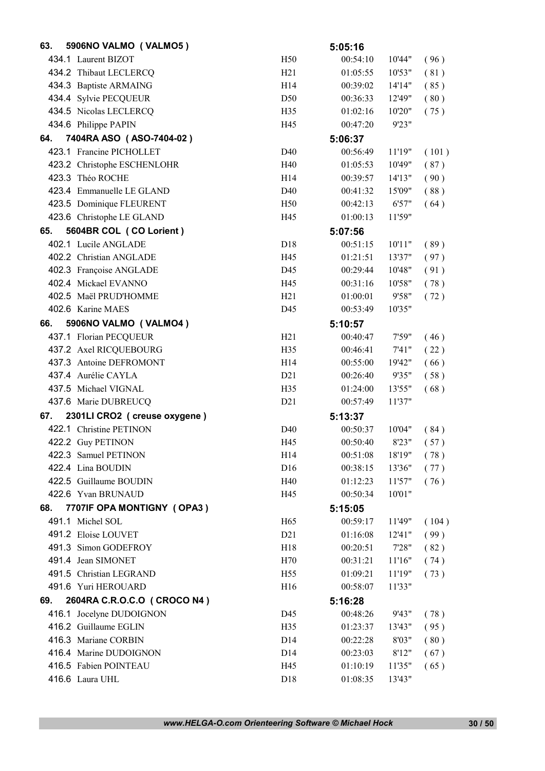| 63. | 5906NO VALMO (VALMO5)          |                 | 5:05:16  |         |       |
|-----|--------------------------------|-----------------|----------|---------|-------|
|     | 434.1 Laurent BIZOT            | H50             | 00:54:10 | 10'44"  | (96)  |
|     | 434.2 Thibaut LECLERCQ         | H21             | 01:05:55 | 10'53"  | (81)  |
|     | 434.3 Baptiste ARMAING         | H <sub>14</sub> | 00:39:02 | 14'14"  | (85)  |
|     | 434.4 Sylvie PECQUEUR          | D <sub>50</sub> | 00:36:33 | 12'49"  | (80)  |
|     | 434.5 Nicolas LECLERCQ         | H <sub>35</sub> | 01:02:16 | 10'20"  | (75)  |
|     | 434.6 Philippe PAPIN           | H45             | 00:47:20 | 9'23"   |       |
| 64. | 7404RA ASO (ASO-7404-02)       |                 | 5:06:37  |         |       |
|     | 423.1 Francine PICHOLLET       | D <sub>40</sub> | 00:56:49 | 11'19"  | (101) |
|     | 423.2 Christophe ESCHENLOHR    | H40             | 01:05:53 | 10'49"  | (87)  |
|     | 423.3 Théo ROCHE               | H14             | 00:39:57 | 14'13'' | (90)  |
|     | 423.4 Emmanuelle LE GLAND      | D <sub>40</sub> | 00:41:32 | 15'09"  | (88)  |
|     | 423.5 Dominique FLEURENT       | H <sub>50</sub> | 00:42:13 | 6'57"   | (64)  |
|     | 423.6 Christophe LE GLAND      | H45             | 01:00:13 | 11'59"  |       |
| 65. | 5604BR COL (CO Lorient)        |                 | 5:07:56  |         |       |
|     | 402.1 Lucile ANGLADE           | D18             | 00:51:15 | 10'11"  | (89)  |
|     | 402.2 Christian ANGLADE        | H45             | 01:21:51 | 13'37"  | (97)  |
|     | 402.3 Françoise ANGLADE        | D45             | 00:29:44 | 10'48"  | (91)  |
|     | 402.4 Mickael EVANNO           | H45             | 00:31:16 | 10'58"  | (78)  |
|     | 402.5 Maël PRUD'HOMME          | H21             | 01:00:01 | 9'58"   | (72)  |
|     | 402.6 Karine MAES              | D45             | 00:53:49 | 10'35"  |       |
| 66. | 5906NO VALMO (VALMO4)          |                 | 5:10:57  |         |       |
|     | 437.1 Florian PECQUEUR         | H21             | 00:40:47 | 7'59"   | (46)  |
|     | 437.2 Axel RICQUEBOURG         | H35             | 00:46:41 | 7'41''  | (22)  |
|     | 437.3 Antoine DEFROMONT        | H14             | 00:55:00 | 19'42"  | (66)  |
|     | 437.4 Aurélie CAYLA            | D21             | 00:26:40 | 9'35"   | (58)  |
|     | 437.5 Michael VIGNAL           | H <sub>35</sub> | 01:24:00 | 13'55"  | (68)  |
|     | 437.6 Marie DUBREUCQ           | D21             | 00:57:49 | 11'37"  |       |
| 67. | 2301LI CRO2 ( creuse oxygene ) |                 | 5:13:37  |         |       |
|     | 422.1 Christine PETINON        | D <sub>40</sub> | 00:50:37 | 10'04"  | (84)  |
|     | 422.2 Guy PETINON              | H45             | 00:50:40 | 8'23"   | (57)  |
|     | 422.3 Samuel PETINON           | H14             | 00:51:08 | 18'19"  | (78)  |
|     | 422.4 Lina BOUDIN              | D <sub>16</sub> | 00:38:15 | 13'36"  | (77)  |
|     | 422.5 Guillaume BOUDIN         | H40             | 01:12:23 | 11'57"  | (76)  |
|     | 422.6 Yvan BRUNAUD             | H45             | 00:50:34 | 10'01"  |       |
| 68. | 7707IF OPA MONTIGNY (OPA3)     |                 | 5:15:05  |         |       |
|     | 491.1 Michel SOL               | H <sub>65</sub> | 00:59:17 | 11'49"  | (104) |
|     | 491.2 Eloise LOUVET            | D21             | 01:16:08 | 12'41'' | (99)  |
|     | 491.3 Simon GODEFROY           | H18             | 00:20:51 | 7'28"   | (82)  |
|     | 491.4 Jean SIMONET             | H70             | 00:31:21 | 11'16"  | (74)  |
|     | 491.5 Christian LEGRAND        | H <sub>55</sub> | 01:09:21 | 11'19"  | (73)  |
|     | 491.6 Yuri HEROUARD            | H16             | 00:58:07 | 11'33"  |       |
| 69. | 2604RA C.R.O.C.O (CROCO N4)    |                 | 5:16:28  |         |       |
|     | 416.1 Jocelyne DUDOIGNON       | D45             | 00:48:26 | 9'43"   | (78)  |
|     | 416.2 Guillaume EGLIN          | H35             | 01:23:37 | 13'43"  | (95)  |
|     | 416.3 Mariane CORBIN           | D14             | 00:22:28 | 8'03"   | (80)  |
|     | 416.4 Marine DUDOIGNON         | D14             | 00:23:03 | 8'12"   | (67)  |
|     | 416.5 Fabien POINTEAU          | H45             | 01:10:19 | 11'35"  | (65)  |
|     | 416.6 Laura UHL                | D18             | 01:08:35 | 13'43"  |       |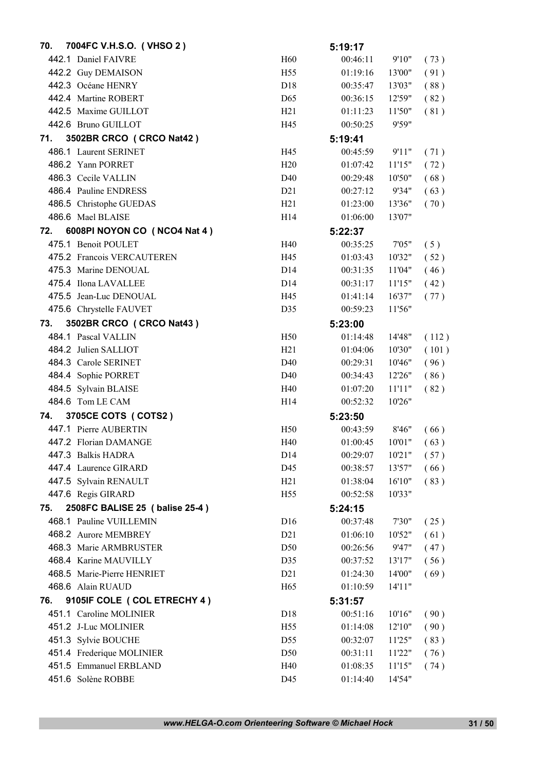| 70. | 7004FC V.H.S.O. (VHSO 2)       |                  | 5:19:17  |         |       |
|-----|--------------------------------|------------------|----------|---------|-------|
|     | 442.1 Daniel FAIVRE            | H <sub>60</sub>  | 00:46:11 | 9'10"   | (73)  |
|     | 442.2 Guy DEMAISON             | H <sub>55</sub>  | 01:19:16 | 13'00"  | (91)  |
|     | 442.3 Océane HENRY             | D <sub>18</sub>  | 00:35:47 | 13'03"  | (88)  |
|     | 442.4 Martine ROBERT           | D <sub>65</sub>  | 00:36:15 | 12'59"  | (82)  |
|     | 442.5 Maxime GUILLOT           | H21              | 01:11:23 | 11'50"  | (81)  |
|     | 442.6 Bruno GUILLOT            | H45              | 00:50:25 | 9'59"   |       |
| 71. | 3502BR CRCO (CRCO Nat42)       |                  | 5:19:41  |         |       |
|     | 486.1 Laurent SERINET          | H45              | 00:45:59 | 9'11"   | (71)  |
|     | 486.2 Yann PORRET              | H20              | 01:07:42 | 11'15"  | (72)  |
|     | 486.3 Cecile VALLIN            | D40              | 00:29:48 | 10'50"  | (68)  |
|     | 486.4 Pauline ENDRESS          | D21              | 00:27:12 | 9'34"   | (63)  |
|     | 486.5 Christophe GUEDAS        | H21              | 01:23:00 | 13'36"  | (70)  |
|     | 486.6 Mael BLAISE              | H <sub>14</sub>  | 01:06:00 | 13'07"  |       |
| 72. | 6008PI NOYON CO (NCO4 Nat 4)   |                  | 5:22:37  |         |       |
|     | 475.1 Benoit POULET            | H40              | 00:35:25 | 7'05"   | (5)   |
|     | 475.2 Francois VERCAUTEREN     | H45              | 01:03:43 | 10'32"  | (52)  |
|     | 475.3 Marine DENOUAL           | D14              | 00:31:35 | 11'04"  | (46)  |
|     | 475.4 Ilona LAVALLEE           | D <sub>14</sub>  | 00:31:17 | 11'15"  | (42)  |
|     | 475.5 Jean-Luc DENOUAL         | H45              | 01:41:14 | 16'37"  | (77)  |
|     | 475.6 Chrystelle FAUVET        | D35              | 00:59:23 | 11'56"  |       |
| 73. | 3502BR CRCO (CRCO Nat43)       |                  | 5:23:00  |         |       |
|     | 484.1 Pascal VALLIN            | H <sub>50</sub>  | 01:14:48 | 14'48"  | (112) |
|     | 484.2 Julien SALLIOT           | H21              | 01:04:06 | 10'30"  | (101) |
|     | 484.3 Carole SERINET           | D40              | 00:29:31 | 10'46"  | (96)  |
|     | 484.4 Sophie PORRET            | D40              | 00:34:43 | 12'26"  | (86)  |
|     | 484.5 Sylvain BLAISE           | H40              | 01:07:20 | 11'11"  | (82)  |
|     | 484.6 Tom LE CAM               | H <sub>14</sub>  | 00:52:32 | 10'26"  |       |
| 74. | 3705CE COTS ( COTS2 )          |                  | 5:23:50  |         |       |
|     | 447.1 Pierre AUBERTIN          | H <sub>50</sub>  | 00:43:59 | 8'46"   | (66)  |
|     | 447.2 Florian DAMANGE          | H40              | 01:00:45 | 10'01"  | (63)  |
|     | 447.3 Balkis HADRA             | D <sub>14</sub>  | 00:29:07 | 10'21"  | (57)  |
|     | 447.4 Laurence GIRARD          | D45              | 00:38:57 | 13'57"  | (66)  |
|     | 447.5 Sylvain RENAULT          | H21              | 01:38:04 | 16'10"  | (83)  |
|     | 447.6 Regis GIRARD             | H <sub>55</sub>  | 00:52:58 | 10'33"  |       |
| 75. | 2508FC BALISE 25 (balise 25-4) |                  | 5:24:15  |         |       |
|     | 468.1 Pauline VUILLEMIN        | D <sub>16</sub>  | 00:37:48 | 7'30"   | (25)  |
|     | 468.2 Aurore MEMBREY           | D21              | 01:06:10 | 10'52"  | (61)  |
|     | 468.3 Marie ARMBRUSTER         | D <sub>50</sub>  | 00:26:56 | 9'47"   | (47)  |
|     | 468.4 Karine MAUVILLY          | D35              | 00:37:52 | 13'17"  | (56)  |
|     | 468.5 Marie-Pierre HENRIET     | D <sub>2</sub> 1 | 01:24:30 | 14'00"  | (69)  |
|     | 468.6 Alain RUAUD              | H <sub>65</sub>  | 01:10:59 | 14'11'' |       |
| 76. | 9105IF COLE ( COL ETRECHY 4 )  |                  | 5:31:57  |         |       |
|     | 451.1 Caroline MOLINIER        | D18              | 00:51:16 | 10'16"  | (90)  |
|     | 451.2 J-Luc MOLINIER           | H <sub>55</sub>  | 01:14:08 | 12'10"  | (90)  |
|     | 451.3 Sylvie BOUCHE            | D55              | 00:32:07 | 11'25"  | (83)  |
|     | 451.4 Frederique MOLINIER      | D <sub>50</sub>  | 00:31:11 | 11'22"  | (76)  |
|     | 451.5 Emmanuel ERBLAND         | H40              | 01:08:35 | 11'15"  | (74)  |
|     | 451.6 Solène ROBBE             | D45              | 01:14:40 | 14'54"  |       |
|     |                                |                  |          |         |       |

*www.HELGA-O.com Orienteering Software © Michael Hock* 31 / 50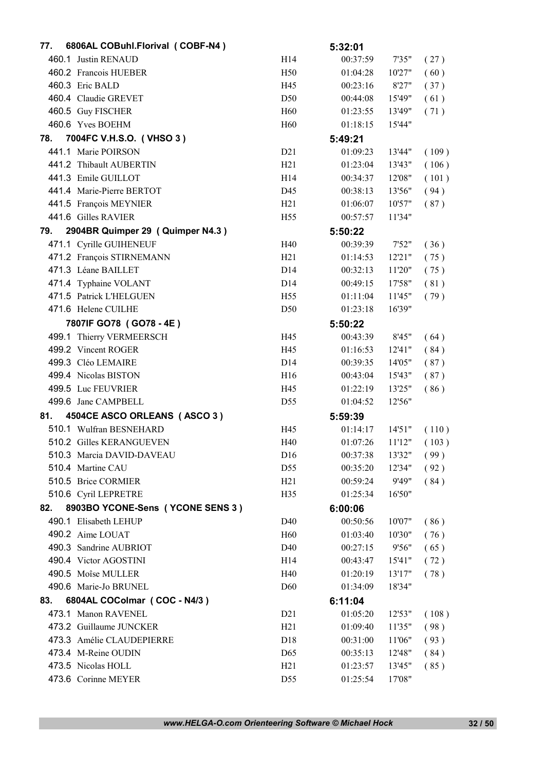| 77. | 6806AL COBuhl.Florival (COBF-N4) |                  | 5:32:01  |         |       |
|-----|----------------------------------|------------------|----------|---------|-------|
|     | 460.1 Justin RENAUD              | H14              | 00:37:59 | 7'35"   | (27)  |
|     | 460.2 Francois HUEBER            | H <sub>50</sub>  | 01:04:28 | 10'27"  | (60)  |
|     | 460.3 Eric BALD                  | H45              | 00:23:16 | 8'27"   | (37)  |
|     | 460.4 Claudie GREVET             | D50              | 00:44:08 | 15'49"  | (61)  |
|     | 460.5 Guy FISCHER                | H <sub>60</sub>  | 01:23:55 | 13'49"  | (71)  |
|     | 460.6 Yves BOEHM                 | H <sub>60</sub>  | 01:18:15 | 15'44"  |       |
| 78. | 7004FC V.H.S.O. (VHSO 3)         |                  | 5:49:21  |         |       |
|     | 441.1 Marie POIRSON              | D21              | 01:09:23 | 13'44"  | (109) |
|     | 441.2 Thibault AUBERTIN          | H21              | 01:23:04 | 13'43"  | (106) |
|     | 441.3 Emile GUILLOT              | H <sub>14</sub>  | 00:34:37 | 12'08"  | (101) |
|     | 441.4 Marie-Pierre BERTOT        | D45              | 00:38:13 | 13'56"  | (94)  |
|     | 441.5 François MEYNIER           | H21              | 01:06:07 | 10'57"  | (87)  |
|     | 441.6 Gilles RAVIER              | H <sub>55</sub>  | 00:57:57 | 11'34"  |       |
| 79. | 2904BR Quimper 29 (Quimper N4.3) |                  | 5:50:22  |         |       |
|     | 471.1 Cyrille GUIHENEUF          | H40              | 00:39:39 | 7'52"   | (36)  |
|     | 471.2 François STIRNEMANN        | H21              | 01:14:53 | 12'21"  | (75)  |
|     | 471.3 Léane BAILLET              | D14              | 00:32:13 | 11'20"  | (75)  |
|     | 471.4 Typhaine VOLANT            | D14              | 00:49:15 | 17'58"  | (81)  |
|     | 471.5 Patrick L'HELGUEN          | H <sub>55</sub>  | 01:11:04 | 11'45"  | (79)  |
|     | 471.6 Helene CUILHE              | D <sub>50</sub>  | 01:23:18 | 16'39"  |       |
|     | 7807IF GO78 (GO78 - 4E)          |                  | 5:50:22  |         |       |
|     | 499.1 Thierry VERMEERSCH         | H45              | 00:43:39 | 8'45"   | (64)  |
|     | 499.2 Vincent ROGER              | H45              | 01:16:53 | 12'41'' | (84)  |
|     | 499.3 Cléo LEMAIRE               | D14              | 00:39:35 | 14'05"  | (87)  |
|     | 499.4 Nicolas BISTON             | H <sub>16</sub>  | 00:43:04 | 15'43"  | (87)  |
|     | 499.5 Luc FEUVRIER               | H45              | 01:22:19 | 13'25"  | (86)  |
|     | 499.6 Jane CAMPBELL              | D <sub>55</sub>  | 01:04:52 | 12'56"  |       |
| 81. | 4504CE ASCO ORLEANS (ASCO 3)     |                  | 5:59:39  |         |       |
|     | 510.1 Wulfran BESNEHARD          | H45              | 01:14:17 | 14'51"  | (110) |
|     | 510.2 Gilles KERANGUEVEN         | H40              | 01:07:26 | 11'12"  | (103) |
|     | 510.3 Marcia DAVID-DAVEAU        | D16              | 00:37:38 | 13'32"  | (99)  |
|     | 510.4 Martine CAU                | D <sub>55</sub>  | 00:35:20 | 12'34"  | (92)  |
|     | 510.5 Brice CORMIER              | H21              | 00:59:24 | 9'49"   | (84)  |
|     | 510.6 Cyril LEPRETRE             | H <sub>35</sub>  | 01:25:34 | 16'50"  |       |
| 82. | 8903BO YCONE-Sens (YCONE SENS 3) |                  | 6:00:06  |         |       |
|     | 490.1 Elisabeth LEHUP            | D <sub>40</sub>  | 00:50:56 | 10'07"  | (86)  |
|     | 490.2 Aime LOUAT                 | H <sub>60</sub>  | 01:03:40 | 10'30"  | (76)  |
|     | 490.3 Sandrine AUBRIOT           | D40              | 00:27:15 | 9'56"   | (65)  |
|     | 490.4 Victor AGOSTINI            | H <sub>14</sub>  | 00:43:47 | 15'41"  | (72)  |
|     | 490.5 Moîse MULLER               | H40              | 01:20:19 | 13'17"  | (78)  |
|     | 490.6 Marie-Jo BRUNEL            | D <sub>60</sub>  | 01:34:09 | 18'34"  |       |
| 83. | 6804AL COColmar (COC - N4/3)     |                  | 6:11:04  |         |       |
|     | 473.1 Manon RAVENEL              | D <sub>2</sub> 1 | 01:05:20 | 12'53"  | (108) |
|     | 473.2 Guillaume JUNCKER          | H21              | 01:09:40 | 11'35"  | (98)  |
|     | 473.3 Amélie CLAUDEPIERRE        | D18              | 00:31:00 | 11'06"  | (93)  |
|     | 473.4 M-Reine OUDIN              | D <sub>65</sub>  | 00:35:13 | 12'48"  | (84)  |
|     | 473.5 Nicolas HOLL               | H21              | 01:23:57 | 13'45"  | (85)  |
|     | 473.6 Corinne MEYER              | D55              | 01:25:54 | 17'08"  |       |

*www.HELGA-O.com Orienteering Software © Michael Hock* 32 / 50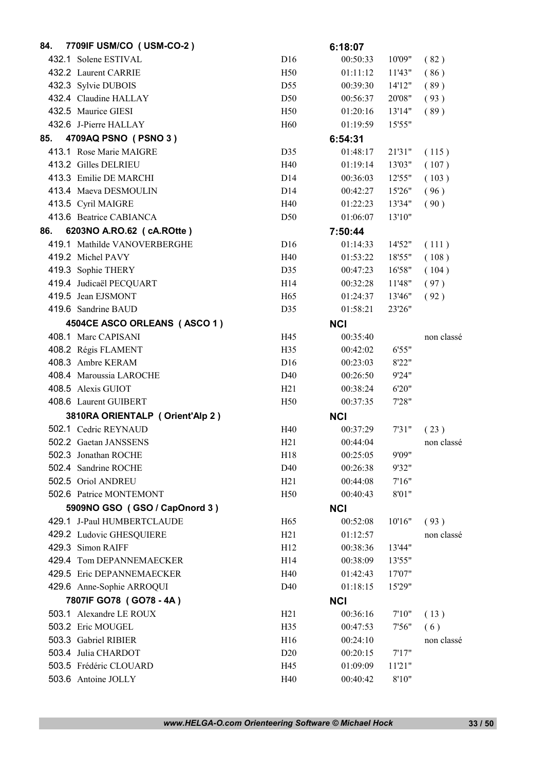| 84. | 7709IF USM/CO (USM-CO-2)        |                 | 6:18:07    |        |            |
|-----|---------------------------------|-----------------|------------|--------|------------|
|     | 432.1 Solene ESTIVAL            | D16             | 00:50:33   | 10'09" | (82)       |
|     | 432.2 Laurent CARRIE            | H <sub>50</sub> | 01:11:12   | 11'43" | (86)       |
|     | 432.3 Sylvie DUBOIS             | D <sub>55</sub> | 00:39:30   | 14'12" | (89)       |
|     | 432.4 Claudine HALLAY           | D <sub>50</sub> | 00:56:37   | 20'08" | (93)       |
|     | 432.5 Maurice GIESI             | H <sub>50</sub> | 01:20:16   | 13'14" | (89)       |
|     | 432.6 J-Pierre HALLAY           | H <sub>60</sub> | 01:19:59   | 15'55" |            |
| 85. | 4709AQ PSNO (PSNO 3)            |                 | 6:54:31    |        |            |
|     | 413.1 Rose Marie MAIGRE         | D35             | 01:48:17   | 21'31" | (115)      |
|     | 413.2 Gilles DELRIEU            | H40             | 01:19:14   | 13'03" | (107)      |
|     | 413.3 Emilie DE MARCHI          | D14             | 00:36:03   | 12'55" | (103)      |
|     | 413.4 Maeva DESMOULIN           | D <sub>14</sub> | 00:42:27   | 15'26" | (96)       |
|     | 413.5 Cyril MAIGRE              | H40             | 01:22:23   | 13'34" | (90)       |
|     | 413.6 Beatrice CABIANCA         | D <sub>50</sub> | 01:06:07   | 13'10" |            |
| 86. | 6203NO A.RO.62 ( cA.ROtte )     |                 | 7:50:44    |        |            |
|     | 419.1 Mathilde VANOVERBERGHE    | D <sub>16</sub> | 01:14:33   | 14'52" | (111)      |
|     | 419.2 Michel PAVY               | H40             | 01:53:22   | 18'55" | (108)      |
|     | 419.3 Sophie THERY              | D35             | 00:47:23   | 16'58" | (104)      |
|     | 419.4 Judicaël PECQUART         | H14             | 00:32:28   | 11'48" | (97)       |
|     | 419.5 Jean EJSMONT              | H <sub>65</sub> | 01:24:37   | 13'46" | (92)       |
|     | 419.6 Sandrine BAUD             | D35             | 01:58:21   | 23'26" |            |
|     | 4504CE ASCO ORLEANS (ASCO 1)    |                 | <b>NCI</b> |        |            |
|     | 408.1 Marc CAPISANI             | H45             | 00:35:40   |        | non classé |
|     | 408.2 Régis FLAMENT             | H <sub>35</sub> | 00:42:02   | 6'55"  |            |
|     | 408.3 Ambre KERAM               | D16             | 00:23:03   | 8'22"  |            |
|     | 408.4 Maroussia LAROCHE         | D40             | 00:26:50   | 9'24"  |            |
|     | 408.5 Alexis GUIOT              | H21             | 00:38:24   | 6'20"  |            |
|     | 408.6 Laurent GUIBERT           | H50             | 00:37:35   | 7'28"  |            |
|     | 3810RA ORIENTALP (Orient'Alp 2) |                 | <b>NCI</b> |        |            |
|     | 502.1 Cedric REYNAUD            | H40             | 00:37:29   | 7'31"  | (23)       |
|     | 502.2 Gaetan JANSSENS           | H21             | 00:44:04   |        | non classé |
|     | 502.3 Jonathan ROCHE            | H18             | 00:25:05   | 9'09"  |            |
|     | 502.4 Sandrine ROCHE            | D40             | 00:26:38   | 9'32"  |            |
|     | 502.5 Oriol ANDREU              | H21             | 00:44:08   | 7'16'' |            |
|     | 502.6 Patrice MONTEMONT         | H50             | 00:40:43   | 8'01"  |            |
|     | 5909NO GSO (GSO / CapOnord 3)   |                 | <b>NCI</b> |        |            |
|     | 429.1 J-Paul HUMBERTCLAUDE      | H <sub>65</sub> | 00:52:08   | 10'16" | (93)       |
|     | 429.2 Ludovic GHESQUIERE        | H21             | 01:12:57   |        | non classé |
|     | 429.3 Simon RAIFF               | H <sub>12</sub> | 00:38:36   | 13'44" |            |
|     | 429.4 Tom DEPANNEMAECKER        | H14             | 00:38:09   | 13'55" |            |
|     | 429.5 Eric DEPANNEMAECKER       | H40             | 01:42:43   | 17'07" |            |
|     | 429.6 Anne-Sophie ARROQUI       | D <sub>40</sub> | 01:18:15   | 15'29" |            |
|     | 7807IF GO78 (GO78 - 4A)         |                 | <b>NCI</b> |        |            |
|     | 503.1 Alexandre LE ROUX         | H21             | 00:36:16   | 7'10'' | (13)       |
|     | 503.2 Eric MOUGEL               | H35             | 00:47:53   | 7'56"  | (6)        |
|     | 503.3 Gabriel RIBIER            | H16             | 00:24:10   |        | non classé |
|     | 503.4 Julia CHARDOT             | D20             | 00:20:15   | 7'17'' |            |
|     | 503.5 Frédéric CLOUARD          | H45             | 01:09:09   | 11'21" |            |
|     | 503.6 Antoine JOLLY             | H40             | 00:40:42   | 8'10"  |            |
|     |                                 |                 |            |        |            |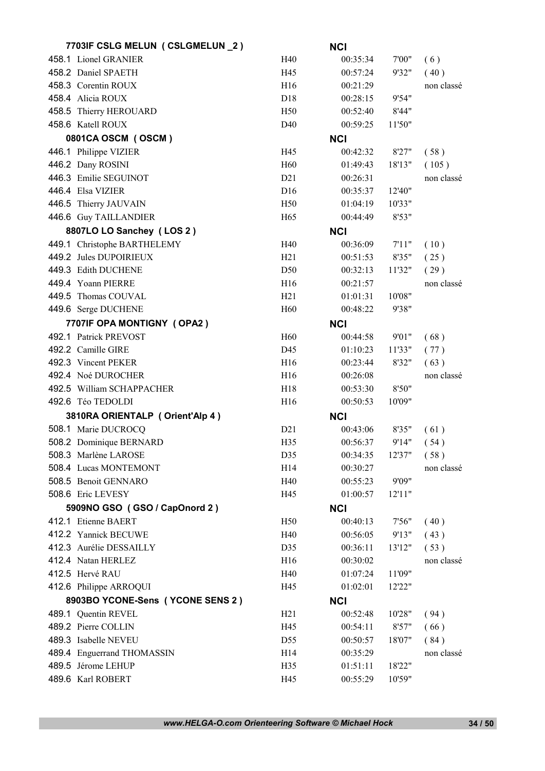| 7703IF CSLG MELUN (CSLGMELUN _2) |                 | <b>NCI</b> |        |            |
|----------------------------------|-----------------|------------|--------|------------|
| 458.1 Lionel GRANIER             | H40             | 00:35:34   | 7'00"  | (6)        |
| 458.2 Daniel SPAETH              | H45             | 00:57:24   | 9'32"  | (40)       |
| 458.3 Corentin ROUX              | H <sub>16</sub> | 00:21:29   |        | non classé |
| 458.4 Alicia ROUX                | D18             | 00:28:15   | 9'54"  |            |
| 458.5 Thierry HEROUARD           | H <sub>50</sub> | 00:52:40   | 8'44"  |            |
| 458.6 Katell ROUX                | D <sub>40</sub> | 00:59:25   | 11'50" |            |
| 0801CA OSCM (OSCM)               |                 | <b>NCI</b> |        |            |
| 446.1 Philippe VIZIER            | H45             | 00:42:32   | 8'27"  | (58)       |
| 446.2 Dany ROSINI                | H <sub>60</sub> | 01:49:43   | 18'13" | (105)      |
| 446.3 Emilie SEGUINOT            | D21             | 00:26:31   |        | non classé |
| 446.4 Elsa VIZIER                | D16             | 00:35:37   | 12'40" |            |
| 446.5 Thierry JAUVAIN            | H50             | 01:04:19   | 10'33" |            |
| 446.6 Guy TAILLANDIER            | H <sub>65</sub> | 00:44:49   | 8'53"  |            |
| 8807LO LO Sanchey (LOS 2)        |                 | <b>NCI</b> |        |            |
| 449.1 Christophe BARTHELEMY      | H40             | 00:36:09   | 7'11'' | (10)       |
| 449.2 Jules DUPOIRIEUX           | H21             | 00:51:53   | 8'35"  | (25)       |
| 449.3 Edith DUCHENE              | D50             | 00:32:13   | 11'32" | (29)       |
| 449.4 Yoann PIERRE               | H16             | 00:21:57   |        | non classé |
| 449.5 Thomas COUVAL              | H21             | 01:01:31   | 10'08" |            |
| 449.6 Serge DUCHENE              | H <sub>60</sub> | 00:48:22   | 9'38"  |            |
| 7707IF OPA MONTIGNY (OPA2)       |                 | <b>NCI</b> |        |            |
| 492.1 Patrick PREVOST            | H <sub>60</sub> | 00:44:58   | 9'01"  | (68)       |
| 492.2 Camille GIRE               | D45             | 01:10:23   | 11'33" | (77)       |
| 492.3 Vincent PEKER              | H16             | 00:23:44   | 8'32"  | (63)       |
| 492.4 Noé DUROCHER               | H <sub>16</sub> | 00:26:08   |        | non classé |
| 492.5 William SCHAPPACHER        | H18             | 00:53:30   | 8'50"  |            |
| 492.6 Téo TEDOLDI                | H <sub>16</sub> | 00:50:53   | 10'09" |            |
| 3810RA ORIENTALP (Orient'Alp 4)  |                 | <b>NCI</b> |        |            |
| 508.1 Marie DUCROCQ              | D21             | 00:43:06   | 8'35"  | (61)       |
| 508.2 Dominique BERNARD          | H35             | 00:56:37   | 9'14"  | (54)       |
| 508.3 Marlène LAROSE             | D35             | 00:34:35   | 12'37" | (58)       |
| 508.4 Lucas MONTEMONT            | H14             | 00:30:27   |        | non classé |
| 508.5 Benoit GENNARO             | H40             | 00:55:23   | 9'09"  |            |
| 508.6 Eric LEVESY                | H45             | 01:00:57   | 12'11" |            |
| 5909NO GSO (GSO / CapOnord 2)    |                 | <b>NCI</b> |        |            |
| 412.1 Etienne BAERT              | H <sub>50</sub> | 00:40:13   | 7'56"  | (40)       |
| 412.2 Yannick BECUWE             | H40             | 00:56:05   | 9'13"  | (43)       |
| 412.3 Aurélie DESSAILLY          | D35             | 00:36:11   | 13'12" | (53)       |
| 412.4 Natan HERLEZ               | H <sub>16</sub> | 00:30:02   |        | non classé |
| 412.5 Hervé RAU                  | H40             | 01:07:24   | 11'09" |            |
| 412.6 Philippe ARROQUI           | H45             | 01:02:01   | 12'22" |            |
|                                  |                 |            |        |            |
| 8903BO YCONE-Sens (YCONE SENS 2) |                 | <b>NCI</b> |        |            |
| 489.1 Quentin REVEL              | H21             | 00:52:48   | 10'28" | (94)       |
| 489.2 Pierre COLLIN              | H45             | 00:54:11   | 8'57"  | (66)       |
| 489.3 Isabelle NEVEU             | D55             | 00:50:57   | 18'07" | (84)       |
| 489.4 Enguerrand THOMASSIN       | H14             | 00:35:29   |        | non classé |
| 489.5 Jérome LEHUP               | H35             | 01:51:11   | 18'22" |            |
| 489.6 Karl ROBERT                | H45             | 00:55:29   | 10'59" |            |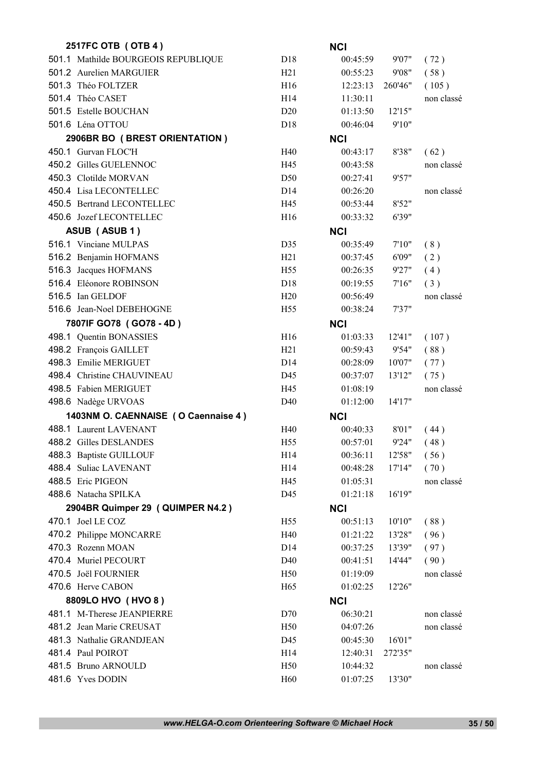| 2517FC OTB (OTB 4)                  |                 | <b>NCI</b> |         |            |
|-------------------------------------|-----------------|------------|---------|------------|
| 501.1 Mathilde BOURGEOIS REPUBLIQUE | D18             | 00:45:59   | 9'07"   | (72)       |
| 501.2 Aurelien MARGUIER             | H21             | 00:55:23   | 9'08"   | (58)       |
| 501.3 Théo FOLTZER                  | H16             | 12:23:13   | 260'46" | (105)      |
| 501.4 Théo CASET                    | H <sub>14</sub> | 11:30:11   |         | non classé |
| 501.5 Estelle BOUCHAN               | D20             | 01:13:50   | 12'15"  |            |
| 501.6 Léna OTTOU                    | D <sub>18</sub> | 00:46:04   | 9'10"   |            |
| 2906BR BO (BREST ORIENTATION)       |                 | <b>NCI</b> |         |            |
| 450.1 Gurvan FLOC'H                 | H40             | 00:43:17   | 8'38"   | (62)       |
| 450.2 Gilles GUELENNOC              | H45             | 00:43:58   |         | non classé |
| 450.3 Clotilde MORVAN               | D50             | 00:27:41   | 9'57"   |            |
| 450.4 Lisa LECONTELLEC              | D <sub>14</sub> | 00:26:20   |         | non classé |
| 450.5 Bertrand LECONTELLEC          | H45             | 00:53:44   | 8'52"   |            |
| 450.6 Jozef LECONTELLEC             | H <sub>16</sub> | 00:33:32   | 6'39"   |            |
| ASUB (ASUB 1)                       |                 | <b>NCI</b> |         |            |
| 516.1 Vinciane MULPAS               | D35             | 00:35:49   | 7'10''  | (8)        |
| 516.2 Benjamin HOFMANS              | H21             | 00:37:45   | 6'09"   | (2)        |
| 516.3 Jacques HOFMANS               | H <sub>55</sub> | 00:26:35   | 9'27"   | (4)        |
| 516.4 Eléonore ROBINSON             | D <sub>18</sub> | 00:19:55   | 7'16''  | (3)        |
| 516.5 Ian GELDOF                    | H20             | 00:56:49   |         | non classé |
| 516.6 Jean-Noel DEBEHOGNE           | H <sub>55</sub> | 00:38:24   | 7'37"   |            |
| 7807IF GO78 (GO78 - 4D)             |                 | <b>NCI</b> |         |            |
| 498.1 Quentin BONASSIES             | H16             | 01:03:33   | 12'41'' | (107)      |
| 498.2 François GAILLET              | H <sub>21</sub> | 00:59:43   | 9'54"   | (88)       |
| 498.3 Emilie MERIGUET               | D <sub>14</sub> | 00:28:09   | 10'07"  | (77)       |
| 498.4 Christine CHAUVINEAU          | D45             | 00:37:07   | 13'12"  | (75)       |
| 498.5 Fabien MERIGUET               | H45             | 01:08:19   |         | non classé |
| 498.6 Nadège URVOAS                 | D <sub>40</sub> | 01:12:00   | 14'17"  |            |
| 1403NM O. CAENNAISE (O Caennaise 4) |                 | <b>NCI</b> |         |            |
| 488.1 Laurent LAVENANT              | H40             | 00:40:33   | 8'01"   | (44)       |
| 488.2 Gilles DESLANDES              | H <sub>55</sub> | 00:57:01   | 9'24"   | (48)       |
| 488.3 Baptiste GUILLOUF             | H14             | 00:36:11   | 12'58"  | (56)       |
| 488.4 Suliac LAVENANT               | H14             | 00:48:28   | 17'14"  | (70)       |
| 488.5 Eric PIGEON                   | H45             | 01:05:31   |         | non classé |
| 488.6 Natacha SPILKA                | D45             | 01:21:18   | 16'19"  |            |
| 2904BR Quimper 29 (QUIMPER N4.2)    |                 | <b>NCI</b> |         |            |
| 470.1 Joel LE COZ                   | H <sub>55</sub> | 00:51:13   | 10'10"  | (88)       |
| 470.2 Philippe MONCARRE             | H40             | 01:21:22   | 13'28"  | (96)       |
| 470.3 Rozenn MOAN                   | D <sub>14</sub> | 00:37:25   | 13'39"  | (97)       |
| 470.4 Muriel PECOURT                | D40             | 00:41:51   | 14'44"  | (90)       |
| 470.5 Joël FOURNIER                 | H50             | 01:19:09   |         | non classé |
| 470.6 Herve CABON                   | H <sub>65</sub> | 01:02:25   | 12'26"  |            |
| 8809LO HVO (HVO 8)                  |                 | <b>NCI</b> |         |            |
| 481.1 M-Therese JEANPIERRE          | D70             | 06:30:21   |         | non classé |
| 481.2 Jean Marie CREUSAT            | H <sub>50</sub> | 04:07:26   |         | non classé |
| 481.3 Nathalie GRANDJEAN            | D45             | 00:45:30   | 16'01"  |            |
| 481.4 Paul POIROT                   | H14             | 12:40:31   | 272'35" |            |
| 481.5 Bruno ARNOULD                 | H <sub>50</sub> | 10:44:32   |         | non classé |
| 481.6 Yves DODIN                    | H <sub>60</sub> | 01:07:25   | 13'30"  |            |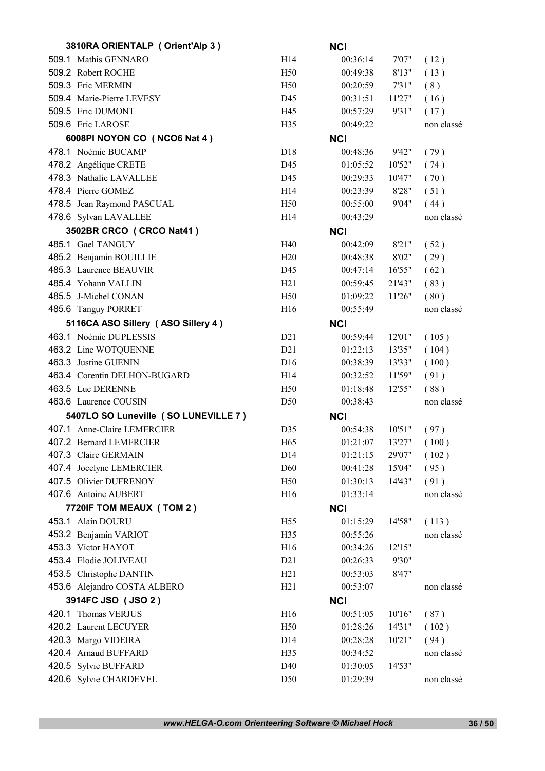| 3810RA ORIENTALP (Orient'Alp 3)      |                 | <b>NCI</b> |        |            |
|--------------------------------------|-----------------|------------|--------|------------|
| 509.1 Mathis GENNARO                 | H14             | 00:36:14   | 7'07"  | (12)       |
| 509.2 Robert ROCHE                   | H50             | 00:49:38   | 8'13"  | (13)       |
| 509.3 Eric MERMIN                    | H <sub>50</sub> | 00:20:59   | 7'31"  | (8)        |
| 509.4 Marie-Pierre LEVESY            | D45             | 00:31:51   | 11'27" | (16)       |
| 509.5 Eric DUMONT                    | H45             | 00:57:29   | 9'31"  | (17)       |
| 509.6 Eric LAROSE                    | H <sub>35</sub> | 00:49:22   |        | non classé |
| 6008PI NOYON CO (NCO6 Nat 4)         |                 | <b>NCI</b> |        |            |
| 478.1 Noémie BUCAMP                  | D <sub>18</sub> | 00:48:36   | 9'42"  | (79)       |
| 478.2 Angélique CRETE                | D45             | 01:05:52   | 10'52" | (74)       |
| 478.3 Nathalie LAVALLEE              | D45             | 00:29:33   | 10'47" | (70)       |
| 478.4 Pierre GOMEZ                   | H <sub>14</sub> | 00:23:39   | 8'28"  | (51)       |
| 478.5 Jean Raymond PASCUAL           | H <sub>50</sub> | 00:55:00   | 9'04"  | (44)       |
| 478.6 Sylvan LAVALLEE                | H14             | 00:43:29   |        | non classé |
| 3502BR CRCO (CRCO Nat41)             |                 | <b>NCI</b> |        |            |
| 485.1 Gael TANGUY                    | H40             | 00:42:09   | 8'21"  | (52)       |
| 485.2 Benjamin BOUILLIE              | H20             | 00:48:38   | 8'02"  | (29)       |
| 485.3 Laurence BEAUVIR               | D45             | 00:47:14   | 16'55" | (62)       |
| 485.4 Yohann VALLIN                  | H21             | 00:59:45   | 21'43" | (83)       |
| 485.5 J-Michel CONAN                 | H <sub>50</sub> | 01:09:22   | 11'26" | (80)       |
| 485.6 Tanguy PORRET                  | H <sub>16</sub> | 00:55:49   |        | non classé |
| 5116CA ASO Sillery (ASO Sillery 4)   |                 | <b>NCI</b> |        |            |
| 463.1 Noémie DUPLESSIS               | D21             | 00:59:44   | 12'01" | (105)      |
| 463.2 Line WOTQUENNE                 | D21             | 01:22:13   | 13'35" | (104)      |
| 463.3 Justine GUENIN                 | D <sub>16</sub> | 00:38:39   | 13'33" | (100)      |
| 463.4 Corentin DELHON-BUGARD         | H <sub>14</sub> | 00:32:52   | 11'59" | (91)       |
| 463.5 Luc DERENNE                    | H <sub>50</sub> | 01:18:48   | 12'55" | (88)       |
| 463.6 Laurence COUSIN                | D50             | 00:38:43   |        | non classé |
| 5407LO SO Luneville (SO LUNEVILLE 7) |                 | <b>NCI</b> |        |            |
| 407.1 Anne-Claire LEMERCIER          | D35             | 00:54:38   | 10'51" | (97)       |
| 407.2 Bernard LEMERCIER              | H65             | 01:21:07   | 13'27" | (100)      |
| 407.3 Claire GERMAIN                 | D14             | 01:21:15   | 29'07" | (102)      |
| 407.4 Jocelyne LEMERCIER             | D60             | 00:41:28   | 15'04" | (95)       |
| 407.5 Olivier DUFRENOY               | H <sub>50</sub> | 01:30:13   | 14'43" | (91)       |
| 407.6 Antoine AUBERT                 | H16             | 01:33:14   |        | non classé |
| 7720IF TOM MEAUX (TOM 2)             |                 | <b>NCI</b> |        |            |
| 453.1 Alain DOURU                    | H <sub>55</sub> | 01:15:29   | 14'58" | (113)      |
| 453.2 Benjamin VARIOT                | H35             | 00:55:26   |        | non classé |
| 453.3 Victor HAYOT                   | H <sub>16</sub> | 00:34:26   | 12'15" |            |
| 453.4 Elodie JOLIVEAU                | D21             | 00:26:33   | 9'30"  |            |
| 453.5 Christophe DANTIN              | H21             | 00:53:03   | 8'47"  |            |
| 453.6 Alejandro COSTA ALBERO         | H21             | 00:53:07   |        |            |
|                                      |                 |            |        | non classé |
| 3914FC JSO (JSO 2)                   |                 | <b>NCI</b> |        |            |
| 420.1 Thomas VERJUS                  | H16             | 00:51:05   | 10'16" | (87)       |
| 420.2 Laurent LECUYER                | H50             | 01:28:26   | 14'31" | (102)      |
| 420.3 Margo VIDEIRA                  | D <sub>14</sub> | 00:28:28   | 10'21" | (94)       |
| 420.4 Arnaud BUFFARD                 | H35             | 00:34:52   |        | non classé |
| 420.5 Sylvie BUFFARD                 | D40             | 01:30:05   | 14'53" |            |
| 420.6 Sylvie CHARDEVEL               | D <sub>50</sub> | 01:29:39   |        | non classé |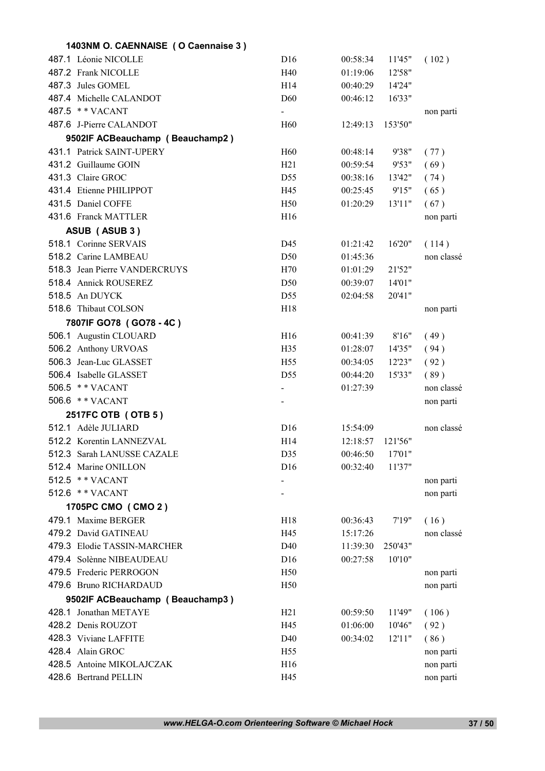| 1403NM O. CAENNAISE (O Caennaise 3)       |                 |          |                   |            |
|-------------------------------------------|-----------------|----------|-------------------|------------|
| 487.1 Léonie NICOLLE                      | D16             | 00:58:34 | 11'45"            | (102)      |
| 487.2 Frank NICOLLE                       | H40             | 01:19:06 | 12'58"            |            |
| 487.3 Jules GOMEL                         | H <sub>14</sub> | 00:40:29 | 14'24"            |            |
| 487.4 Michelle CALANDOT                   | D <sub>60</sub> | 00:46:12 | 16'33"            |            |
| 487.5 ** VACANT                           | $\blacksquare$  |          |                   | non parti  |
| 487.6 J-Pierre CALANDOT                   | H <sub>60</sub> | 12:49:13 | 153'50"           |            |
| 9502IF ACBeauchamp (Beauchamp2)           |                 |          |                   |            |
| 431.1 Patrick SAINT-UPERY                 | H <sub>60</sub> | 00:48:14 | 9'38"             | (77)       |
| 431.2 Guillaume GOIN                      | H21             | 00:59:54 | 9'53"             | (69)       |
| 431.3 Claire GROC                         | D <sub>55</sub> | 00:38:16 | 13'42"            | (74)       |
| 431.4 Etienne PHILIPPOT                   | H45             | 00:25:45 | 9'15"             | (65)       |
| 431.5 Daniel COFFE                        | H <sub>50</sub> | 01:20:29 | 13'11"            | (67)       |
| 431.6 Franck MATTLER                      | H16             |          |                   | non parti  |
| ASUB (ASUB 3)                             |                 |          |                   |            |
| 518.1 Corinne SERVAIS                     | D45             | 01:21:42 | 16'20"            | (114)      |
| 518.2 Carine LAMBEAU                      | D <sub>50</sub> | 01:45:36 |                   | non classé |
| 518.3 Jean Pierre VANDERCRUYS             | H70             | 01:01:29 | 21'52"            |            |
| 518.4 Annick ROUSEREZ                     | D <sub>50</sub> | 00:39:07 | 14'01"            |            |
| 518.5 An DUYCK                            | D <sub>55</sub> | 02:04:58 | 20'41"            |            |
| 518.6 Thibaut COLSON                      | H18             |          |                   | non parti  |
| 7807IF GO78 (GO78 - 4C)                   |                 |          |                   |            |
| 506.1 Augustin CLOUARD                    | H16             | 00:41:39 | 8'16"             | (49)       |
| 506.2 Anthony URVOAS                      | H <sub>35</sub> | 01:28:07 | 14'35"            | (94)       |
| 506.3 Jean-Luc GLASSET                    | H <sub>55</sub> | 00:34:05 | 12'23"            | (92)       |
| 506.4 Isabelle GLASSET                    | D <sub>55</sub> | 00:44:20 | 15'33"            | (89)       |
| 506.5 ** VACANT                           | $\blacksquare$  | 01:27:39 |                   | non classé |
| 506.6 ** VACANT                           |                 |          |                   |            |
|                                           |                 |          |                   | non parti  |
| 2517FC OTB (OTB 5)<br>512.1 Adèle JULIARD | D <sub>16</sub> |          |                   |            |
| 512.2 Korentin LANNEZVAL                  |                 | 15:54:09 |                   | non classé |
|                                           | H <sub>14</sub> | 12:18:57 | 121'56"<br>17'01" |            |
| 512.3 Sarah LANUSSE CAZALE                | D35             | 00:46:50 |                   |            |
| 512.4 Marine ONILLON                      | D16             | 00:32:40 | 11'37"            |            |
| 512.5 ** VACANT                           |                 |          |                   | non parti  |
| 512.6 ** VACANT                           |                 |          |                   | non parti  |
| 1705PC CMO (CMO 2)                        |                 |          |                   |            |
| 479.1 Maxime BERGER                       | H18             | 00:36:43 | 7'19''            | (16)       |
| 479.2 David GATINEAU                      | H45             | 15:17:26 |                   | non classé |
| 479.3 Elodie TASSIN-MARCHER               | D40             | 11:39:30 | 250'43"           |            |
| 479.4 Solènne NIBEAUDEAU                  | D <sub>16</sub> | 00:27:58 | 10'10"            |            |
| 479.5 Frederic PERROGON                   | H <sub>50</sub> |          |                   | non parti  |
| 479.6 Bruno RICHARDAUD                    | H <sub>50</sub> |          |                   | non parti  |
| 9502IF ACBeauchamp (Beauchamp3)           |                 |          |                   |            |
| 428.1 Jonathan METAYE                     | H21             | 00:59:50 | 11'49"            | (106)      |
| 428.2 Denis ROUZOT                        | H45             | 01:06:00 | 10'46"            | (92)       |
| 428.3 Viviane LAFFITE                     | D <sub>40</sub> | 00:34:02 | 12'11''           | (86)       |
| 428.4 Alain GROC                          | H <sub>55</sub> |          |                   | non parti  |
| 428.5 Antoine MIKOLAJCZAK                 | H16             |          |                   | non parti  |
| 428.6 Bertrand PELLIN                     | H45             |          |                   | non parti  |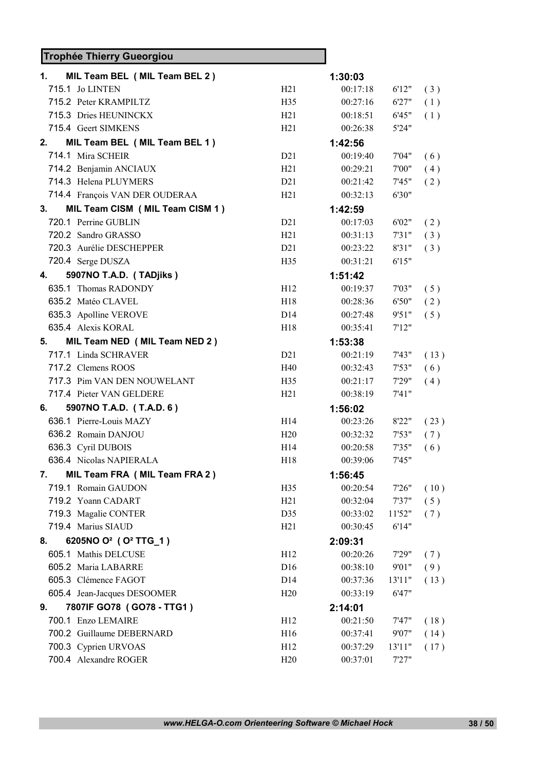## Trophée Thierry Gueorgiou

| 1. | MIL Team BEL (MIL Team BEL 2)                |                 | 1:30:03  |        |      |
|----|----------------------------------------------|-----------------|----------|--------|------|
|    | 715.1 Jo LINTEN                              | H21             | 00:17:18 | 6'12"  | (3)  |
|    | 715.2 Peter KRAMPILTZ                        | H <sub>35</sub> | 00:27:16 | 6'27"  | (1)  |
|    | 715.3 Dries HEUNINCKX                        | H21             | 00:18:51 | 6'45"  | (1)  |
|    | 715.4 Geert SIMKENS                          | H21             | 00:26:38 | 5'24"  |      |
| 2. | MIL Team BEL (MIL Team BEL 1)                |                 | 1:42:56  |        |      |
|    | 714.1 Mira SCHEIR                            | D21             | 00:19:40 | 7'04"  | (6)  |
|    | 714.2 Benjamin ANCIAUX                       | H21             | 00:29:21 | 7'00"  | (4)  |
|    | 714.3 Helena PLUYMERS                        | D21             | 00:21:42 | 7'45"  | (2)  |
|    | 714.4 François VAN DER OUDERAA               | H21             | 00:32:13 | 6'30"  |      |
| 3. | MIL Team CISM (MIL Team CISM 1)              |                 | 1:42:59  |        |      |
|    | 720.1 Perrine GUBLIN                         | D21             | 00:17:03 | 6'02"  | (2)  |
|    | 720.2 Sandro GRASSO                          | H21             | 00:31:13 | 7'31"  | (3)  |
|    | 720.3 Aurélie DESCHEPPER                     | D21             | 00:23:22 | 8'31"  | (3)  |
|    | 720.4 Serge DUSZA                            | H <sub>35</sub> | 00:31:21 | 6'15"  |      |
| 4. | 5907NO T.A.D. (TADjiks)                      |                 | 1:51:42  |        |      |
|    | 635.1 Thomas RADONDY                         | H12             | 00:19:37 | 7'03"  | (5)  |
|    | 635.2 Matéo CLAVEL                           | H18             | 00:28:36 | 6'50"  | (2)  |
|    | 635.3 Apolline VEROVE                        | D <sub>14</sub> | 00:27:48 | 9'51"  | (5)  |
|    | 635.4 Alexis KORAL                           | H <sub>18</sub> | 00:35:41 | 7'12"  |      |
| 5. | MIL Team NED (MIL Team NED 2)                |                 | 1:53:38  |        |      |
|    | 717.1 Linda SCHRAVER                         | D21             | 00:21:19 | 7'43"  | (13) |
|    | 717.2 Clemens ROOS                           | H40             | 00:32:43 | 7'53"  | (6)  |
|    | 717.3 Pim VAN DEN NOUWELANT                  | H35             | 00:21:17 | 7'29"  | (4)  |
|    | 717.4 Pieter VAN GELDERE                     | H21             | 00:38:19 | 7'41'' |      |
| 6. | 5907NO T.A.D. (T.A.D. 6)                     |                 | 1:56:02  |        |      |
|    | 636.1 Pierre-Louis MAZY                      | H14             | 00:23:26 | 8'22"  | (23) |
|    | 636.2 Romain DANJOU                          | H20             | 00:32:32 | 7'53"  | (7)  |
|    | 636.3 Cyril DUBOIS                           | H14             | 00:20:58 | 7'35"  | (6)  |
|    | 636.4 Nicolas NAPIERALA                      | H18             | 00:39:06 | 7'45"  |      |
| 7. | MIL Team FRA (MIL Team FRA 2)                |                 | 1:56:45  |        |      |
|    | 719.1 Romain GAUDON                          | H35             | 00:20:54 | 7'26"  | (10) |
|    | 719.2 Yoann CADART                           | H21             | 00:32:04 | 7'37"  | (5)  |
|    | 719.3 Magalie CONTER                         | D35             | 00:33:02 | 11'52" | (7)  |
|    | 719.4 Marius SIAUD                           | H21             | 00:30:45 | 6'14"  |      |
| 8. | 6205NO O <sup>2</sup> (O <sup>2</sup> TTG_1) |                 | 2:09:31  |        |      |
|    | 605.1 Mathis DELCUSE                         | H12             | 00:20:26 | 7'29"  | (7)  |
|    | 605.2 Maria LABARRE                          | D <sub>16</sub> | 00:38:10 | 9'01"  | (9)  |
|    | 605.3 Clémence FAGOT                         | D14             | 00:37:36 | 13'11" | (13) |
|    | 605.4 Jean-Jacques DESOOMER                  | H20             | 00:33:19 | 6'47"  |      |
| 9. | 7807IF GO78 (GO78 - TTG1)                    |                 | 2:14:01  |        |      |
|    | 700.1 Enzo LEMAIRE                           | H12             | 00:21:50 | 7'47"  | (18) |
|    | 700.2 Guillaume DEBERNARD                    | H <sub>16</sub> | 00:37:41 | 9'07"  | (14) |
|    | 700.3 Cyprien URVOAS                         | H12             | 00:37:29 | 13'11" | (17) |
|    | 700.4 Alexandre ROGER                        | H20             | 00:37:01 | 7'27"  |      |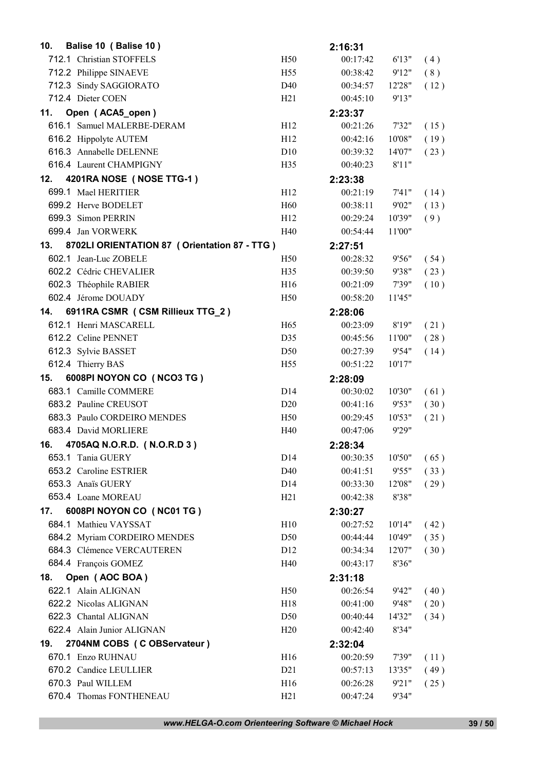| 10. | Balise 10 (Balise 10)                          |                 | 2:16:31  |        |      |
|-----|------------------------------------------------|-----------------|----------|--------|------|
|     | 712.1 Christian STOFFELS                       | H50             | 00:17:42 | 6'13"  | (4)  |
|     | 712.2 Philippe SINAEVE                         | H <sub>55</sub> | 00:38:42 | 9'12"  | (8)  |
|     | 712.3 Sindy SAGGIORATO                         | D40             | 00:34:57 | 12'28" | (12) |
|     | 712.4 Dieter COEN                              | H21             | 00:45:10 | 9'13"  |      |
|     | 11. Open (ACA5_open)                           |                 | 2:23:37  |        |      |
|     | 616.1 Samuel MALERBE-DERAM                     | H12             | 00:21:26 | 7'32"  | (15) |
|     | 616.2 Hippolyte AUTEM                          | H <sub>12</sub> | 00:42:16 | 10'08" | (19) |
|     | 616.3 Annabelle DELENNE                        | D10             | 00:39:32 | 14'07" | (23) |
|     | 616.4 Laurent CHAMPIGNY                        | H <sub>35</sub> | 00:40:23 | 8'11"  |      |
| 12. | 4201RA NOSE (NOSE TTG-1)                       |                 | 2:23:38  |        |      |
|     | 699.1 Mael HERITIER                            | H12             | 00:21:19 | 7'41'' | (14) |
|     | 699.2 Herve BODELET                            | H <sub>60</sub> | 00:38:11 | 9'02"  | (13) |
|     | 699.3 Simon PERRIN                             | H12             | 00:29:24 | 10'39" | (9)  |
|     | 699.4 Jan VORWERK                              | H40             | 00:54:44 | 11'00" |      |
| 13. | 8702LI ORIENTATION 87 ( Orientation 87 - TTG ) |                 | 2:27:51  |        |      |
|     | 602.1 Jean-Luc ZOBELE                          | H <sub>50</sub> | 00:28:32 | 9'56"  | (54) |
|     | 602.2 Cédric CHEVALIER                         | H <sub>35</sub> | 00:39:50 | 9'38"  | (23) |
|     | 602.3 Théophile RABIER                         | H16             | 00:21:09 | 7'39"  | (10) |
|     | 602.4 Jérome DOUADY                            | H <sub>50</sub> | 00:58:20 | 11'45" |      |
| 14. | 6911RA CSMR (CSM Rillieux TTG_2)               |                 | 2:28:06  |        |      |
|     | 612.1 Henri MASCARELL                          | H65             | 00:23:09 | 8'19"  | (21) |
|     | 612.2 Celine PENNET                            | D35             | 00:45:56 | 11'00" | (28) |
|     | 612.3 Sylvie BASSET                            | D <sub>50</sub> | 00:27:39 | 9'54"  | (14) |
|     | 612.4 Thierry BAS                              | H <sub>55</sub> | 00:51:22 | 10'17" |      |
| 15. | 6008PI NOYON CO (NCO3 TG)                      |                 | 2:28:09  |        |      |
|     | 683.1 Camille COMMERE                          | D <sub>14</sub> | 00:30:02 | 10'30" | (61) |
|     | 683.2 Pauline CREUSOT                          | D20             | 00:41:16 | 9'53"  | (30) |
|     | 683.3 Paulo CORDEIRO MENDES                    | H <sub>50</sub> | 00:29:45 | 10'53" | (21) |
|     | 683.4 David MORLIERE                           | H40             | 00:47:06 | 9'29"  |      |
| 16. | 4705AQ N.O.R.D. (N.O.R.D 3)                    |                 | 2:28:34  |        |      |
|     | 653.1 Tania GUERY                              |                 |          |        |      |
|     |                                                | D14             | 00:30:35 | 10'50" | (65) |
|     | 653.2 Caroline ESTRIER                         | D40             | 00:41:51 | 9'55"  | (33) |
|     | 653.3 Anaïs GUERY                              | D <sub>14</sub> | 00:33:30 | 12'08" | (29) |
|     | 653.4 Loane MOREAU                             | H <sub>21</sub> | 00:42:38 | 8'38"  |      |
| 17. | 6008PI NOYON CO (NC01 TG)                      |                 | 2:30:27  |        |      |
|     | 684.1 Mathieu VAYSSAT                          | H10             | 00:27:52 | 10'14" | (42) |
|     | 684.2 Myriam CORDEIRO MENDES                   | D50             | 00:44:44 | 10'49" | (35) |
|     | 684.3 Clémence VERCAUTEREN                     | D <sub>12</sub> | 00:34:34 | 12'07" | (30) |
|     | 684.4 François GOMEZ                           | H40             | 00:43:17 | 8'36"  |      |
| 18. | Open (AOC BOA)                                 |                 | 2:31:18  |        |      |
|     | 622.1 Alain ALIGNAN                            | H <sub>50</sub> | 00:26:54 | 9'42"  | (40) |
|     | 622.2 Nicolas ALIGNAN                          | H18             | 00:41:00 | 9'48"  | (20) |
|     | 622.3 Chantal ALIGNAN                          | D <sub>50</sub> | 00:40:44 | 14'32" | (34) |
|     | 622.4 Alain Junior ALIGNAN                     | H20             | 00:42:40 | 8'34"  |      |
| 19. | 2704NM COBS (C OBServateur)                    |                 | 2:32:04  |        |      |
|     | 670.1 Enzo RUHNAU                              | H <sub>16</sub> | 00:20:59 | 7'39"  | (11) |
|     | 670.2 Candice LEULLIER                         | D21             | 00:57:13 | 13'35" | (49) |
|     | 670.3 Paul WILLEM                              | H16             | 00:26:28 | 9'21"  | (25) |

*www.HELGA-O.com Orienteering Software © Michael Hock* 39 / 50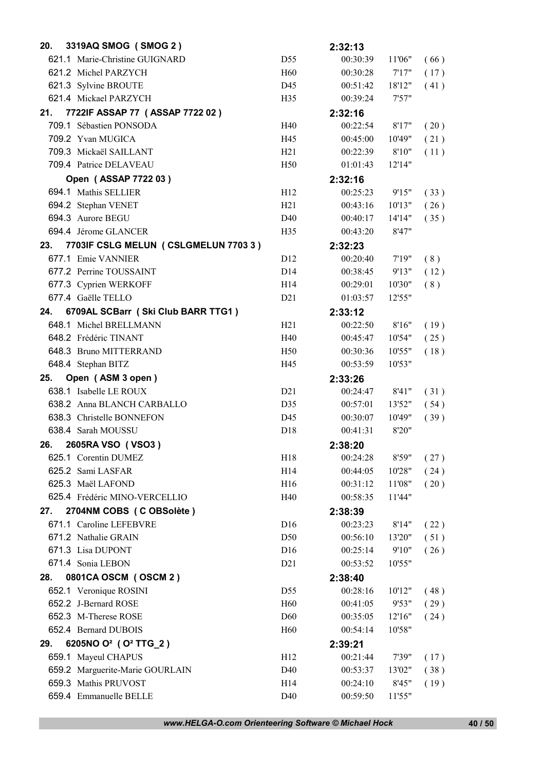| 20. | 3319AQ SMOG (SMOG 2)                           |                 | 2:32:13  |        |      |
|-----|------------------------------------------------|-----------------|----------|--------|------|
|     | 621.1 Marie-Christine GUIGNARD                 | D55             | 00:30:39 | 11'06" | (66) |
|     | 621.2 Michel PARZYCH                           | H <sub>60</sub> | 00:30:28 | 7'17'' | (17) |
|     | 621.3 Sylvine BROUTE                           | D45             | 00:51:42 | 18'12" | (41) |
|     | 621.4 Mickael PARZYCH                          | H <sub>35</sub> | 00:39:24 | 7'57"  |      |
| 21. | 7722IF ASSAP 77 (ASSAP 7722 02)                |                 | 2:32:16  |        |      |
|     | 709.1 Sébastien PONSODA                        | H40             | 00:22:54 | 8'17"  | (20) |
|     | 709.2 Yvan MUGICA                              | H45             | 00:45:00 | 10'49" | (21) |
|     | 709.3 Mickaël SAILLANT                         | H21             | 00:22:39 | 8'10"  | (11) |
|     | 709.4 Patrice DELAVEAU                         | H <sub>50</sub> | 01:01:43 | 12'14" |      |
|     | Open (ASSAP 7722 03)                           |                 | 2:32:16  |        |      |
|     | 694.1 Mathis SELLIER                           | H12             | 00:25:23 | 9'15"  | (33) |
|     | 694.2 Stephan VENET                            | H21             | 00:43:16 | 10'13" | (26) |
|     | 694.3 Aurore BEGU                              | D <sub>40</sub> | 00:40:17 | 14'14" | (35) |
|     | 694.4 Jérome GLANCER                           | H <sub>35</sub> | 00:43:20 | 8'47"  |      |
| 23. | 7703IF CSLG MELUN (CSLGMELUN 7703 3)           |                 | 2:32:23  |        |      |
|     | 677.1 Emie VANNIER                             | D <sub>12</sub> | 00:20:40 | 7'19'' | (8)  |
|     | 677.2 Perrine TOUSSAINT                        | D <sub>14</sub> | 00:38:45 | 9'13"  | (12) |
|     | 677.3 Cyprien WERKOFF                          | H14             | 00:29:01 | 10'30" | (8)  |
|     | 677.4 Gaëlle TELLO                             | D21             | 01:03:57 | 12'55" |      |
| 24. | 6709AL SCBarr (Ski Club BARR TTG1)             |                 | 2:33:12  |        |      |
|     | 648.1 Michel BRELLMANN                         | H21             | 00:22:50 | 8'16"  | (19) |
|     | 648.2 Frédéric TINANT                          | H40             | 00:45:47 | 10'54" | (25) |
|     | 648.3 Bruno MITTERRAND                         | H <sub>50</sub> | 00:30:36 | 10'55" | (18) |
|     | 648.4 Stephan BITZ                             | H45             | 00:53:59 | 10'53" |      |
| 25. |                                                |                 |          |        |      |
|     | Open (ASM 3 open)                              |                 | 2:33:26  |        |      |
|     | 638.1 Isabelle LE ROUX                         | D21             | 00:24:47 | 8'41"  | (31) |
|     | 638.2 Anna BLANCH CARBALLO                     | D35             | 00:57:01 | 13'52" | (54) |
|     | 638.3 Christelle BONNEFON                      | D45             | 00:30:07 | 10'49" | (39) |
|     | 638.4 Sarah MOUSSU                             | D18             | 00:41:31 | 8'20"  |      |
| 26. | 2605RA VSO (VSO3)                              |                 | 2:38:20  |        |      |
|     | 625.1 Corentin DUMEZ                           | H <sub>18</sub> | 00:24:28 | 8'59"  | (27) |
|     | 625.2 Sami LASFAR                              | H14             | 00:44:05 | 10'28" | (24) |
|     | 625.3 Maël LAFOND                              | H16             | 00:31:12 | 11'08" | (20) |
|     | 625.4 Frédéric MINO-VERCELLIO                  | H40             | 00:58:35 | 11'44" |      |
| 27. | 2704NM COBS (COBSolète)                        |                 | 2:38:39  |        |      |
|     | 671.1 Caroline LEFEBVRE                        | D16             | 00:23:23 | 8'14"  | (22) |
|     | 671.2 Nathalie GRAIN                           | D <sub>50</sub> | 00:56:10 | 13'20" | (51) |
|     | 671.3 Lisa DUPONT                              | D16             | 00:25:14 | 9'10"  | (26) |
|     | 671.4 Sonia LEBON                              | D21             | 00:53:52 | 10'55" |      |
| 28. | 0801CA OSCM (OSCM 2)                           |                 | 2:38:40  |        |      |
|     | 652.1 Veronique ROSINI                         | D <sub>55</sub> | 00:28:16 | 10'12" | (48) |
|     | 652.2 J-Bernard ROSE                           | H <sub>60</sub> | 00:41:05 | 9'53"  | (29) |
|     | 652.3 M-Therese ROSE                           | D60             | 00:35:05 | 12'16" | (24) |
|     | 652.4 Bernard DUBOIS                           | H <sub>60</sub> | 00:54:14 | 10'58" |      |
| 29. | 6205NO O <sup>2</sup> (O <sup>2</sup> TTG_2)   |                 | 2:39:21  |        |      |
|     | 659.1 Mayeul CHAPUS                            | H12             | 00:21:44 | 7'39"  | (17) |
|     | 659.2 Marguerite-Marie GOURLAIN                | D <sub>40</sub> | 00:53:37 | 13'02" | (38) |
|     | 659.3 Mathis PRUVOST<br>659.4 Emmanuelle BELLE | H14             | 00:24:10 | 8'45"  | (19) |

*www.HELGA-O.com Orienteering Software © Michael Hock* 40 / 50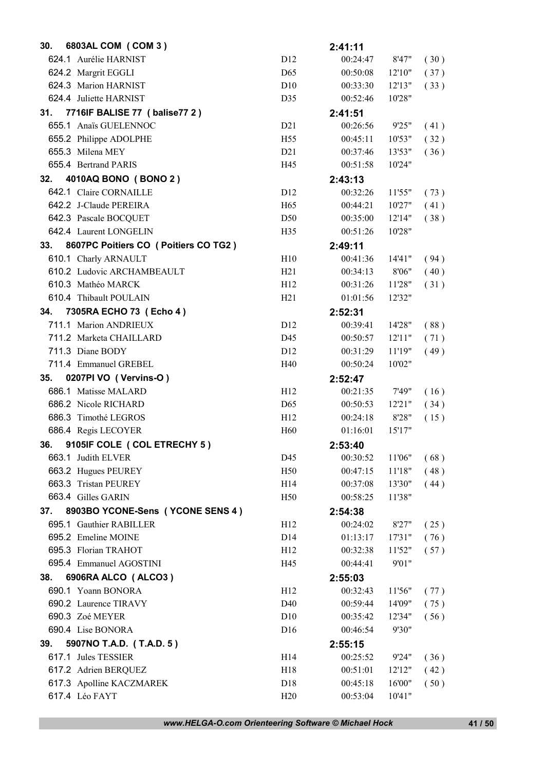| 30. | 6803AL COM (COM 3)                                 |                 | 2:41:11              |                  |              |
|-----|----------------------------------------------------|-----------------|----------------------|------------------|--------------|
|     | 624.1 Aurélie HARNIST                              | D12             | 00:24:47             | 8'47"            | (30)         |
|     | 624.2 Margrit EGGLI                                | D <sub>65</sub> | 00:50:08             | 12'10''          | (37)         |
|     | 624.3 Marion HARNIST                               | D10             | 00:33:30             | 12'13"           | (33)         |
|     | 624.4 Juliette HARNIST                             | D35             | 00:52:46             | 10'28"           |              |
| 31. | 7716IF BALISE 77 (balise 77 2)                     |                 | 2:41:51              |                  |              |
|     | 655.1 Anaïs GUELENNOC                              | D21             | 00:26:56             | 9'25"            | (41)         |
|     | 655.2 Philippe ADOLPHE                             | H <sub>55</sub> | 00:45:11             | 10'53"           | (32)         |
|     | 655.3 Milena MEY                                   | D21             | 00:37:46             | 13'53"           | (36)         |
|     | 655.4 Bertrand PARIS                               | H45             | 00:51:58             | 10'24"           |              |
| 32. | 4010AQ BONO (BONO 2)                               |                 | 2:43:13              |                  |              |
|     | 642.1 Claire CORNAILLE                             | D <sub>12</sub> | 00:32:26             | 11'55"           | (73)         |
|     | 642.2 J-Claude PEREIRA                             | H <sub>65</sub> | 00:44:21             | 10'27"           | (41)         |
|     | 642.3 Pascale BOCQUET                              | D <sub>50</sub> | 00:35:00             | 12'14"           | (38)         |
|     | 642.4 Laurent LONGELIN                             | H <sub>35</sub> | 00:51:26             | 10'28"           |              |
| 33. | 8607PC Poitiers CO ( Poitiers CO TG2 )             |                 | 2:49:11              |                  |              |
|     | 610.1 Charly ARNAULT                               | H10             | 00:41:36             | 14'41"           | (94)         |
|     | 610.2 Ludovic ARCHAMBEAULT                         | H21             | 00:34:13             | 8'06"            | (40)         |
|     | 610.3 Mathéo MARCK                                 | H12             | 00:31:26             | 11'28"           | (31)         |
|     | 610.4 Thibault POULAIN                             | H21             | 01:01:56             | 12'32"           |              |
| 34. | 7305RA ECHO 73 (Echo 4)                            |                 | 2:52:31              |                  |              |
|     | 711.1 Marion ANDRIEUX                              | D <sub>12</sub> | 00:39:41             | 14'28"           | (88)         |
|     | 711.2 Marketa CHAILLARD                            | D45             | 00:50:57             | 12'11"           | (71)         |
|     | 711.3 Diane BODY                                   | D <sub>12</sub> | 00:31:29             | 11'19"           | (49)         |
|     | 711.4 Emmanuel GREBEL                              | H40             | 00:50:24             | 10'02"           |              |
|     |                                                    |                 |                      |                  |              |
| 35. | 0207PI VO (Vervins-O)                              |                 | 2:52:47              |                  |              |
|     | 686.1 Matisse MALARD                               | H12             | 00:21:35             | 7'49"            |              |
|     | 686.2 Nicole RICHARD                               | D <sub>65</sub> | 00:50:53             | 12'21"           | (16)<br>(34) |
|     | 686.3 Timothé LEGROS                               | H12             | 00:24:18             | 8'28"            | (15)         |
|     | 686.4 Regis LECOYER                                | H <sub>60</sub> | 01:16:01             | 15'17"           |              |
| 36. |                                                    |                 |                      |                  |              |
|     | 9105IF COLE ( COL ETRECHY 5)<br>663.1 Judith ELVER | D45             | 2:53:40<br>00:30:52  | 11'06"           |              |
|     | 663.2 Hugues PEUREY                                | H <sub>50</sub> | 00:47:15             | 11'18"           | (68)         |
|     | 663.3 Tristan PEUREY                               | H14             | 00:37:08             | 13'30"           | (48)<br>(44) |
|     | 663.4 Gilles GARIN                                 | H <sub>50</sub> | 00:58:25             | 11'38"           |              |
| 37. | 8903BO YCONE-Sens (YCONE SENS 4)                   |                 |                      |                  |              |
|     | 695.1 Gauthier RABILLER                            | H12             | 2:54:38<br>00:24:02  | 8'27"            |              |
|     | 695.2 Emeline MOINE                                | D14             | 01:13:17             | 17'31"           | (25)<br>(76) |
|     | 695.3 Florian TRAHOT                               | H12             | 00:32:38             | 11'52"           | (57)         |
|     | 695.4 Emmanuel AGOSTINI                            | H45             | 00:44:41             | 9'01"            |              |
| 38. | 6906RA ALCO (ALCO3)                                |                 |                      |                  |              |
|     |                                                    |                 | 2:55:03              |                  |              |
|     | 690.1 Yoann BONORA<br>690.2 Laurence TIRAVY        | H12<br>D40      | 00:32:43<br>00:59:44 | 11'56"           | (77)         |
|     | 690.3 Zoé MEYER                                    | D10             | 00:35:42             | 14'09"<br>12'34" | (75)         |
|     | 690.4 Lise BONORA                                  | D <sub>16</sub> | 00:46:54             | 9'30"            | (56)         |
| 39. |                                                    |                 |                      |                  |              |
|     | 5907NO T.A.D. (T.A.D. 5)<br>617.1 Jules TESSIER    | H14             | 2:55:15<br>00:25:52  | 9'24"            |              |
|     | 617.2 Adrien BERQUEZ                               | H18             | 00:51:01             | 12'12"           | (36)         |
|     | 617.3 Apolline KACZMAREK                           | D <sub>18</sub> | 00:45:18             | 16'00"           | (42)<br>(50) |

*www.HELGA-O.com Orienteering Software © Michael Hock* 41 / 50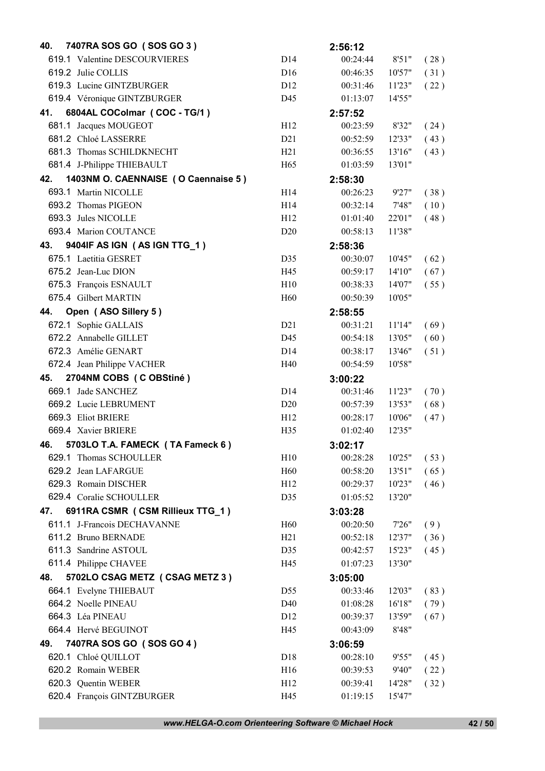| 40. | 7407RA SOS GO (SOS GO 3)            |                 | 2:56:12  |         |      |
|-----|-------------------------------------|-----------------|----------|---------|------|
|     | 619.1 Valentine DESCOURVIERES       | D14             | 00:24:44 | 8'51"   | (28) |
|     | 619.2 Julie COLLIS                  | D <sub>16</sub> | 00:46:35 | 10'57"  | (31) |
|     | 619.3 Lucine GINTZBURGER            | D <sub>12</sub> | 00:31:46 | 11'23"  | (22) |
|     | 619.4 Véronique GINTZBURGER         | D45             | 01:13:07 | 14'55"  |      |
| 41. | 6804AL COColmar (COC - TG/1)        |                 | 2:57:52  |         |      |
|     | 681.1 Jacques MOUGEOT               | H <sub>12</sub> | 00:23:59 | 8'32"   | (24) |
|     | 681.2 Chloé LASSERRE                | D21             | 00:52:59 | 12'33"  | (43) |
|     | 681.3 Thomas SCHILDKNECHT           | H21             | 00:36:55 | 13'16"  | (43) |
|     | 681.4 J-Philippe THIEBAULT          | H <sub>65</sub> | 01:03:59 | 13'01"  |      |
| 42. | 1403NM O. CAENNAISE (O Caennaise 5) |                 | 2:58:30  |         |      |
|     | 693.1 Martin NICOLLE                | H <sub>14</sub> | 00:26:23 | 9'27"   | (38) |
|     | 693.2 Thomas PIGEON                 | H <sub>14</sub> | 00:32:14 | 7'48"   | (10) |
|     | 693.3 Jules NICOLLE                 | H <sub>12</sub> | 01:01:40 | 22'01"  | (48) |
|     | 693.4 Marion COUTANCE               | D <sub>20</sub> | 00:58:13 | 11'38"  |      |
| 43. | 9404IF AS IGN (AS IGN TTG_1)        |                 | 2:58:36  |         |      |
|     | 675.1 Laetitia GESRET               | D35             | 00:30:07 | 10'45"  | (62) |
|     | 675.2 Jean-Luc DION                 | H45             | 00:59:17 | 14'10'' | (67) |
|     | 675.3 François ESNAULT              | H10             | 00:38:33 | 14'07"  | (55) |
|     | 675.4 Gilbert MARTIN                | H <sub>60</sub> | 00:50:39 | 10'05"  |      |
| 44. | Open (ASO Sillery 5)                |                 | 2:58:55  |         |      |
|     | 672.1 Sophie GALLAIS                | D21             | 00:31:21 | 11'14"  | (69) |
|     | 672.2 Annabelle GILLET              | D45             | 00:54:18 | 13'05"  | (60) |
|     | 672.3 Amélie GENART                 | D <sub>14</sub> | 00:38:17 | 13'46"  | (51) |
|     | 672.4 Jean Philippe VACHER          | H40             | 00:54:59 | 10'58"  |      |
| 45. | 2704NM COBS (COBStiné)              |                 | 3:00:22  |         |      |
|     | 669.1 Jade SANCHEZ                  | D14             | 00:31:46 | 11'23"  | (70) |
|     | 669.2 Lucie LEBRUMENT               | D <sub>20</sub> | 00:57:39 | 13'53"  | (68) |
|     | 669.3 Eliot BRIERE                  | H12             | 00:28:17 | 10'06"  | (47) |
|     | 669.4 Xavier BRIERE                 | H <sub>35</sub> | 01:02:40 | 12'35"  |      |
| 46. | 5703LO T.A. FAMECK (TA Fameck 6)    |                 | 3:02:17  |         |      |
|     | 629.1 Thomas SCHOULLER              | H10             | 00:28:28 | 10'25"  | (53) |
|     | 629.2 Jean LAFARGUE                 | H <sub>60</sub> | 00:58:20 | 13'51"  | (65) |
|     | 629.3 Romain DISCHER                | H12             | 00:29:37 | 10'23"  | (46) |
|     | 629.4 Coralie SCHOULLER             | D35             | 01:05:52 | 13'20"  |      |
| 47. | 6911RA CSMR (CSM Rillieux TTG_1)    |                 | 3:03:28  |         |      |
|     | 611.1 J-Francois DECHAVANNE         | H <sub>60</sub> | 00:20:50 | 7'26"   | (9)  |
|     | 611.2 Bruno BERNADE                 | H21             | 00:52:18 | 12'37"  | (36) |
|     | 611.3 Sandrine ASTOUL               | D35             | 00:42:57 | 15'23"  | (45) |
|     | 611.4 Philippe CHAVEE               | H45             | 01:07:23 | 13'30"  |      |
| 48. | 5702LO CSAG METZ (CSAG METZ 3)      |                 | 3:05:00  |         |      |
|     | 664.1 Evelyne THIEBAUT              | D <sub>55</sub> | 00:33:46 | 12'03"  | (83) |
|     | 664.2 Noelle PINEAU                 | D40             | 01:08:28 | 16'18"  | (79) |
|     |                                     |                 |          |         |      |
|     | 664.3 Léa PINEAU                    | D <sub>12</sub> | 00:39:37 | 13'59"  | (67) |
|     | 664.4 Hervé BEGUINOT                | H45             | 00:43:09 | 8'48"   |      |
| 49. | 7407RA SOS GO (SOS GO 4)            |                 | 3:06:59  |         |      |
|     | 620.1 Chloé QUILLOT                 | D18             | 00:28:10 | 9'55"   | (45) |
|     | 620.2 Romain WEBER                  | H <sub>16</sub> | 00:39:53 | 9'40"   | (22) |
|     | 620.3 Quentin WEBER                 | H12             | 00:39:41 | 14'28"  | (32) |

*www.HELGA-O.com Orienteering Software © Michael Hock* 42 / 50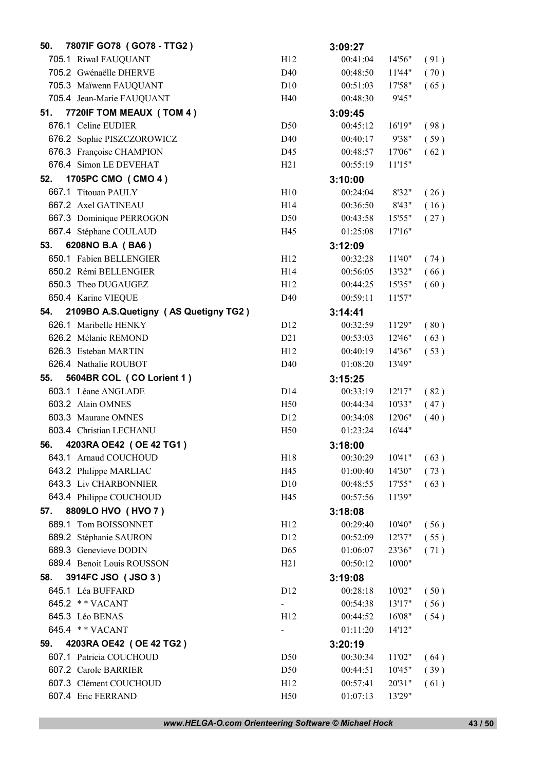| 50. | 7807IF GO78 (GO78 - TTG2)             |                          | 3:09:27             |                  |              |
|-----|---------------------------------------|--------------------------|---------------------|------------------|--------------|
|     | 705.1 Riwal FAUQUANT                  | H12                      | 00:41:04            | 14'56"           | (91)         |
|     | 705.2 Gwénaëlle DHERVE                | D40                      | 00:48:50            | 11'44"           | (70)         |
|     | 705.3 Maïwenn FAUQUANT                | D10                      | 00:51:03            | 17'58"           | (65)         |
|     | 705.4 Jean-Marie FAUQUANT             | H40                      | 00:48:30            | 9'45"            |              |
| 51. | 7720IF TOM MEAUX (TOM 4)              |                          | 3:09:45             |                  |              |
|     | 676.1 Celine EUDIER                   | D <sub>50</sub>          | 00:45:12            | 16'19"           | (98)         |
|     | 676.2 Sophie PISZCZOROWICZ            | D40                      | 00:40:17            | 9'38"            | (59)         |
|     | 676.3 Françoise CHAMPION              | D45                      | 00:48:57            | 17'06"           | (62)         |
|     | 676.4 Simon LE DEVEHAT                | H21                      | 00:55:19            | 11'15"           |              |
| 52. | 1705PC CMO (CMO 4)                    |                          | 3:10:00             |                  |              |
|     | 667.1 Titouan PAULY                   | H10                      | 00:24:04            | 8'32"            | (26)         |
|     | 667.2 Axel GATINEAU                   | H14                      | 00:36:50            | 8'43"            | (16)         |
|     | 667.3 Dominique PERROGON              | D <sub>50</sub>          | 00:43:58            | 15'55"           | (27)         |
|     | 667.4 Stéphane COULAUD                | H45                      | 01:25:08            | 17'16"           |              |
| 53. | 6208NO B.A (BA6)                      |                          | 3:12:09             |                  |              |
|     | 650.1 Fabien BELLENGIER               | H12                      | 00:32:28            | 11'40"           | (74)         |
|     | 650.2 Rémi BELLENGIER                 | H14                      | 00:56:05            | 13'32"           | (66)         |
|     | 650.3 Theo DUGAUGEZ                   | H12                      | 00:44:25            | 15'35"           | (60)         |
|     | 650.4 Karine VIEQUE                   | D <sub>40</sub>          | 00:59:11            | 11'57"           |              |
| 54. | 2109BO A.S.Quetigny (AS Quetigny TG2) |                          | 3:14:41             |                  |              |
|     | 626.1 Maribelle HENKY                 | D <sub>12</sub>          | 00:32:59            | 11'29"           | (80)         |
|     | 626.2 Mélanie REMOND                  | D21                      | 00:53:03            | 12'46"           | (63)         |
|     | 626.3 Esteban MARTIN                  | H12                      | 00:40:19            | 14'36"           | (53)         |
|     | 626.4 Nathalie ROUBOT                 | D <sub>40</sub>          | 01:08:20            | 13'49"           |              |
|     |                                       |                          |                     |                  |              |
| 55. | 5604BR COL (CO Lorient 1)             |                          | 3:15:25             |                  |              |
|     | 603.1 Léane ANGLADE                   | D <sub>14</sub>          | 00:33:19            | 12'17"           |              |
|     | 603.2 Alain OMNES                     | H <sub>50</sub>          | 00:44:34            | 10'33"           | (82)<br>(47) |
|     | 603.3 Maurane OMNES                   | D <sub>12</sub>          | 00:34:08            | 12'06"           | (40)         |
|     | 603.4 Christian LECHANU               | H <sub>50</sub>          | 01:23:24            | 16'44"           |              |
| 56. | 4203RA OE42 (OE 42 TG1)               |                          | 3:18:00             |                  |              |
|     | 643.1 Arnaud COUCHOUD                 | H <sub>18</sub>          | 00:30:29            | 10'41"           | (63)         |
|     | 643.2 Philippe MARLIAC                | H45                      | 01:00:40            | 14'30"           | (73)         |
|     | 643.3 Liv CHARBONNIER                 | D10                      | 00:48:55            | 17'55"           | (63)         |
|     | 643.4 Philippe COUCHOUD               | H45                      | 00:57:56            | 11'39"           |              |
| 57. | 8809LO HVO (HVO 7)                    |                          | 3:18:08             |                  |              |
|     | 689.1 Tom BOISSONNET                  | H12                      | 00:29:40            | 10'40"           | (56)         |
|     | 689.2 Stéphanie SAURON                | D <sub>12</sub>          | 00:52:09            | 12'37"           | (55)         |
|     | 689.3 Genevieve DODIN                 | D <sub>65</sub>          | 01:06:07            | 23'36"           | (71)         |
|     | 689.4 Benoit Louis ROUSSON            | H21                      | 00:50:12            | 10'00"           |              |
| 58. | 3914FC JSO (JSO 3)                    |                          | 3:19:08             |                  |              |
|     | 645.1 Léa BUFFARD                     | D12                      | 00:28:18            |                  |              |
|     | 645.2 ** VACANT                       | $\blacksquare$           | 00:54:38            | 10'02"<br>13'17" | (50)         |
|     | 645.3 Léo BENAS                       | H12                      | 00:44:52            | 16'08"           | (56)<br>(54) |
|     | 645.4 ** VACANT                       | $\overline{\phantom{0}}$ | 01:11:20            | 14'12"           |              |
| 59. | 4203RA OE42 (OE 42 TG2)               |                          |                     |                  |              |
|     | 607.1 Patricia COUCHOUD               | D <sub>50</sub>          | 3:20:19<br>00:30:34 | 11'02"           | (64)         |
|     | 607.2 Carole BARRIER                  | D <sub>50</sub>          | 00:44:51            | 10'45"           | (39)         |
|     | 607.3 Clément COUCHOUD                | H12                      | 00:57:41            | 20'31"           | (61)         |

*www.HELGA-O.com Orienteering Software © Michael Hock* 43 / 50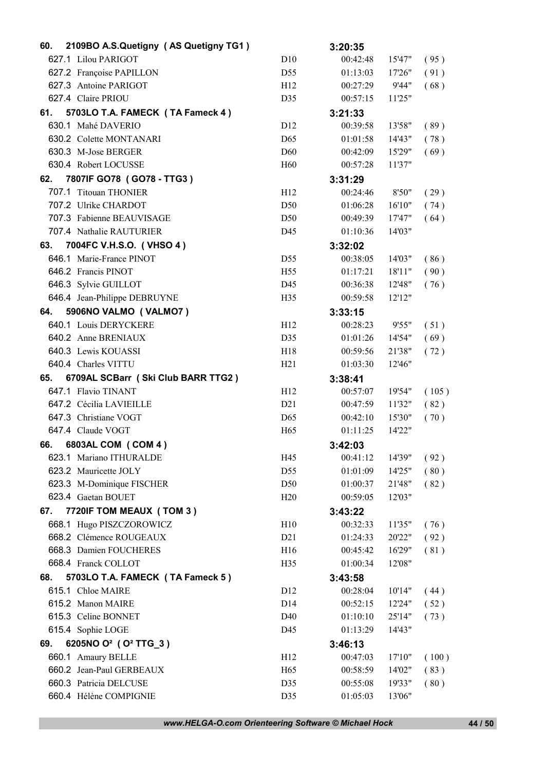| 60. | 2109BO A.S.Quetigny (AS Quetigny TG1)        |                 | 3:20:35             |         |       |
|-----|----------------------------------------------|-----------------|---------------------|---------|-------|
|     | 627.1 Lilou PARIGOT                          | D10             | 00:42:48            | 15'47"  | (95)  |
|     | 627.2 Françoise PAPILLON                     | D55             | 01:13:03            | 17'26'' | (91)  |
|     | 627.3 Antoine PARIGOT                        | H <sub>12</sub> | 00:27:29            | 9'44"   | (68)  |
|     | 627.4 Claire PRIOU                           | D35             | 00:57:15            | 11'25"  |       |
| 61. | 5703LO T.A. FAMECK (TA Fameck 4)             |                 | 3:21:33             |         |       |
|     | 630.1 Mahé DAVERIO                           | D <sub>12</sub> | 00:39:58            | 13'58"  | (89)  |
|     | 630.2 Colette MONTANARI                      | D <sub>65</sub> | 01:01:58            | 14'43"  | (78)  |
|     | 630.3 M-Jose BERGER                          | D <sub>60</sub> | 00:42:09            | 15'29"  | (69)  |
|     | 630.4 Robert LOCUSSE                         | H <sub>60</sub> | 00:57:28            | 11'37"  |       |
| 62. | 7807IF GO78 (GO78 - TTG3)                    |                 | 3:31:29             |         |       |
|     | 707.1 Titouan THONIER                        | H12             | 00:24:46            | 8'50"   | (29)  |
|     | 707.2 Ulrike CHARDOT                         | D <sub>50</sub> | 01:06:28            | 16'10"  | (74)  |
|     | 707.3 Fabienne BEAUVISAGE                    | D50             | 00:49:39            | 17'47"  | (64)  |
|     | 707.4 Nathalie RAUTURIER                     | D45             | 01:10:36            | 14'03"  |       |
| 63. | 7004FC V.H.S.O. (VHSO 4)                     |                 | 3:32:02             |         |       |
|     | 646.1 Marie-France PINOT                     | D <sub>55</sub> | 00:38:05            | 14'03"  | (86)  |
|     | 646.2 Francis PINOT                          | H <sub>55</sub> | 01:17:21            | 18'11"  | (90)  |
|     | 646.3 Sylvie GUILLOT                         | D45             | 00:36:38            | 12'48"  | (76)  |
|     | 646.4 Jean-Philippe DEBRUYNE                 | H <sub>35</sub> | 00:59:58            | 12'12"  |       |
| 64. | 5906NO VALMO (VALMO7)                        |                 | 3:33:15             |         |       |
|     | 640.1 Louis DERYCKERE                        | H12             | 00:28:23            | 9'55"   | (51)  |
|     | 640.2 Anne BRENIAUX                          | D35             | 01:01:26            | 14'54"  | (69)  |
|     | 640.3 Lewis KOUASSI                          | H <sub>18</sub> | 00:59:56            | 21'38"  | (72)  |
|     | 640.4 Charles VITTU                          | H21             | 01:03:30            | 12'46"  |       |
| 65. | 6709AL SCBarr (Ski Club BARR TTG2)           |                 | 3:38:41             |         |       |
|     | 647.1 Flavio TINANT                          | H12             | 00:57:07            | 19'54"  | (105) |
|     | 647.2 Cécilia LAVIEILLE                      | D21             | 00:47:59            | 11'32"  | (82)  |
|     | 647.3 Christiane VOGT                        | D <sub>65</sub> | 00:42:10            | 15'30"  | (70)  |
|     | 647.4 Claude VOGT                            | H <sub>65</sub> | 01:11:25            | 14'22"  |       |
| 66. | 6803AL COM ( COM 4 )                         |                 | 3:42:03             |         |       |
|     | 623.1 Mariano ITHURALDE                      | H45             | 00:41:12            | 14'39"  | (92)  |
|     | 623.2 Mauricette JOLY                        | D55             | 01:01:09            | 14'25"  | (80)  |
|     | 623.3 M-Dominique FISCHER                    | D50             | 01:00:37            | 21'48"  | (82)  |
|     | 623.4 Gaetan BOUET                           | H20             | 00:59:05            | 12'03"  |       |
| 67. | 7720IF TOM MEAUX (TOM 3)                     |                 | 3:43:22             |         |       |
|     | 668.1 Hugo PISZCZOROWICZ                     | H10             | 00:32:33            | 11'35"  | (76)  |
|     | 668.2 Clémence ROUGEAUX                      | D21             | 01:24:33            | 20'22"  | (92)  |
|     | 668.3 Damien FOUCHERES                       | H <sub>16</sub> | 00:45:42            | 16'29"  | (81)  |
|     | 668.4 Franck COLLOT                          | H <sub>35</sub> | 01:00:34            | 12'08"  |       |
| 68. | 5703LO T.A. FAMECK (TA Fameck 5)             |                 | 3:43:58             |         |       |
|     | 615.1 Chloe MAIRE                            | D <sub>12</sub> | 00:28:04            | 10'14"  | (44)  |
|     | 615.2 Manon MAIRE                            | D14             | 00:52:15            | 12'24"  | (52)  |
|     | 615.3 Celine BONNET                          | D40             | 01:10:10            | 25'14"  | (73)  |
|     | 615.4 Sophie LOGE                            | D45             | 01:13:29            | 14'43"  |       |
| 69. | 6205NO O <sup>2</sup> (O <sup>2</sup> TTG_3) |                 |                     |         |       |
|     | 660.1 Amaury BELLE                           | H <sub>12</sub> | 3:46:13<br>00:47:03 | 17'10"  | (100) |
|     | 660.2 Jean-Paul GERBEAUX                     | H <sub>65</sub> | 00:58:59            | 14'02"  | (83)  |
|     | 660.3 Patricia DELCUSE                       | D35             | 00:55:08            | 19'33"  | (80)  |
|     | 660.4 Hélène COMPIGNIE                       | D35             | 01:05:03            | 13'06"  |       |
|     |                                              |                 |                     |         |       |

*www.HELGA-O.com Orienteering Software © Michael Hock* 44 / 50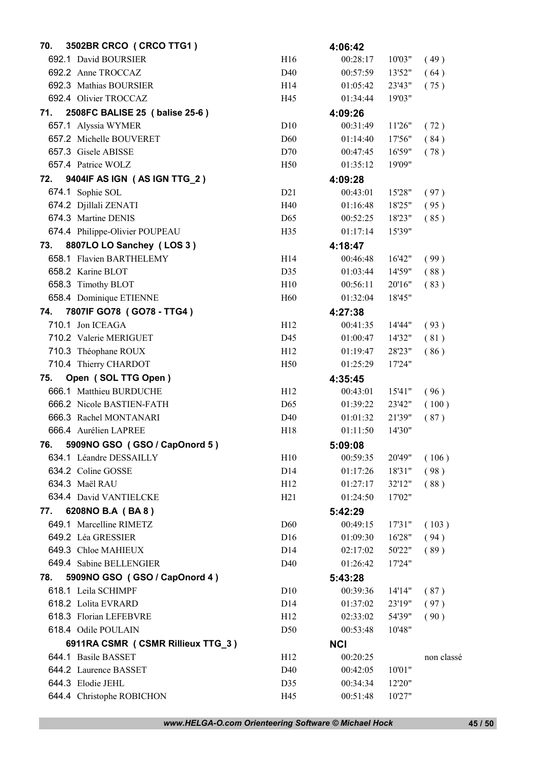| 3502BR CRCO (CRCO TTG1)<br>70.        |                 | 4:06:42    |        |              |
|---------------------------------------|-----------------|------------|--------|--------------|
| 692.1 David BOURSIER                  | H16             | 00:28:17   | 10'03" | (49)         |
| 692.2 Anne TROCCAZ                    | D40             | 00:57:59   | 13'52" | (64)         |
| 692.3 Mathias BOURSIER                | H14             | 01:05:42   | 23'43" | (75)         |
| 692.4 Olivier TROCCAZ                 | H45             | 01:34:44   | 19'03" |              |
| 2508FC BALISE 25 (balise 25-6)<br>71. |                 | 4:09:26    |        |              |
| 657.1 Alyssia WYMER                   | D10             | 00:31:49   | 11'26" | (72)         |
| 657.2 Michelle BOUVERET               | D <sub>60</sub> | 01:14:40   | 17'56" | (84)         |
| 657.3 Gisele ABISSE                   | D70             | 00:47:45   | 16'59" | (78)         |
| 657.4 Patrice WOLZ                    | H <sub>50</sub> | 01:35:12   | 19'09" |              |
| 9404IF AS IGN (AS IGN TTG_2)<br>72.   |                 | 4:09:28    |        |              |
| 674.1 Sophie SOL                      | D21             | 00:43:01   | 15'28" | (97)         |
| 674.2 Djillali ZENATI                 | H40             | 01:16:48   | 18'25" | (95)         |
| 674.3 Martine DENIS                   | D <sub>65</sub> | 00:52:25   | 18'23" | (85)         |
| 674.4 Philippe-Olivier POUPEAU        | H <sub>35</sub> | 01:17:14   | 15'39" |              |
| 8807LO LO Sanchey (LOS 3)<br>73.      |                 | 4:18:47    |        |              |
| 658.1 Flavien BARTHELEMY              | H14             | 00:46:48   | 16'42" | (99)         |
| 658.2 Karine BLOT                     | D35             | 01:03:44   | 14'59" | (88)         |
| 658.3 Timothy BLOT                    | H10             | 00:56:11   | 20'16" | (83)         |
| 658.4 Dominique ETIENNE               | H <sub>60</sub> | 01:32:04   | 18'45" |              |
| 7807IF GO78 (GO78 - TTG4)<br>74.      |                 | 4:27:38    |        |              |
| 710.1 Jon ICEAGA                      | H12             | 00:41:35   | 14'44" | (93)         |
| 710.2 Valerie MERIGUET                | D45             | 01:00:47   | 14'32" | (81)         |
| 710.3 Théophane ROUX                  | H12             | 01:19:47   | 28'23" | (86)         |
| 710.4 Thierry CHARDOT                 | H <sub>50</sub> | 01:25:29   | 17'24" |              |
| Open (SOL TTG Open)<br>75.            |                 | 4:35:45    |        |              |
| 666.1 Matthieu BURDUCHE               | H12             | 00:43:01   | 15'41" | (96)         |
| 666.2 Nicole BASTIEN-FATH             | D <sub>65</sub> | 01:39:22   | 23'42" | (100)        |
| 666.3 Rachel MONTANARI                | D40             | 01:01:32   | 21'39" | (87)         |
| 666.4 Aurélien LAPREE                 | H <sub>18</sub> | 01:11:50   | 14'30" |              |
| 5909NO GSO (GSO / CapOnord 5)<br>76.  |                 | 5:09:08    |        |              |
| 634.1 Léandre DESSAILLY               | H10             | 00:59:35   | 20'49" | (106)        |
| 634.2 Coline GOSSE                    | D <sub>14</sub> | 01:17:26   | 18'31" | (98)         |
| 634.3 Maël RAU                        | H12             | 01:27:17   | 32'12" | (88)         |
| 634.4 David VANTIELCKE                | H21             | 01:24:50   | 17'02" |              |
| 6208NO B.A (BA8)<br>77.               |                 | 5:42:29    |        |              |
| 649.1 Marcelline RIMETZ               | D <sub>60</sub> | 00:49:15   | 17'31" | (103)        |
| 649.2 Léa GRESSIER                    | D16             | 01:09:30   | 16'28" | (94)         |
| 649.3 Chloe MAHIEUX                   | D <sub>14</sub> | 02:17:02   | 50'22" | (89)         |
| 649.4 Sabine BELLENGIER               | D <sub>40</sub> | 01:26:42   | 17'24" |              |
| 5909NO GSO (GSO / CapOnord 4)<br>78.  |                 | 5:43:28    |        |              |
| 618.1 Leila SCHIMPF                   | D10             | 00:39:36   | 14'14" |              |
| 618.2 Lolita EVRARD                   | D <sub>14</sub> | 01:37:02   | 23'19" | (87)<br>(97) |
| 618.3 Florian LEFEBVRE                | H12             | 02:33:02   | 54'39" | (90)         |
| 618.4 Odile POULAIN                   | D <sub>50</sub> | 00:53:48   | 10'48" |              |
|                                       |                 |            |        |              |
| 6911RA CSMR (CSMR Rillieux TTG_3)     |                 | <b>NCI</b> |        |              |
| 644.1 Basile BASSET                   | H <sub>12</sub> | 00:20:25   |        | non classé   |
| 644.2 Laurence BASSET                 | D40             | 00:42:05   | 10'01" |              |
| 644.3 Elodie JEHL                     | D35             | 00:34:34   | 12'20" |              |
| 644.4 Christophe ROBICHON             | H45             | 00:51:48   | 10'27" |              |

*www.HELGA-O.com Orienteering Software © Michael Hock* 45 / 50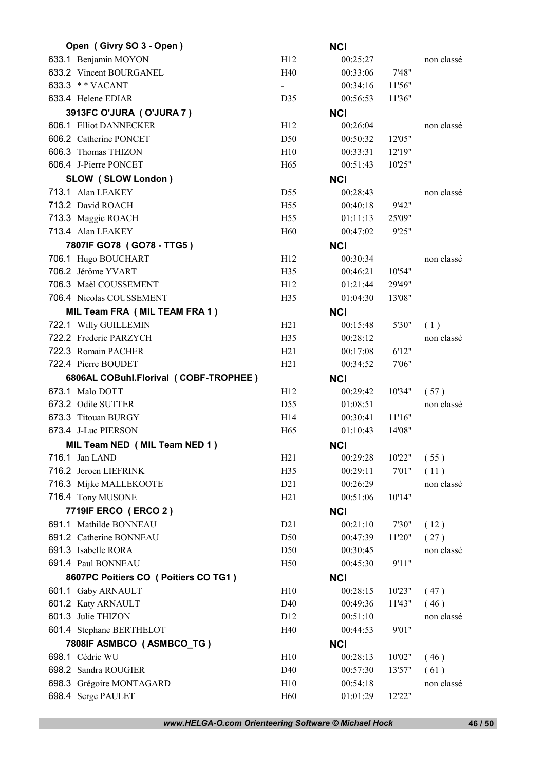| Open (Givry SO 3 - Open)                                 |                        | <b>NCI</b>             |         |                    |
|----------------------------------------------------------|------------------------|------------------------|---------|--------------------|
| 633.1 Benjamin MOYON                                     | H12                    | 00:25:27               |         | non classé         |
| 633.2 Vincent BOURGANEL                                  | H40                    | 00:33:06               | 7'48"   |                    |
| 633.3 ** VACANT                                          | $\blacksquare$         | 00:34:16               | 11'56"  |                    |
| 633.4 Helene EDIAR                                       | D35                    | 00:56:53               | 11'36"  |                    |
| 3913FC O'JURA (O'JURA 7)                                 |                        | <b>NCI</b>             |         |                    |
| 606.1 Elliot DANNECKER                                   | H12                    | 00:26:04               |         | non classé         |
| 606.2 Catherine PONCET                                   | D <sub>50</sub>        | 00:50:32               | 12'05"  |                    |
| 606.3 Thomas THIZON                                      | H10                    | 00:33:31               | 12'19'' |                    |
| 606.4 J-Pierre PONCET                                    | H <sub>65</sub>        | 00:51:43               | 10'25"  |                    |
| SLOW (SLOW London)                                       |                        | <b>NCI</b>             |         |                    |
| 713.1 Alan LEAKEY                                        | D <sub>55</sub>        | 00:28:43               |         | non classé         |
| 713.2 David ROACH                                        | H <sub>55</sub>        | 00:40:18               | 9'42"   |                    |
| 713.3 Maggie ROACH                                       | H <sub>55</sub>        | 01:11:13               | 25'09"  |                    |
| 713.4 Alan LEAKEY                                        | H <sub>60</sub>        | 00:47:02               | 9'25"   |                    |
| 7807IF GO78 (GO78 - TTG5)                                |                        | <b>NCI</b>             |         |                    |
| 706.1 Hugo BOUCHART                                      | H12                    | 00:30:34               |         | non classé         |
| 706.2 Jérôme YVART                                       | H <sub>35</sub>        | 00:46:21               | 10'54"  |                    |
| 706.3 Maël COUSSEMENT                                    | H <sub>12</sub>        | 01:21:44               | 29'49"  |                    |
| 706.4 Nicolas COUSSEMENT                                 | H <sub>35</sub>        | 01:04:30               | 13'08"  |                    |
| MIL Team FRA (MIL TEAM FRA 1)                            |                        | <b>NCI</b>             |         |                    |
| 722.1 Willy GUILLEMIN                                    | H21                    | 00:15:48               | 5'30"   | (1)                |
| 722.2 Frederic PARZYCH                                   | H <sub>35</sub>        | 00:28:12               |         | non classé         |
| 722.3 Romain PACHER                                      | H21                    | 00:17:08               | 6'12"   |                    |
| 722.4 Pierre BOUDET                                      | H21                    | 00:34:52               | 7'06"   |                    |
|                                                          |                        |                        |         |                    |
|                                                          |                        |                        |         |                    |
| 6806AL COBuhl.Florival (COBF-TROPHEE)<br>673.1 Malo DOTT | H <sub>12</sub>        | <b>NCI</b><br>00:29:42 | 10'34"  |                    |
| 673.2 Odile SUTTER                                       | D <sub>55</sub>        | 01:08:51               |         | (57)<br>non classé |
| 673.3 Titouan BURGY                                      | H14                    | 00:30:41               | 11'16"  |                    |
| 673.4 J-Luc PIERSON                                      | H <sub>65</sub>        | 01:10:43               | 14'08"  |                    |
|                                                          |                        |                        |         |                    |
| MIL Team NED (MIL Team NED 1)<br>716.1 Jan LAND          | H21                    | <b>NCI</b><br>00:29:28 | 10'22"  |                    |
|                                                          |                        |                        |         | (55)               |
| 716.2 Jeroen LIEFRINK                                    | H35<br>D <sub>21</sub> | 00:29:11<br>00:26:29   | 7'01"   | (11)<br>non classé |
| 716.3 Mijke MALLEKOOTE<br>716.4 Tony MUSONE              | H21                    | 00:51:06               | 10'14"  |                    |
|                                                          |                        |                        |         |                    |
| 7719IF ERCO (ERCO 2)<br>691.1 Mathilde BONNEAU           | D21                    | <b>NCI</b><br>00:21:10 |         |                    |
| 691.2 Catherine BONNEAU                                  | D <sub>50</sub>        |                        | 7'30"   | (12)               |
| 691.3 Isabelle RORA                                      | D50                    | 00:47:39<br>00:30:45   | 11'20"  | (27)<br>non classé |
| 691.4 Paul BONNEAU                                       | H <sub>50</sub>        | 00:45:30               | 9'11"   |                    |
|                                                          |                        |                        |         |                    |
| 8607PC Poitiers CO ( Poitiers CO TG1)                    |                        | <b>NCI</b>             |         |                    |
| 601.1 Gaby ARNAULT                                       | H10                    | 00:28:15               | 10'23"  | (47)               |
| 601.2 Katy ARNAULT                                       | D40                    | 00:49:36               | 11'43"  | (46)<br>non classé |
| 601.3 Julie THIZON                                       | D12<br>H40             | 00:51:10<br>00:44:53   | 9'01"   |                    |
| 601.4 Stephane BERTHELOT                                 |                        |                        |         |                    |
| 7808IF ASMBCO (ASMBCO_TG)                                |                        | <b>NCI</b>             |         |                    |
| 698.1 Cédric WU<br>698.2 Sandra ROUGIER                  | H10                    | 00:28:13               | 10'02"  | (46)               |
| 698.3 Grégoire MONTAGARD                                 | D40<br>H10             | 00:57:30<br>00:54:18   | 13'57"  | (61)<br>non classé |

*www.HELGA-O.com Orienteering Software © Michael Hock* 46 / 50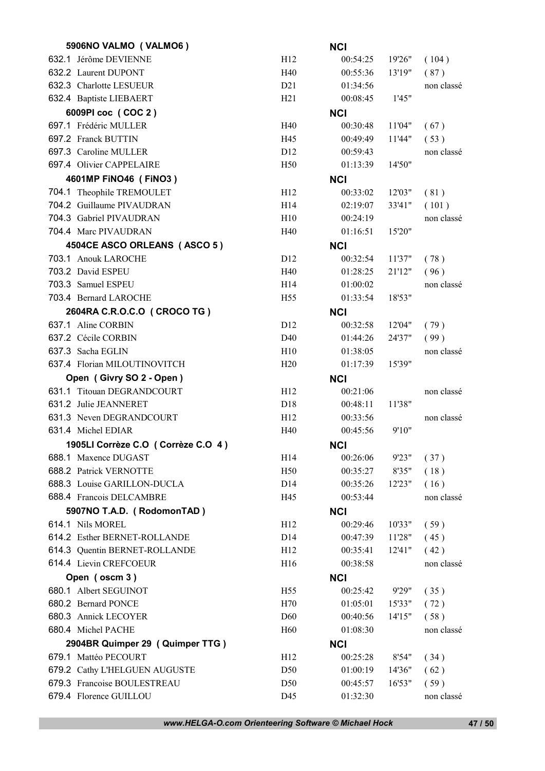| 5906NO VALMO (VALMO6)              |                 | <b>NCI</b> |         |            |
|------------------------------------|-----------------|------------|---------|------------|
| 632.1 Jérôme DEVIENNE              | H12             | 00:54:25   | 19'26"  | (104)      |
| 632.2 Laurent DUPONT               | H40             | 00:55:36   | 13'19"  | (87)       |
| 632.3 Charlotte LESUEUR            | D21             | 01:34:56   |         | non classé |
| 632.4 Baptiste LIEBAERT            | H21             | 00:08:45   | 1'45"   |            |
| 6009PI coc (COC 2)                 |                 | <b>NCI</b> |         |            |
| 697.1 Frédéric MULLER              | H40             | 00:30:48   | 11'04"  | (67)       |
| 697.2 Franck BUTTIN                | H45             | 00:49:49   | 11'44"  | (53)       |
| 697.3 Caroline MULLER              | D <sub>12</sub> | 00:59:43   |         | non classé |
| 697.4 Olivier CAPPELAIRE           | H <sub>50</sub> | 01:13:39   | 14'50"  |            |
| 4601MP FINO46 (FINO3)              |                 | <b>NCI</b> |         |            |
| 704.1 Theophile TREMOULET          | H <sub>12</sub> | 00:33:02   | 12'03"  | (81)       |
| 704.2 Guillaume PIVAUDRAN          | H14             | 02:19:07   | 33'41"  | (101)      |
| 704.3 Gabriel PIVAUDRAN            | H10             | 00:24:19   |         | non classé |
| 704.4 Marc PIVAUDRAN               | H40             | 01:16:51   | 15'20"  |            |
| 4504CE ASCO ORLEANS (ASCO 5)       |                 | <b>NCI</b> |         |            |
| 703.1 Anouk LAROCHE                | D <sub>12</sub> | 00:32:54   | 11'37"  | (78)       |
| 703.2 David ESPEU                  | H40             | 01:28:25   | 21'12"  | (96)       |
| 703.3 Samuel ESPEU                 | H <sub>14</sub> | 01:00:02   |         | non classé |
| 703.4 Bernard LAROCHE              | H <sub>55</sub> | 01:33:54   | 18'53"  |            |
| 2604RA C.R.O.C.O ( CROCO TG )      |                 | <b>NCI</b> |         |            |
| 637.1 Aline CORBIN                 | D <sub>12</sub> | 00:32:58   | 12'04"  | (79)       |
| 637.2 Cécile CORBIN                | D40             | 01:44:26   | 24'37"  | (99)       |
| 637.3 Sacha EGLIN                  | H10             | 01:38:05   |         | non classé |
| 637.4 Florian MILOUTINOVITCH       | H20             | 01:17:39   | 15'39"  |            |
| Open (Givry SO 2 - Open)           |                 | <b>NCI</b> |         |            |
| 631.1 Titouan DEGRANDCOURT         | H <sub>12</sub> | 00:21:06   |         | non classé |
| 631.2 Julie JEANNERET              | D <sub>18</sub> | 00:48:11   | 11'38"  |            |
| 631.3 Neven DEGRANDCOURT           | H12             | 00:33:56   |         | non classé |
| 631.4 Michel EDIAR                 | H40             | 00:45:56   | 9'10"   |            |
| 1905LI Corrèze C.O (Corrèze C.O 4) |                 | <b>NCI</b> |         |            |
| 688.1 Maxence DUGAST               | H14             | 00:26:06   | 9'23"   | (37)       |
| 688.2 Patrick VERNOTTE             | H <sub>50</sub> | 00:35:27   | 8'35"   | (18)       |
| 688.3 Louise GARILLON-DUCLA        | D14             | 00:35:26   | 12'23"  | (16)       |
| 688.4 Francois DELCAMBRE           | H45             | 00:53:44   |         | non classé |
| 5907NO T.A.D. (RodomonTAD)         |                 | <b>NCI</b> |         |            |
| 614.1 Nils MOREL                   | H <sub>12</sub> | 00:29:46   | 10'33"  | (59)       |
|                                    |                 |            |         | (45)       |
| 614.2 Esther BERNET-ROLLANDE       | D14             | 00:47:39   | 11'28"  |            |
| 614.3 Quentin BERNET-ROLLANDE      | H12             | 00:35:41   | 12'41'' | (42)       |
| 614.4 Lievin CREFCOEUR             | H <sub>16</sub> | 00:38:58   |         | non classé |
| Open (oscm 3)                      |                 | <b>NCI</b> |         |            |
| 680.1 Albert SEGUINOT              | H <sub>55</sub> | 00:25:42   | 9'29"   | (35)       |
| 680.2 Bernard PONCE                | H70             | 01:05:01   | 15'33"  | (72)       |
| 680.3 Annick LECOYER               | D <sub>60</sub> | 00:40:56   | 14'15"  | (58)       |
| 680.4 Michel PACHE                 | H <sub>60</sub> | 01:08:30   |         | non classé |
| 2904BR Quimper 29 (Quimper TTG)    |                 | <b>NCI</b> |         |            |
| 679.1 Mattéo PECOURT               | H12             | 00:25:28   | 8'54"   | (34)       |
| 679.2 Cathy L'HELGUEN AUGUSTE      | D <sub>50</sub> | 01:00:19   | 14'36"  | (62)       |
| 679.3 Francoise BOULESTREAU        | D <sub>50</sub> | 00:45:57   | 16'53"  | (59)       |

*www.HELGA-O.com Orienteering Software © Michael Hock* 47 / 50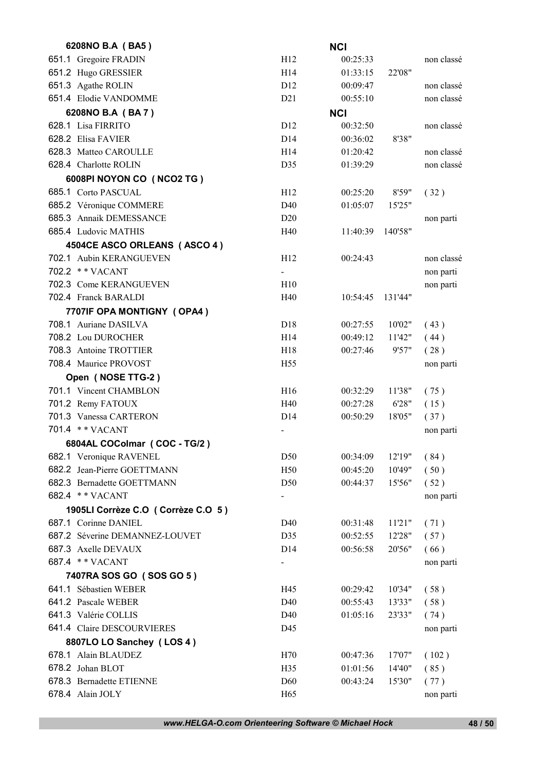| 6208NO B.A (BA5)                   |                          | <b>NCI</b>           |                  |            |
|------------------------------------|--------------------------|----------------------|------------------|------------|
| 651.1 Gregoire FRADIN              | H12                      | 00:25:33             |                  | non classé |
| 651.2 Hugo GRESSIER                | H14                      | 01:33:15             | 22'08"           |            |
| 651.3 Agathe ROLIN                 | D <sub>12</sub>          | 00:09:47             |                  | non classé |
| 651.4 Elodie VANDOMME              | D21                      | 00:55:10             |                  | non classé |
| 6208NO B.A (BA7)                   |                          | <b>NCI</b>           |                  |            |
| 628.1 Lisa FIRRITO                 | D <sub>12</sub>          | 00:32:50             |                  | non classé |
| 628.2 Elisa FAVIER                 | D14                      | 00:36:02             | 8'38"            |            |
| 628.3 Matteo CAROULLE              | H14                      | 01:20:42             |                  | non classé |
| 628.4 Charlotte ROLIN              | D35                      | 01:39:29             |                  | non classé |
| 6008PI NOYON CO (NCO2 TG)          |                          |                      |                  |            |
| 685.1 Corto PASCUAL                | H12                      | 00:25:20             | 8'59"            | (32)       |
| 685.2 Véronique COMMERE            | D40                      | 01:05:07             | 15'25"           |            |
| 685.3 Annaik DEMESSANCE            | D20                      |                      |                  | non parti  |
| 685.4 Ludovic MATHIS               | H40                      | 11:40:39             | 140'58"          |            |
| 4504CE ASCO ORLEANS (ASCO 4)       |                          |                      |                  |            |
| 702.1 Aubin KERANGUEVEN            | H12                      | 00:24:43             |                  | non classé |
| 702.2 ** VACANT                    | $\overline{\phantom{a}}$ |                      |                  | non parti  |
| 702.3 Come KERANGUEVEN             | H10                      |                      |                  | non parti  |
| 702.4 Franck BARALDI               | H40                      | 10:54:45             | 131'44"          |            |
| 7707IF OPA MONTIGNY (OPA4)         |                          |                      |                  |            |
| 708.1 Auriane DASILVA              | D18                      | 00:27:55             | 10'02"           | (43)       |
| 708.2 Lou DUROCHER                 | H14                      | 00:49:12             | 11'42"           | (44)       |
| 708.3 Antoine TROTTIER             | H <sub>18</sub>          | 00:27:46             | 9'57"            | (28)       |
| 708.4 Maurice PROVOST              | H <sub>55</sub>          |                      |                  | non parti  |
| Open (NOSE TTG-2)                  |                          |                      |                  |            |
| 701.1 Vincent CHAMBLON             | H16                      | 00:32:29             | 11'38"           | (75)       |
| 701.2 Remy FATOUX                  | H40                      | 00:27:28             | 6'28"            | (15)       |
| 701.3 Vanessa CARTERON             | D <sub>14</sub>          | 00:50:29             | 18'05"           | (37)       |
| 701.4 ** VACANT                    | $\blacksquare$           |                      |                  | non parti  |
| 6804AL COColmar (COC - TG/2)       |                          |                      |                  |            |
| 682.1 Veronique RAVENEL            | D50                      | 00:34:09             | 12'19"           | (84)       |
| 682.2 Jean-Pierre GOETTMANN        | H50                      | 00:45:20             | 10'49"           | (50)       |
| 682.3 Bernadette GOETTMANN         | D50                      | 00:44:37             | 15'56"           | (52)       |
| 682.4 ** VACANT                    | $\blacksquare$           |                      |                  | non parti  |
| 1905LI Corrèze C.O (Corrèze C.O 5) |                          |                      |                  |            |
| 687.1 Corinne DANIEL               | D <sub>40</sub>          | 00:31:48             | 11'21"           | (71)       |
| 687.2 Séverine DEMANNEZ-LOUVET     | D35                      | 00:52:55             | 12'28"           | (57)       |
| 687.3 Axelle DEVAUX                | D <sub>14</sub>          | 00:56:58             | 20'56"           | (66)       |
| 687.4 ** VACANT                    | $\blacksquare$           |                      |                  | non parti  |
| 7407RA SOS GO (SOS GO 5)           |                          |                      |                  |            |
| 641.1 Sébastien WEBER              | H45                      | 00:29:42             | 10'34"           | (58)       |
| 641.2 Pascale WEBER                | D40                      | 00:55:43             | 13'33"           | (58)       |
| 641.3 Valérie COLLIS               | D <sub>40</sub>          | 01:05:16             | 23'33"           | (74)       |
| 641.4 Claire DESCOURVIERES         | D45                      |                      |                  | non parti  |
| 8807LO LO Sanchey (LOS 4)          |                          |                      |                  |            |
| 678.1 Alain BLAUDEZ                |                          |                      |                  |            |
| 678.2 Johan BLOT                   | H70<br>H35               | 00:47:36<br>01:01:56 | 17'07"           | (102)      |
| 678.3 Bernadette ETIENNE           | D <sub>60</sub>          | 00:43:24             | 14'40"<br>15'30" | (85)       |
|                                    |                          |                      |                  | (77)       |
| 678.4 Alain JOLY                   | H65                      |                      |                  | non parti  |

*www.HELGA-O.com Orienteering Software © Michael Hock* 48 / 50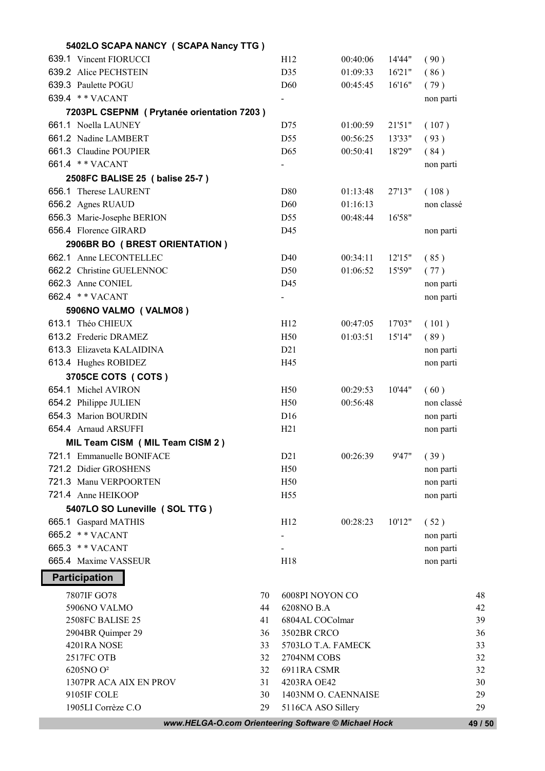| 5402LO SCAPA NANCY (SCAPA Nancy TTG)                 |    |                    |                     |        |            |         |
|------------------------------------------------------|----|--------------------|---------------------|--------|------------|---------|
| 639.1 Vincent FIORUCCI                               |    | H12                | 00:40:06            | 14'44" | (90)       |         |
| 639.2 Alice PECHSTEIN                                |    | D35                | 01:09:33            | 16'21" | (86)       |         |
| 639.3 Paulette POGU                                  |    | D60                | 00:45:45            | 16'16" | (79)       |         |
| 639.4 ** VACANT                                      |    | $\blacksquare$     |                     |        | non parti  |         |
| 7203PL CSEPNM (Prytanée orientation 7203)            |    |                    |                     |        |            |         |
| 661.1 Noella LAUNEY                                  |    | D75                | 01:00:59            | 21'51" | (107)      |         |
| 661.2 Nadine LAMBERT                                 |    | D55                | 00:56:25            | 13'33" | (93)       |         |
| 661.3 Claudine POUPIER                               |    | D65                | 00:50:41            | 18'29" | (84)       |         |
| 661.4 ** VACANT                                      |    | $\blacksquare$     |                     |        | non parti  |         |
| 2508FC BALISE 25 ( balise 25-7 )                     |    |                    |                     |        |            |         |
| 656.1 Therese LAURENT                                |    | D80                | 01:13:48            | 27'13" | (108)      |         |
| 656.2 Agnes RUAUD                                    |    | D <sub>60</sub>    | 01:16:13            |        | non classé |         |
| 656.3 Marie-Josephe BERION                           |    | D55                | 00:48:44            | 16'58" |            |         |
| 656.4 Florence GIRARD                                |    | D45                |                     |        | non parti  |         |
| 2906BR BO (BREST ORIENTATION)                        |    |                    |                     |        |            |         |
| 662.1 Anne LECONTELLEC                               |    | D40                | 00:34:11            | 12'15" | (85)       |         |
| 662.2 Christine GUELENNOC                            |    | D <sub>50</sub>    | 01:06:52            | 15'59" | (77)       |         |
| 662.3 Anne CONIEL                                    |    | D45                |                     |        | non parti  |         |
| 662.4 ** VACANT                                      |    | $\blacksquare$     |                     |        | non parti  |         |
| 5906NO VALMO (VALMO8)                                |    |                    |                     |        |            |         |
| 613.1 Théo CHIEUX                                    |    | H12                | 00:47:05            | 17'03" | (101)      |         |
| 613.2 Frederic DRAMEZ                                |    | H50                | 01:03:51            | 15'14" | (89)       |         |
| 613.3 Elizaveta KALAIDINA                            |    | D21                |                     |        | non parti  |         |
| 613.4 Hughes ROBIDEZ                                 |    | H45                |                     |        | non parti  |         |
| 3705CE COTS ( COTS )                                 |    |                    |                     |        |            |         |
| 654.1 Michel AVIRON                                  |    | H <sub>50</sub>    | 00:29:53            | 10'44" | (60)       |         |
| 654.2 Philippe JULIEN                                |    | H50                | 00:56:48            |        | non classé |         |
| 654.3 Marion BOURDIN                                 |    | D16                |                     |        | non parti  |         |
| 654.4 Arnaud ARSUFFI                                 |    | H <sub>21</sub>    |                     |        | non parti  |         |
| MIL Team CISM (MIL Team CISM 2)                      |    |                    |                     |        |            |         |
| 721.1 Emmanuelle BONIFACE                            |    | D21                | 00:26:39            | 9'47"  | (39)       |         |
| 721.2 Didier GROSHENS                                |    | H50                |                     |        | non parti  |         |
| 721.3 Manu VERPOORTEN                                |    | H50                |                     |        | non parti  |         |
| 721.4 Anne HEIKOOP                                   |    | H <sub>55</sub>    |                     |        | non parti  |         |
| 5407LO SO Luneville (SOL TTG)                        |    |                    |                     |        |            |         |
| 665.1 Gaspard MATHIS                                 |    | H12                | 00:28:23            | 10'12" | (52)       |         |
| 665.2 ** VACANT                                      |    | $\blacksquare$     |                     |        | non parti  |         |
| 665.3 ** VACANT                                      |    |                    |                     |        | non parti  |         |
| 665.4 Maxime VASSEUR                                 |    | H18                |                     |        | non parti  |         |
| <b>Participation</b>                                 |    |                    |                     |        |            |         |
| 7807IF GO78                                          | 70 |                    | 6008PI NOYON CO     |        |            | 48      |
| 5906NO VALMO                                         | 44 | 6208NO B.A         |                     |        |            | 42      |
| 2508FC BALISE 25                                     | 41 | 6804AL COColmar    |                     |        | 39         |         |
| 2904BR Quimper 29                                    | 36 | 3502BR CRCO        |                     |        | 36         |         |
| 4201RA NOSE                                          | 33 | 5703LO T.A. FAMECK |                     |        | 33         |         |
| 2517FC OTB                                           | 32 | 2704NM COBS        |                     |        |            | 32      |
| 6205NO O <sup>2</sup>                                | 32 | 6911RA CSMR        |                     |        |            | 32      |
| 1307PR ACA AIX EN PROV                               | 31 | 4203RA OE42        |                     |        |            | 30      |
| 9105IF COLE                                          | 30 |                    | 1403NM O. CAENNAISE |        |            | 29      |
| 1905LI Corrèze C.O                                   | 29 |                    | 5116CA ASO Sillery  |        |            | 29      |
| www.HELGA-O.com Orienteering Software © Michael Hock |    |                    |                     |        |            | 49 / 50 |